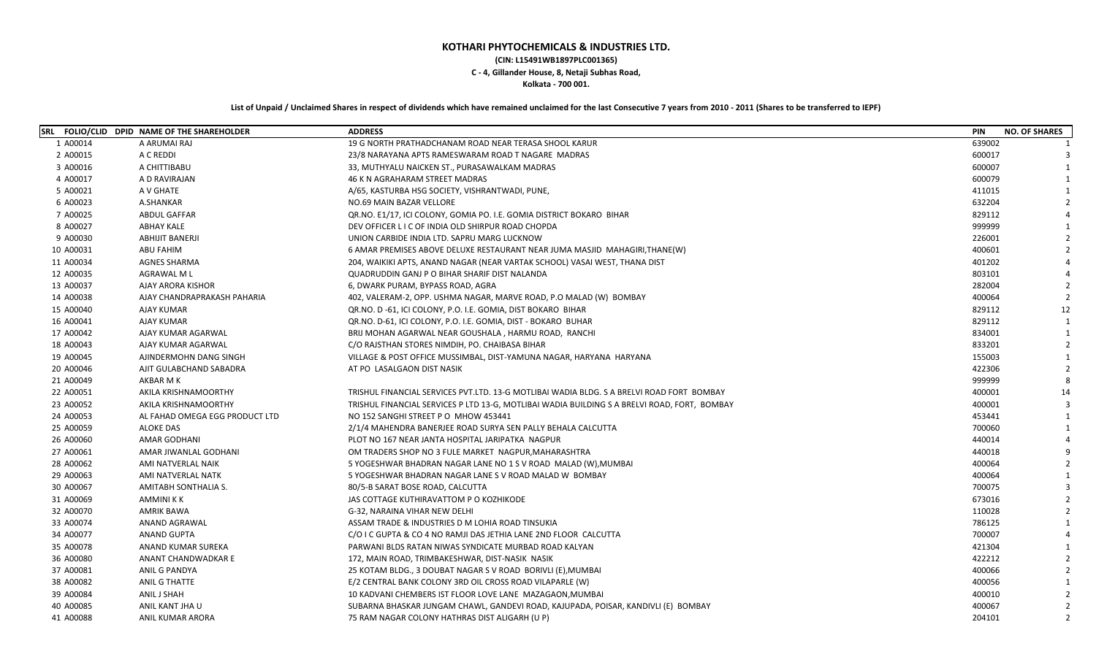## **KOTHARI PHYTOCHEMICALS & INDUSTRIES LTD. (CIN: L15491WB1897PLC001365) C - 4, Gillander House, 8, Netaji Subhas Road, Kolkata - 700 001.**

## **List of Unpaid / Unclaimed Shares in respect of dividends which have remained unclaimed for the last Consecutive 7 years from 2010 - 2011 (Shares to be transferred to IEPF)**

|           | SRL FOLIO/CLID DPID NAME OF THE SHAREHOLDER | <b>ADDRESS</b>                                                                               | <b>PIN</b> | <b>NO. OF SHARES</b> |
|-----------|---------------------------------------------|----------------------------------------------------------------------------------------------|------------|----------------------|
| 1 A00014  | A ARUMAI RAJ                                | 19 G NORTH PRATHADCHANAM ROAD NEAR TERASA SHOOL KARUR                                        | 639002     |                      |
| 2 A00015  | A C REDDI                                   | 23/8 NARAYANA APTS RAMESWARAM ROAD T NAGARE MADRAS                                           | 600017     |                      |
| 3 A00016  | A CHITTIBABU                                | 33, MUTHYALU NAICKEN ST., PURASAWALKAM MADRAS                                                | 600007     | $\mathbf{1}$         |
| 4 A00017  | A D RAVIRAJAN                               | 46 K N AGRAHARAM STREET MADRAS                                                               | 600079     |                      |
| 5 A00021  | A V GHATE                                   | A/65, KASTURBA HSG SOCIETY, VISHRANTWADI, PUNE,                                              | 411015     |                      |
| 6 A00023  | A.SHANKAR                                   | NO.69 MAIN BAZAR VELLORE                                                                     | 632204     |                      |
| 7 A00025  | <b>ABDUL GAFFAR</b>                         | QR.NO. E1/17, ICI COLONY, GOMIA PO. I.E. GOMIA DISTRICT BOKARO BIHAR                         | 829112     |                      |
| 8 A00027  | <b>ABHAY KALE</b>                           | DEV OFFICER L I C OF INDIA OLD SHIRPUR ROAD CHOPDA                                           | 999999     |                      |
| 9 A00030  | <b>ABHIJIT BANERJI</b>                      | UNION CARBIDE INDIA LTD. SAPRU MARG LUCKNOW                                                  | 226001     |                      |
| 10 A00031 | <b>ABU FAHIM</b>                            | 6 AMAR PREMISES ABOVE DELUXE RESTAURANT NEAR JUMA MASJID MAHAGIRI, THANE(W)                  | 400601     |                      |
| 11 A00034 | <b>AGNES SHARMA</b>                         | 204, WAIKIKI APTS, ANAND NAGAR (NEAR VARTAK SCHOOL) VASAI WEST, THANA DIST                   | 401202     |                      |
| 12 A00035 | <b>AGRAWAL ML</b>                           | QUADRUDDIN GANJ P O BIHAR SHARIF DIST NALANDA                                                | 803101     |                      |
| 13 A00037 | AJAY ARORA KISHOR                           | 6, DWARK PURAM, BYPASS ROAD, AGRA                                                            | 282004     |                      |
| 14 A00038 | AJAY CHANDRAPRAKASH PAHARIA                 | 402, VALERAM-2, OPP. USHMA NAGAR, MARVE ROAD, P.O MALAD (W) BOMBAY                           | 400064     |                      |
| 15 A00040 | AJAY KUMAR                                  | QR.NO. D-61, ICI COLONY, P.O. I.E. GOMIA, DIST BOKARO BIHAR                                  | 829112     | 12                   |
| 16 A00041 | AJAY KUMAR                                  | QR.NO. D-61, ICI COLONY, P.O. I.E. GOMIA, DIST - BOKARO BUHAR                                | 829112     | $\overline{1}$       |
| 17 A00042 | AJAY KUMAR AGARWAL                          | BRIJ MOHAN AGARWAL NEAR GOUSHALA, HARMU ROAD, RANCHI                                         | 834001     |                      |
| 18 A00043 | AJAY KUMAR AGARWAL                          | C/O RAJSTHAN STORES NIMDIH, PO. CHAIBASA BIHAR                                               | 833201     |                      |
| 19 A00045 | AJINDERMOHN DANG SINGH                      | VILLAGE & POST OFFICE MUSSIMBAL, DIST-YAMUNA NAGAR, HARYANA HARYANA                          | 155003     |                      |
| 20 A00046 | AJIT GULABCHAND SABADRA                     | AT PO LASALGAON DIST NASIK                                                                   | 422306     |                      |
| 21 A00049 | AKBAR M K                                   |                                                                                              | 999999     |                      |
| 22 A00051 | AKILA KRISHNAMOORTHY                        | TRISHUL FINANCIAL SERVICES PVT.LTD. 13-G MOTLIBAI WADIA BLDG. S A BRELVI ROAD FORT BOMBAY    | 400001     | 14                   |
| 23 A00052 | AKILA KRISHNAMOORTHY                        | TRISHUL FINANCIAL SERVICES P LTD 13-G, MOTLIBAI WADIA BUILDING S A BRELVI ROAD, FORT, BOMBAY | 400001     |                      |
| 24 A00053 | AL FAHAD OMEGA EGG PRODUCT LTD              | NO 152 SANGHI STREET PO MHOW 453441                                                          | 453441     | $\mathbf{1}$         |
| 25 A00059 | <b>ALOKE DAS</b>                            | 2/1/4 MAHENDRA BANERJEE ROAD SURYA SEN PALLY BEHALA CALCUTTA                                 | 700060     |                      |
| 26 A00060 | <b>AMAR GODHANI</b>                         | PLOT NO 167 NEAR JANTA HOSPITAL JARIPATKA NAGPUR                                             | 440014     |                      |
| 27 A00061 | AMAR JIWANLAL GODHANI                       | OM TRADERS SHOP NO 3 FULE MARKET NAGPUR, MAHARASHTRA                                         | 440018     |                      |
| 28 A00062 | AMI NATVERLAL NAIK                          | 5 YOGESHWAR BHADRAN NAGAR LANE NO 1 S V ROAD MALAD (W), MUMBAI                               | 400064     |                      |
| 29 A00063 | AMI NATVERLAL NATK                          | 5 YOGESHWAR BHADRAN NAGAR LANE S V ROAD MALAD W BOMBAY                                       | 400064     |                      |
| 30 A00067 | AMITABH SONTHALIA S.                        | 80/5-B SARAT BOSE ROAD, CALCUTTA                                                             | 700075     |                      |
| 31 A00069 | AMMINI K K                                  | JAS COTTAGE KUTHIRAVATTOM P O KOZHIKODE                                                      | 673016     |                      |
| 32 A00070 | AMRIK BAWA                                  | G-32, NARAINA VIHAR NEW DELHI                                                                | 110028     |                      |
| 33 A00074 | ANAND AGRAWAL                               | ASSAM TRADE & INDUSTRIES D M LOHIA ROAD TINSUKIA                                             | 786125     |                      |
| 34 A00077 | <b>ANAND GUPTA</b>                          | C/O I C GUPTA & CO 4 NO RAMJI DAS JETHIA LANE 2ND FLOOR CALCUTTA                             | 700007     |                      |
| 35 A00078 | ANAND KUMAR SUREKA                          | PARWANI BLDS RATAN NIWAS SYNDICATE MURBAD ROAD KALYAN                                        | 421304     |                      |
| 36 A00080 | ANANT CHANDWADKAR E                         | 172, MAIN ROAD, TRIMBAKESHWAR, DIST-NASIK NASIK                                              | 422212     |                      |
| 37 A00081 | ANIL G PANDYA                               | 25 KOTAM BLDG., 3 DOUBAT NAGAR S V ROAD BORIVLI (E), MUMBAI                                  | 400066     |                      |
| 38 A00082 | ANIL G THATTE                               | E/2 CENTRAL BANK COLONY 3RD OIL CROSS ROAD VILAPARLE (W)                                     | 400056     |                      |
| 39 A00084 | ANIL J SHAH                                 | 10 KADVANI CHEMBERS IST FLOOR LOVE LANE MAZAGAON, MUMBAI                                     | 400010     |                      |
| 40 A00085 | ANIL KANT JHA U                             | SUBARNA BHASKAR JUNGAM CHAWL, GANDEVI ROAD, KAJUPADA, POISAR, KANDIVLI (E) BOMBAY            | 400067     |                      |
| 41 A00088 | <b>ANIL KUMAR ARORA</b>                     | 75 RAM NAGAR COLONY HATHRAS DIST ALIGARH (U P)                                               | 204101     | $\overline{2}$       |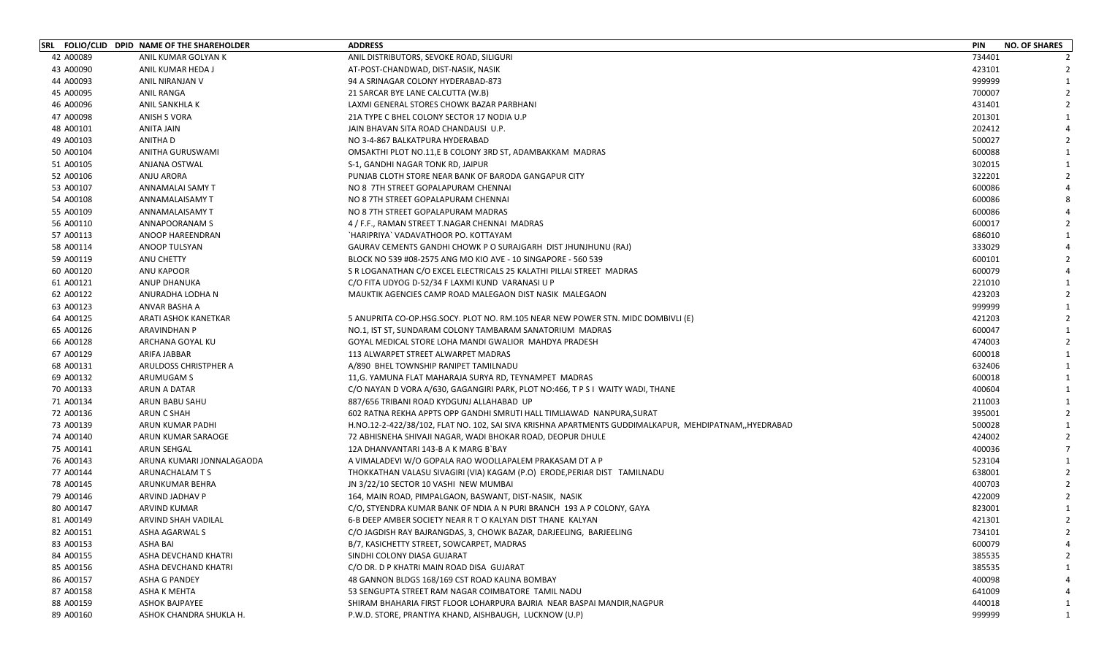|           | SRL FOLIO/CLID DPID NAME OF THE SHAREHOLDER | <b>ADDRESS</b>                                                                                        | <b>PIN</b><br><b>NO. OF SHARES</b> |
|-----------|---------------------------------------------|-------------------------------------------------------------------------------------------------------|------------------------------------|
| 42 A00089 | ANIL KUMAR GOLYAN K                         | ANIL DISTRIBUTORS, SEVOKE ROAD, SILIGURI                                                              | 734401                             |
| 43 A00090 | ANIL KUMAR HEDA J                           | AT-POST-CHANDWAD, DIST-NASIK, NASIK                                                                   | 423101                             |
| 44 A00093 | ANIL NIRANJAN V                             | 94 A SRINAGAR COLONY HYDERABAD-873                                                                    | 999999                             |
| 45 A00095 | ANIL RANGA                                  | 21 SARCAR BYE LANE CALCUTTA (W.B)                                                                     | 700007                             |
| 46 A00096 | <b>ANIL SANKHLA K</b>                       | LAXMI GENERAL STORES CHOWK BAZAR PARBHANI                                                             | 431401                             |
| 47 A00098 | ANISH S VORA                                | 21A TYPE C BHEL COLONY SECTOR 17 NODIA U.P                                                            | 201301                             |
| 48 A00101 | ANITA JAIN                                  | JAIN BHAVAN SITA ROAD CHANDAUSI U.P.                                                                  | 202412                             |
| 49 A00103 | <b>ANITHAD</b>                              | NO 3-4-867 BALKATPURA HYDERABAD                                                                       | 500027                             |
| 50 A00104 | ANITHA GURUSWAMI                            | OMSAKTHI PLOT NO.11,E B COLONY 3RD ST, ADAMBAKKAM MADRAS                                              | 600088                             |
| 51 A00105 | ANJANA OSTWAL                               | S-1, GANDHI NAGAR TONK RD, JAIPUR                                                                     | 302015                             |
| 52 A00106 | <b>ANJU ARORA</b>                           | PUNJAB CLOTH STORE NEAR BANK OF BARODA GANGAPUR CITY                                                  | 322201                             |
| 53 A00107 | ANNAMALAI SAMY T                            | NO 8 7TH STREET GOPALAPURAM CHENNAI                                                                   | 600086                             |
| 54 A00108 | ANNAMALAISAMY T                             | NO 8 7TH STREET GOPALAPURAM CHENNAI                                                                   | 600086                             |
| 55 A00109 | ANNAMALAISAMY T                             | NO 8 7TH STREET GOPALAPURAM MADRAS                                                                    | 600086                             |
| 56 A00110 | ANNAPOORANAM S                              | 4 / F.F., RAMAN STREET T.NAGAR CHENNAI MADRAS                                                         | 600017                             |
| 57 A00113 | ANOOP HAREENDRAN                            | `HARIPRIYA` VADAVATHOOR PO. KOTTAYAM                                                                  | 686010                             |
| 58 A00114 | ANOOP TULSYAN                               | GAURAV CEMENTS GANDHI CHOWK P O SURAJGARH DIST JHUNJHUNU (RAJ)                                        | 333029                             |
| 59 A00119 | ANU CHETTY                                  | BLOCK NO 539 #08-2575 ANG MO KIO AVE - 10 SINGAPORE - 560 539                                         | 600101                             |
| 60 A00120 | ANU KAPOOR                                  | S R LOGANATHAN C/O EXCEL ELECTRICALS 25 KALATHI PILLAI STREET MADRAS                                  | 600079                             |
| 61 A00121 | ANUP DHANUKA                                | C/O FITA UDYOG D-52/34 F LAXMI KUND VARANASI U P                                                      | 221010                             |
| 62 A00122 | ANURADHA LODHA N                            | MAUKTIK AGENCIES CAMP ROAD MALEGAON DIST NASIK MALEGAON                                               | 423203                             |
| 63 A00123 | ANVAR BASHA A                               |                                                                                                       | 999999                             |
| 64 A00125 | ARATI ASHOK KANETKAR                        | 5 ANUPRITA CO-OP.HSG.SOCY. PLOT NO. RM.105 NEAR NEW POWER STN. MIDC DOMBIVLI (E)                      | 421203                             |
| 65 A00126 | <b>ARAVINDHAN P</b>                         | NO.1, IST ST, SUNDARAM COLONY TAMBARAM SANATORIUM MADRAS                                              | 600047                             |
| 66 A00128 | ARCHANA GOYAL KU                            | GOYAL MEDICAL STORE LOHA MANDI GWALIOR MAHDYA PRADESH                                                 | 474003                             |
| 67 A00129 | ARIFA JABBAR                                | 113 ALWARPET STREET ALWARPET MADRAS                                                                   | 600018                             |
| 68 A00131 | ARULDOSS CHRISTPHER A                       | A/890 BHEL TOWNSHIP RANIPET TAMILNADU                                                                 | 632406                             |
| 69 A00132 | ARUMUGAM S                                  | 11, G. YAMUNA FLAT MAHARAJA SURYA RD, TEYNAMPET MADRAS                                                | 600018                             |
| 70 A00133 | ARUN A DATAR                                | C/O NAYAN D VORA A/630, GAGANGIRI PARK, PLOT NO:466, T P S I WAITY WADI, THANE                        | 400604                             |
| 71 A00134 | ARUN BABU SAHU                              | 887/656 TRIBANI ROAD KYDGUNJ ALLAHABAD UP                                                             | 211003                             |
| 72 A00136 | ARUN C SHAH                                 | 602 RATNA REKHA APPTS OPP GANDHI SMRUTI HALL TIMLIAWAD NANPURA, SURAT                                 | 395001                             |
| 73 A00139 | ARUN KUMAR PADHI                            | H.NO.12-2-422/38/102, FLAT NO. 102, SAI SIVA KRISHNA APARTMENTS GUDDIMALKAPUR, MEHDIPATNAM,,HYEDRABAD | 500028                             |
| 74 A00140 | ARUN KUMAR SARAOGE                          | 72 ABHISNEHA SHIVAJI NAGAR, WADI BHOKAR ROAD, DEOPUR DHULE                                            | 424002                             |
| 75 A00141 | ARUN SEHGAL                                 | 12A DHANVANTARI 143-B A K MARG B`BAY                                                                  | 400036                             |
| 76 A00143 | ARUNA KUMARI JONNALAGAODA                   | A VIMALADEVI W/O GOPALA RAO WOOLLAPALEM PRAKASAM DT A P                                               | 523104                             |
| 77 A00144 | ARUNACHALAM T S                             | THOKKATHAN VALASU SIVAGIRI (VIA) KAGAM (P.O) ERODE, PERIAR DIST TAMILNADU                             | 638001                             |
| 78 A00145 | ARUNKUMAR BEHRA                             | JN 3/22/10 SECTOR 10 VASHI NEW MUMBAI                                                                 | 400703                             |
| 79 A00146 | ARVIND JADHAV P                             | 164, MAIN ROAD, PIMPALGAON, BASWANT, DIST-NASIK, NASIK                                                | 422009                             |
| 80 A00147 | <b>ARVIND KUMAR</b>                         | C/O, STYENDRA KUMAR BANK OF NDIA A N PURI BRANCH 193 A P COLONY, GAYA                                 | 823001                             |
| 81 A00149 | ARVIND SHAH VADILAL                         | 6-B DEEP AMBER SOCIETY NEAR R T O KALYAN DIST THANE KALYAN                                            | $\overline{2}$<br>421301           |
| 82 A00151 | ASHA AGARWAL S                              | C/O JAGDISH RAY BAJRANGDAS, 3, CHOWK BAZAR, DARJEELING, BARJEELING                                    | 734101                             |
| 83 A00153 | ASHA BAI                                    | B/7, KASICHETTY STREET, SOWCARPET, MADRAS                                                             | 600079                             |
| 84 A00155 | ASHA DEVCHAND KHATRI                        | SINDHI COLONY DIASA GUJARAT                                                                           | 385535                             |
| 85 A00156 | ASHA DEVCHAND KHATRI                        | C/O DR. D P KHATRI MAIN ROAD DISA GUJARAT                                                             | 385535                             |
| 86 A00157 | ASHA G PANDEY                               | 48 GANNON BLDGS 168/169 CST ROAD KALINA BOMBAY                                                        | 400098                             |
| 87 A00158 | ASHA K MEHTA                                | 53 SENGUPTA STREET RAM NAGAR COIMBATORE TAMIL NADU                                                    | 641009                             |
| 88 A00159 | <b>ASHOK BAJPAYEE</b>                       | SHIRAM BHAHARIA FIRST FLOOR LOHARPURA BAJRIA NEAR BASPAI MANDIR, NAGPUR                               | 440018                             |
| 89 A00160 | ASHOK CHANDRA SHUKLA H.                     | P.W.D. STORE, PRANTIYA KHAND, AISHBAUGH, LUCKNOW (U.P)                                                | 999999                             |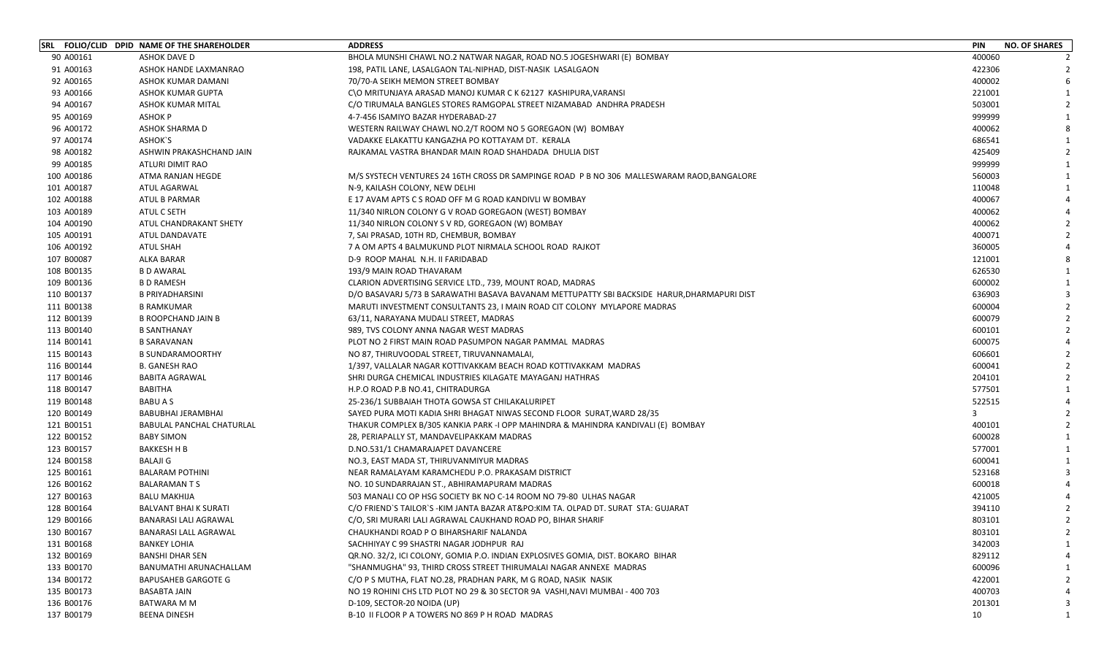|            | SRL FOLIO/CLID DPID NAME OF THE SHAREHOLDER | <b>ADDRESS</b>                                                                              | <b>PIN</b> | <b>NO. OF SHARES</b>    |
|------------|---------------------------------------------|---------------------------------------------------------------------------------------------|------------|-------------------------|
| 90 A00161  | <b>ASHOK DAVE D</b>                         | BHOLA MUNSHI CHAWL NO.2 NATWAR NAGAR, ROAD NO.5 JOGESHWARI (E) BOMBAY                       | 400060     |                         |
| 91 A00163  | ASHOK HANDE LAXMANRAO                       | 198, PATIL LANE, LASALGAON TAL-NIPHAD, DIST-NASIK LASALGAON                                 | 422306     |                         |
| 92 A00165  | ASHOK KUMAR DAMANI                          | 70/70-A SEIKH MEMON STREET BOMBAY                                                           | 400002     |                         |
| 93 A00166  | ASHOK KUMAR GUPTA                           | C\O MRITUNJAYA ARASAD MANOJ KUMAR C K 62127 KASHIPURA, VARANSI                              | 221001     |                         |
| 94 A00167  | ASHOK KUMAR MITAL                           | C/O TIRUMALA BANGLES STORES RAMGOPAL STREET NIZAMABAD ANDHRA PRADESH                        | 503001     |                         |
| 95 A00169  | <b>ASHOK P</b>                              | 4-7-456 ISAMIYO BAZAR HYDERABAD-27                                                          | 999999     |                         |
| 96 A00172  | <b>ASHOK SHARMA D</b>                       | WESTERN RAILWAY CHAWL NO.2/T ROOM NO 5 GOREGAON (W) BOMBAY                                  | 400062     |                         |
| 97 A00174  | ASHOK'S                                     | VADAKKE ELAKATTU KANGAZHA PO KOTTAYAM DT. KERALA                                            | 686541     | -1                      |
| 98 A00182  | ASHWIN PRAKASHCHAND JAIN                    | RAJKAMAL VASTRA BHANDAR MAIN ROAD SHAHDADA DHULIA DIST                                      | 425409     |                         |
| 99 A00185  | ATLURI DIMIT RAO                            |                                                                                             | 999999     |                         |
| 100 A00186 | ATMA RANJAN HEGDE                           | M/S SYSTECH VENTURES 24 16TH CROSS DR SAMPINGE ROAD P B NO 306 MALLESWARAM RAOD, BANGALORE  | 560003     |                         |
| 101 A00187 | ATUL AGARWAL                                | N-9, KAILASH COLONY, NEW DELHI                                                              | 110048     |                         |
| 102 A00188 | <b>ATUL B PARMAR</b>                        | E 17 AVAM APTS C S ROAD OFF M G ROAD KANDIVLI W BOMBAY                                      | 400067     |                         |
| 103 A00189 | ATUL C SETH                                 | 11/340 NIRLON COLONY G V ROAD GOREGAON (WEST) BOMBAY                                        | 400062     |                         |
| 104 A00190 | ATUL CHANDRAKANT SHETY                      | 11/340 NIRLON COLONY S V RD, GOREGAON (W) BOMBAY                                            | 400062     |                         |
| 105 A00191 | ATUL DANDAVATE                              | 7, SAI PRASAD, 10TH RD, CHEMBUR, BOMBAY                                                     | 400071     |                         |
| 106 A00192 | ATUL SHAH                                   | 7 A OM APTS 4 BALMUKUND PLOT NIRMALA SCHOOL ROAD RAJKOT                                     | 360005     |                         |
| 107 B00087 | ALKA BARAR                                  | D-9 ROOP MAHAL N.H. II FARIDABAD                                                            | 121001     |                         |
| 108 B00135 | <b>B D AWARAL</b>                           | 193/9 MAIN ROAD THAVARAM                                                                    | 626530     | $\overline{\mathbf{1}}$ |
| 109 B00136 | <b>B D RAMESH</b>                           | CLARION ADVERTISING SERVICE LTD., 739, MOUNT ROAD, MADRAS                                   | 600002     | -1                      |
| 110 B00137 | <b>B PRIYADHARSINI</b>                      | D/O BASAVARJ 5/73 B SARAWATHI BASAVA BAVANAM METTUPATTY SBI BACKSIDE HARUR, DHARMAPURI DIST | 636903     |                         |
| 111 B00138 | <b>B RAMKUMAR</b>                           | MARUTI INVESTMENT CONSULTANTS 23, I MAIN ROAD CIT COLONY MYLAPORE MADRAS                    | 600004     |                         |
| 112 B00139 | <b>B ROOPCHAND JAIN B</b>                   | 63/11, NARAYANA MUDALI STREET, MADRAS                                                       | 600079     |                         |
| 113 B00140 | <b>B SANTHANAY</b>                          | 989, TVS COLONY ANNA NAGAR WEST MADRAS                                                      | 600101     |                         |
| 114 B00141 | <b>B SARAVANAN</b>                          | PLOT NO 2 FIRST MAIN ROAD PASUMPON NAGAR PAMMAL MADRAS                                      | 600075     |                         |
| 115 B00143 | <b>B SUNDARAMOORTHY</b>                     | NO 87, THIRUVOODAL STREET, TIRUVANNAMALAI,                                                  | 606601     |                         |
| 116 B00144 | <b>B. GANESH RAO</b>                        | 1/397, VALLALAR NAGAR KOTTIVAKKAM BEACH ROAD KOTTIVAKKAM MADRAS                             | 600041     |                         |
| 117 B00146 | <b>BABITA AGRAWAL</b>                       | SHRI DURGA CHEMICAL INDUSTRIES KILAGATE MAYAGANJ HATHRAS                                    | 204101     |                         |
| 118 B00147 | BABITHA                                     | H.P.O ROAD P.B NO.41, CHITRADURGA                                                           | 577501     |                         |
| 119 B00148 | <b>BABUAS</b>                               | 25-236/1 SUBBAIAH THOTA GOWSA ST CHILAKALURIPET                                             | 522515     |                         |
| 120 B00149 | BABUBHAI JERAMBHAI                          | SAYED PURA MOTI KADIA SHRI BHAGAT NIWAS SECOND FLOOR SURAT, WARD 28/35                      | 3          |                         |
| 121 B00151 | BABULAL PANCHAL CHATURLAL                   | THAKUR COMPLEX B/305 KANKIA PARK -I OPP MAHINDRA & MAHINDRA KANDIVALI (E) BOMBAY            | 400101     |                         |
| 122 B00152 | <b>BABY SIMON</b>                           | 28, PERIAPALLY ST, MANDAVELIPAKKAM MADRAS                                                   | 600028     |                         |
| 123 B00157 | <b>BAKKESH H B</b>                          | D.NO.531/1 CHAMARAJAPET DAVANCERE                                                           | 577001     |                         |
| 124 B00158 | BALAJI G                                    | NO.3, EAST MADA ST, THIRUVANMIYUR MADRAS                                                    | 600041     |                         |
| 125 B00161 | <b>BALARAM POTHINI</b>                      | NEAR RAMALAYAM KARAMCHEDU P.O. PRAKASAM DISTRICT                                            | 523168     | 3                       |
| 126 B00162 | <b>BALARAMANTS</b>                          | NO. 10 SUNDARRAJAN ST., ABHIRAMAPURAM MADRAS                                                | 600018     |                         |
| 127 B00163 | <b>BALU MAKHIJA</b>                         | 503 MANALI CO OP HSG SOCIETY BK NO C-14 ROOM NO 79-80 ULHAS NAGAR                           | 421005     |                         |
| 128 B00164 | <b>BALVANT BHAI K SURATI</b>                | C/O FRIEND'S TAILOR'S -KIM JANTA BAZAR AT&PO:KIM TA. OLPAD DT. SURAT STA: GUJARAT           | 394110     |                         |
| 129 B00166 | <b>BANARASI LALI AGRAWAL</b>                | C/O, SRI MURARI LALI AGRAWAL CAUKHAND ROAD PO, BIHAR SHARIF                                 | 803101     | $\overline{2}$          |
| 130 B00167 | <b>BANARASI LALL AGRAWAL</b>                | CHAUKHANDI ROAD P O BIHARSHARIF NALANDA                                                     | 803101     | 2                       |
| 131 B00168 | <b>BANKEY LOHIA</b>                         | SACHHIYAY C 99 SHASTRI NAGAR JODHPUR RAJ                                                    | 342003     |                         |
| 132 B00169 | <b>BANSHI DHAR SEN</b>                      | QR.NO. 32/2, ICI COLONY, GOMIA P.O. INDIAN EXPLOSIVES GOMIA, DIST. BOKARO BIHAR             | 829112     |                         |
| 133 B00170 | BANUMATHI ARUNACHALLAM                      | "SHANMUGHA" 93, THIRD CROSS STREET THIRUMALAI NAGAR ANNEXE MADRAS                           | 600096     |                         |
| 134 B00172 | <b>BAPUSAHEB GARGOTE G</b>                  | C/O P S MUTHA, FLAT NO.28, PRADHAN PARK, M G ROAD, NASIK NASIK                              | 422001     |                         |
| 135 B00173 | <b>BASABTA JAIN</b>                         | NO 19 ROHINI CHS LTD PLOT NO 29 & 30 SECTOR 9A VASHI, NAVI MUMBAI - 400 703                 | 400703     |                         |
| 136 B00176 | BATWARA M M                                 | D-109, SECTOR-20 NOIDA (UP)                                                                 | 201301     | 3                       |
| 137 B00179 | <b>BEENA DINESH</b>                         | B-10 II FLOOR P A TOWERS NO 869 P H ROAD MADRAS                                             | 10         | 1                       |
|            |                                             |                                                                                             |            |                         |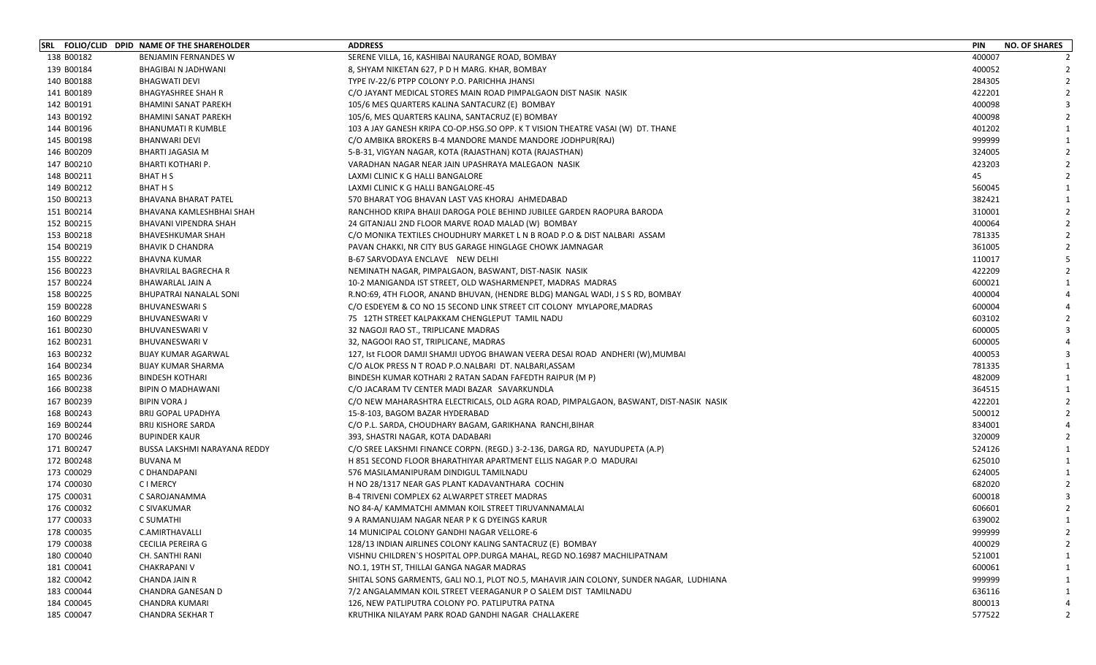|            | SRL FOLIO/CLID DPID NAME OF THE SHAREHOLDER | <b>ADDRESS</b>                                                                          | <b>PIN</b><br><b>NO. OF SHARES</b> |
|------------|---------------------------------------------|-----------------------------------------------------------------------------------------|------------------------------------|
| 138 B00182 | BENJAMIN FERNANDES W                        | SERENE VILLA, 16, KASHIBAI NAURANGE ROAD, BOMBAY                                        | 400007                             |
| 139 B00184 | BHAGIBAI N JADHWANI                         | 8, SHYAM NIKETAN 627, P D H MARG. KHAR, BOMBAY                                          | 400052                             |
| 140 B00188 | <b>BHAGWATI DEVI</b>                        | TYPE IV-22/6 PTPP COLONY P.O. PARICHHA JHANSI                                           | 284305                             |
| 141 B00189 | <b>BHAGYASHREE SHAH R</b>                   | C/O JAYANT MEDICAL STORES MAIN ROAD PIMPALGAON DIST NASIK NASIK                         | 422201                             |
| 142 B00191 | <b>BHAMINI SANAT PAREKH</b>                 | 105/6 MES QUARTERS KALINA SANTACURZ (E) BOMBAY                                          | 400098                             |
| 143 B00192 | <b>BHAMINI SANAT PAREKH</b>                 | 105/6, MES QUARTERS KALINA, SANTACRUZ (E) BOMBAY                                        | 400098                             |
| 144 B00196 | <b>BHANUMATI R KUMBLE</b>                   | 103 A JAY GANESH KRIPA CO-OP.HSG.SO OPP. K T VISION THEATRE VASAI (W) DT. THANE         | 401202                             |
| 145 B00198 | <b>BHANWARI DEVI</b>                        | C/O AMBIKA BROKERS B-4 MANDORE MANDE MANDORE JODHPUR(RAJ)                               | 999999                             |
| 146 B00209 | BHARTI JAGASIA M                            | 5-B-31, VIGYAN NAGAR, KOTA (RAJASTHAN) KOTA (RAJASTHAN)                                 | 324005                             |
| 147 B00210 | <b>BHARTI KOTHARI P.</b>                    | VARADHAN NAGAR NEAR JAIN UPASHRAYA MALEGAON NASIK                                       | 423203                             |
| 148 B00211 | BHAT H S                                    | LAXMI CLINIC K G HALLI BANGALORE                                                        | 45                                 |
| 149 B00212 | BHAT H S                                    | LAXMI CLINIC K G HALLI BANGALORE-45                                                     | 560045                             |
| 150 B00213 | <b>BHAVANA BHARAT PATEL</b>                 | 570 BHARAT YOG BHAVAN LAST VAS KHORAJ AHMEDABAD                                         | 382421                             |
| 151 B00214 | BHAVANA KAMLESHBHAI SHAH                    | RANCHHOD KRIPA BHAIJI DAROGA POLE BEHIND JUBILEE GARDEN RAOPURA BARODA                  | 310001                             |
| 152 B00215 | BHAVANI VIPENDRA SHAH                       | 24 GITANJALI 2ND FLOOR MARVE ROAD MALAD (W) BOMBAY                                      | 400064                             |
| 153 B00218 | <b>BHAVESHKUMAR SHAH</b>                    | C/O MONIKA TEXTILES CHOUDHURY MARKET L N B ROAD P.O & DIST NALBARI ASSAM                | 781335                             |
| 154 B00219 | <b>BHAVIK D CHANDRA</b>                     | PAVAN CHAKKI, NR CITY BUS GARAGE HINGLAGE CHOWK JAMNAGAR                                | 361005                             |
| 155 B00222 | BHAVNA KUMAR                                | <b>B-67 SARVODAYA ENCLAVE NEW DELHI</b>                                                 | 110017                             |
| 156 B00223 | <b>BHAVRILAL BAGRECHA R</b>                 | NEMINATH NAGAR, PIMPALGAON, BASWANT, DIST-NASIK NASIK                                   | 422209                             |
| 157 B00224 | BHAWARLAL JAIN A                            | 10-2 MANIGANDA IST STREET, OLD WASHARMENPET, MADRAS MADRAS                              | 600021                             |
| 158 B00225 | <b>BHUPATRAI NANALAL SONI</b>               | R.NO:69, 4TH FLOOR, ANAND BHUVAN, (HENDRE BLDG) MANGAL WADI, J S S RD, BOMBAY           | 400004                             |
| 159 B00228 | <b>BHUVANESWARI S</b>                       | C/O ESDEYEM & CO NO 15 SECOND LINK STREET CIT COLONY MYLAPORE, MADRAS                   | 600004                             |
| 160 B00229 | <b>BHUVANESWARI V</b>                       | 75 12TH STREET KALPAKKAM CHENGLEPUT TAMIL NADU                                          | 603102                             |
| 161 B00230 | <b>BHUVANESWARI V</b>                       | 32 NAGOJI RAO ST., TRIPLICANE MADRAS                                                    | 600005                             |
| 162 B00231 | <b>BHUVANESWARI V</b>                       | 32, NAGOOI RAO ST, TRIPLICANE, MADRAS                                                   | 600005                             |
| 163 B00232 | <b>BIJAY KUMAR AGARWAL</b>                  | 127, Ist FLOOR DAMJI SHAMJI UDYOG BHAWAN VEERA DESAI ROAD ANDHERI (W), MUMBAI           | 400053                             |
| 164 B00234 | <b>BIJAY KUMAR SHARMA</b>                   | C/O ALOK PRESS N T ROAD P.O.NALBARI DT. NALBARI, ASSAM                                  | 781335                             |
| 165 B00236 | <b>BINDESH KOTHARI</b>                      | BINDESH KUMAR KOTHARI 2 RATAN SADAN FAFEDTH RAIPUR (M P)                                | 482009                             |
| 166 B00238 | BIPIN O MADHAWANI                           | C/O JACARAM TV CENTER MADI BAZAR SAVARKUNDLA                                            | 364515                             |
| 167 B00239 | <b>BIPIN VORA J</b>                         | C/O NEW MAHARASHTRA ELECTRICALS, OLD AGRA ROAD, PIMPALGAON, BASWANT, DIST-NASIK NASIK   | 422201                             |
| 168 B00243 | <b>BRIJ GOPAL UPADHYA</b>                   | 15-8-103, BAGOM BAZAR HYDERABAD                                                         | 500012                             |
| 169 B00244 | <b>BRIJ KISHORE SARDA</b>                   | C/O P.L. SARDA, CHOUDHARY BAGAM, GARIKHANA  RANCHI,BIHAR                                | 834001                             |
| 170 B00246 | <b>BUPINDER KAUR</b>                        | 393, SHASTRI NAGAR, KOTA DADABARI                                                       | 320009                             |
| 171 B00247 | BUSSA LAKSHMI NARAYANA REDDY                | C/O SREE LAKSHMI FINANCE CORPN. (REGD.) 3-2-136, DARGA RD, NAYUDUPETA (A.P)             | 524126                             |
| 172 B00248 | BUVANA M                                    | H 851 SECOND FLOOR BHARATHIYAR APARTMENT ELLIS NAGAR P.O MADURAI                        | 625010                             |
| 173 C00029 | C DHANDAPANI                                | 576 MASILAMANIPURAM DINDIGUL TAMILNADU                                                  | 624005                             |
| 174 C00030 | <b>CIMERCY</b>                              | H NO 28/1317 NEAR GAS PLANT KADAVANTHARA COCHIN                                         | 682020                             |
| 175 C00031 | C SAROJANAMMA                               | B-4 TRIVENI COMPLEX 62 ALWARPET STREET MADRAS                                           | 600018                             |
| 176 C00032 | C SIVAKUMAR                                 | NO 84-A/KAMMATCHI AMMAN KOIL STREET TIRUVANNAMALAI                                      | 606601                             |
| 177 C00033 | C SUMATHI                                   | 9 A RAMANUJAM NAGAR NEAR P K G DYEINGS KARUR                                            | 639002<br>$\mathbf{1}$             |
| 178 C00035 | C.AMIRTHAVALLI                              | 14 MUNICIPAL COLONY GANDHI NAGAR VELLORE-6                                              | 999999                             |
| 179 C00038 | <b>CECILIA PEREIRA G</b>                    | 128/13 INDIAN AIRLINES COLONY KALING SANTACRUZ (E) BOMBAY                               | 400029                             |
| 180 C00040 | CH. SANTHI RANI                             | VISHNU CHILDREN'S HOSPITAL OPP.DURGA MAHAL, REGD NO.16987 MACHILIPATNAM                 | 521001                             |
| 181 C00041 | <b>CHAKRAPANI V</b>                         | NO.1, 19TH ST, THILLAI GANGA NAGAR MADRAS                                               | 600061                             |
| 182 C00042 | <b>CHANDA JAIN R</b>                        | SHITAL SONS GARMENTS, GALI NO.1, PLOT NO.5, MAHAVIR JAIN COLONY, SUNDER NAGAR, LUDHIANA | 999999                             |
| 183 C00044 | CHANDRA GANESAN D                           | 7/2 ANGALAMMAN KOIL STREET VEERAGANUR P O SALEM DIST TAMILNADU                          | 636116                             |
| 184 C00045 | <b>CHANDRA KUMARI</b>                       | 126, NEW PATLIPUTRA COLONY PO. PATLIPUTRA PATNA                                         | 800013                             |
| 185 C00047 | <b>CHANDRA SEKHAR T</b>                     | KRUTHIKA NILAYAM PARK ROAD GANDHI NAGAR CHALLAKERE                                      | 577522<br>2                        |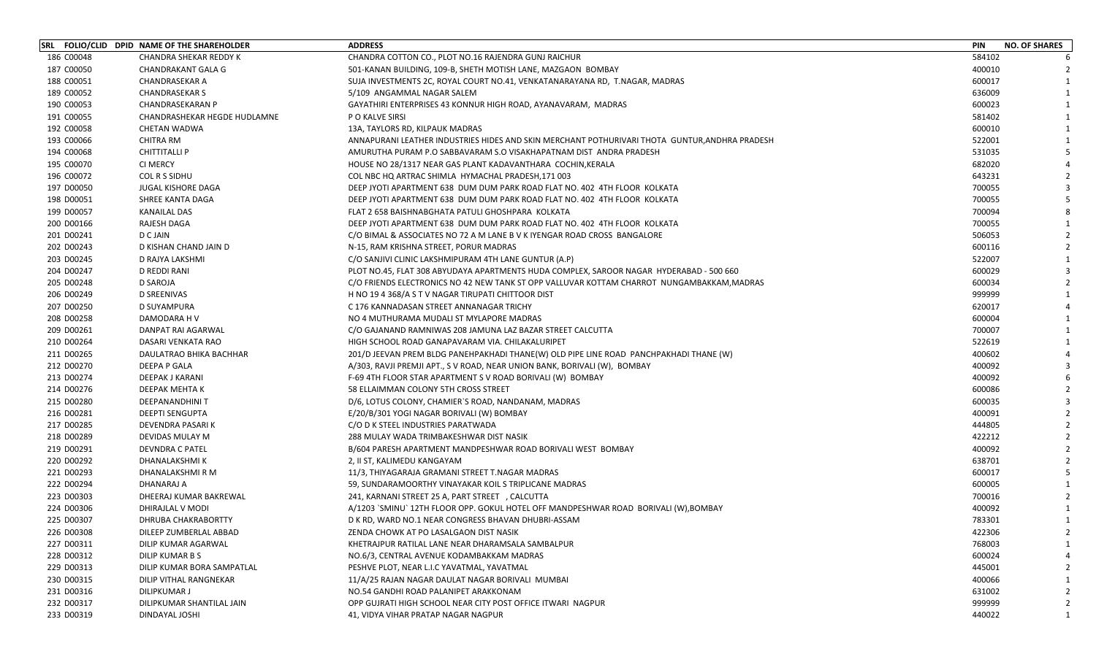|            | SRL FOLIO/CLID DPID NAME OF THE SHAREHOLDER | <b>ADDRESS</b>                                                                                 | <b>PIN</b><br><b>NO. OF SHARES</b> |
|------------|---------------------------------------------|------------------------------------------------------------------------------------------------|------------------------------------|
| 186 C00048 | CHANDRA SHEKAR REDDY K                      | CHANDRA COTTON CO., PLOT NO.16 RAJENDRA GUNJ RAICHUR                                           | 584102                             |
| 187 C00050 | <b>CHANDRAKANT GALA G</b>                   | 501-KANAN BUILDING, 109-B, SHETH MOTISH LANE, MAZGAON BOMBAY                                   | 400010                             |
| 188 C00051 | <b>CHANDRASEKAR A</b>                       | SUJA INVESTMENTS 2C, ROYAL COURT NO.41, VENKATANARAYANA RD, T.NAGAR, MADRAS                    | 600017                             |
| 189 C00052 | <b>CHANDRASEKAR S</b>                       | 5/109 ANGAMMAL NAGAR SALEM                                                                     | 636009                             |
| 190 C00053 | CHANDRASEKARAN P                            | GAYATHIRI ENTERPRISES 43 KONNUR HIGH ROAD, AYANAVARAM, MADRAS                                  | 600023                             |
| 191 C00055 | CHANDRASHEKAR HEGDE HUDLAMNE                | P O KALVE SIRSI                                                                                | 581402                             |
| 192 C00058 | <b>CHETAN WADWA</b>                         | 13A, TAYLORS RD, KILPAUK MADRAS                                                                | 600010                             |
| 193 C00066 | <b>CHITRA RM</b>                            | ANNAPURANI LEATHER INDUSTRIES HIDES AND SKIN MERCHANT POTHURIVARI THOTA GUNTUR, ANDHRA PRADESH | 522001                             |
| 194 C00068 | <b>CHITTITALLI P</b>                        | AMURUTHA PURAM P.O SABBAVARAM S.O VISAKHAPATNAM DIST ANDRA PRADESH                             | 531035                             |
| 195 C00070 | CI MERCY                                    | HOUSE NO 28/1317 NEAR GAS PLANT KADAVANTHARA COCHIN,KERALA                                     | 682020                             |
| 196 C00072 | COL R S SIDHU                               | COL NBC HQ ARTRAC SHIMLA HYMACHAL PRADESH, 171 003                                             | 643231                             |
| 197 D00050 | JUGAL KISHORE DAGA                          | DEEP JYOTI APARTMENT 638 DUM DUM PARK ROAD FLAT NO. 402 4TH FLOOR KOLKATA                      | 700055                             |
| 198 D00051 | SHREE KANTA DAGA                            | DEEP JYOTI APARTMENT 638 DUM DUM PARK ROAD FLAT NO. 402 4TH FLOOR KOLKATA                      | 700055                             |
| 199 D00057 | <b>KANAILAL DAS</b>                         | FLAT 2 658 BAISHNABGHATA PATULI GHOSHPARA KOLKATA                                              | 700094                             |
| 200 D00166 | RAJESH DAGA                                 | DEEP JYOTI APARTMENT 638 DUM DUM PARK ROAD FLAT NO. 402 4TH FLOOR KOLKATA                      | 700055                             |
| 201 D00241 | D C JAIN                                    | C/O BIMAL & ASSOCIATES NO 72 A M LANE B V K IYENGAR ROAD CROSS BANGALORE                       | 506053                             |
| 202 D00243 | D KISHAN CHAND JAIN D                       | N-15, RAM KRISHNA STREET, PORUR MADRAS                                                         | 600116                             |
| 203 D00245 | D RAJYA LAKSHMI                             | C/O SANJIVI CLINIC LAKSHMIPURAM 4TH LANE GUNTUR (A.P)                                          | 522007                             |
| 204 D00247 | D REDDI RANI                                | PLOT NO.45, FLAT 308 ABYUDAYA APARTMENTS HUDA COMPLEX, SAROOR NAGAR  HYDERABAD - 500 660       | 600029                             |
| 205 D00248 | D SAROJA                                    | C/O FRIENDS ELECTRONICS NO 42 NEW TANK ST OPP VALLUVAR KOTTAM CHARROT NUNGAMBAKKAM, MADRAS     | 600034                             |
| 206 D00249 | D SREENIVAS                                 | H NO 19 4 368/A S T V NAGAR TIRUPATI CHITTOOR DIST                                             | 999999                             |
| 207 D00250 | D SUYAMPURA                                 | C 176 KANNADASAN STREET ANNANAGAR TRICHY                                                       | 620017                             |
| 208 D00258 | DAMODARA H V                                | NO 4 MUTHURAMA MUDALI ST MYLAPORE MADRAS                                                       | 600004                             |
| 209 D00261 | DANPAT RAI AGARWAL                          | C/O GAJANAND RAMNIWAS 208 JAMUNA LAZ BAZAR STREET CALCUTTA                                     | 700007                             |
| 210 D00264 | DASARI VENKATA RAO                          | HIGH SCHOOL ROAD GANAPAVARAM VIA. CHILAKALURIPET                                               | 522619                             |
| 211 D00265 | DAULATRAO BHIKA BACHHAR                     | 201/D JEEVAN PREM BLDG PANEHPAKHADI THANE(W) OLD PIPE LINE ROAD PANCHPAKHADI THANE (W)         | 400602                             |
| 212 D00270 | DEEPA P GALA                                | A/303, RAVJI PREMJI APT., S V ROAD, NEAR UNION BANK, BORIVALI (W), BOMBAY                      | 400092                             |
| 213 D00274 | DEEPAK J KARANI                             | F-69 4TH FLOOR STAR APARTMENT S V ROAD BORIVALI (W) BOMBAY                                     | 400092                             |
| 214 D00276 | DEEPAK MEHTA K                              | 58 ELLAIMMAN COLONY 5TH CROSS STREET                                                           | 600086                             |
| 215 D00280 | DEEPANANDHINI T                             | D/6, LOTUS COLONY, CHAMIER`S ROAD, NANDANAM, MADRAS                                            | 600035                             |
| 216 D00281 | <b>DEEPTI SENGUPTA</b>                      | E/20/B/301 YOGI NAGAR BORIVALI (W) BOMBAY                                                      | 400091                             |
| 217 D00285 | DEVENDRA PASARI K                           | C/O D K STEEL INDUSTRIES PARATWADA                                                             | 444805                             |
| 218 D00289 | DEVIDAS MULAY M                             | 288 MULAY WADA TRIMBAKESHWAR DIST NASIK                                                        | 422212                             |
| 219 D00291 | DEVNDRA C PATEL                             | B/604 PARESH APARTMENT MANDPESHWAR ROAD BORIVALI WEST BOMBAY                                   | 400092                             |
| 220 D00292 | DHANALAKSHMI K                              | 2, II ST, KALIMEDU KANGAYAM                                                                    | 638701                             |
| 221 D00293 | DHANALAKSHMI R M                            | 11/3, THIYAGARAJA GRAMANI STREET T.NAGAR MADRAS                                                | 600017                             |
| 222 D00294 | DHANARAJ A                                  | 59, SUNDARAMOORTHY VINAYAKAR KOIL S TRIPLICANE MADRAS                                          | 600005                             |
| 223 D00303 | DHEERAJ KUMAR BAKREWAL                      | 241, KARNANI STREET 25 A, PART STREET, CALCUTTA                                                | 700016                             |
| 224 D00306 | DHIRAJLAL V MODI                            | A/1203 `SMINU` 12TH FLOOR OPP. GOKUL HOTEL OFF MANDPESHWAR ROAD BORIVALI (W), BOMBAY           | 400092                             |
| 225 D00307 | DHRUBA CHAKRABORTTY                         | D K RD, WARD NO.1 NEAR CONGRESS BHAVAN DHUBRI-ASSAM                                            | 783301<br>$\mathbf{1}$             |
| 226 D00308 | DILEEP ZUMBERLAL ABBAD                      | ZENDA CHOWK AT PO LASALGAON DIST NASIK                                                         | 422306                             |
| 227 D00311 | DILIP KUMAR AGARWAL                         | KHETRAJPUR RATILAL LANE NEAR DHARAMSALA SAMBALPUR                                              | 768003                             |
| 228 D00312 | DILIP KUMAR B S                             | NO.6/3, CENTRAL AVENUE KODAMBAKKAM MADRAS                                                      | 600024                             |
| 229 D00313 | DILIP KUMAR BORA SAMPATLAL                  | PESHVE PLOT, NEAR L.I.C YAVATMAL, YAVATMAL                                                     | 445001                             |
| 230 D00315 | DILIP VITHAL RANGNEKAR                      | 11/A/25 RAJAN NAGAR DAULAT NAGAR BORIVALI MUMBAI                                               | 400066                             |
| 231 D00316 | DILIPKUMAR J                                | NO.54 GANDHI ROAD PALANIPET ARAKKONAM                                                          | 631002                             |
| 232 D00317 | DILIPKUMAR SHANTILAL JAIN                   | OPP GUJRATI HIGH SCHOOL NEAR CITY POST OFFICE ITWARI NAGPUR                                    | 999999                             |
| 233 D00319 | DINDAYAL JOSHI                              | 41, VIDYA VIHAR PRATAP NAGAR NAGPUR                                                            | 440022                             |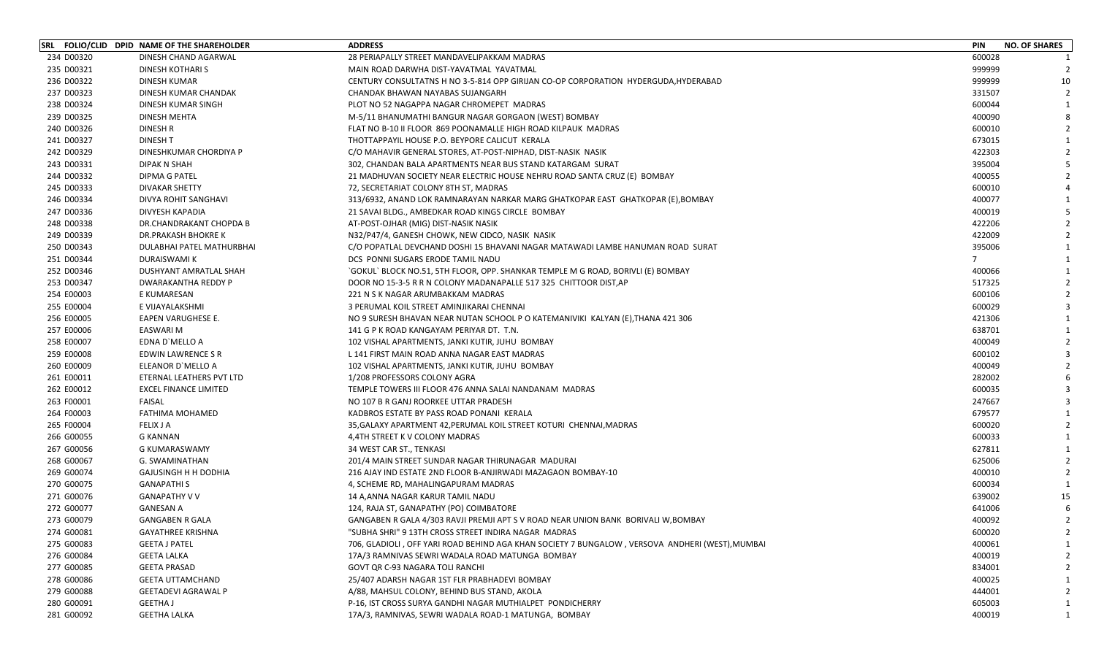|            | SRL FOLIO/CLID DPID NAME OF THE SHAREHOLDER | <b>ADDRESS</b>                                                                                  | <b>PIN</b>     | <b>NO. OF SHARES</b> |
|------------|---------------------------------------------|-------------------------------------------------------------------------------------------------|----------------|----------------------|
| 234 D00320 | DINESH CHAND AGARWAL                        | 28 PERIAPALLY STREET MANDAVELIPAKKAM MADRAS                                                     | 600028         | $\mathbf{1}$         |
| 235 D00321 | DINESH KOTHARI S                            | MAIN ROAD DARWHA DIST-YAVATMAL YAVATMAL                                                         | 999999         | 2                    |
| 236 D00322 | <b>DINESH KUMAR</b>                         | CENTURY CONSULTATNS H NO 3-5-814 OPP GIRIJAN CO-OP CORPORATION HYDERGUDA, HYDERABAD             | 999999         | 10                   |
| 237 D00323 | DINESH KUMAR CHANDAK                        | CHANDAK BHAWAN NAYABAS SUJANGARH                                                                | 331507         | $\overline{2}$       |
| 238 D00324 | DINESH KUMAR SINGH                          | PLOT NO 52 NAGAPPA NAGAR CHROMEPET MADRAS                                                       | 600044         |                      |
| 239 D00325 | DINESH MEHTA                                | M-5/11 BHANUMATHI BANGUR NAGAR GORGAON (WEST) BOMBAY                                            | 400090         |                      |
| 240 D00326 | DINESH R                                    | FLAT NO B-10 II FLOOR 869 POONAMALLE HIGH ROAD KILPAUK MADRAS                                   | 600010         |                      |
| 241 D00327 | <b>DINESH T</b>                             | THOTTAPPAYIL HOUSE P.O. BEYPORE CALICUT KERALA                                                  | 673015         |                      |
| 242 D00329 | DINESHKUMAR CHORDIYA P                      | C/O MAHAVIR GENERAL STORES, AT-POST-NIPHAD, DIST-NASIK NASIK                                    | 422303         |                      |
| 243 D00331 | DIPAK N SHAH                                | 302, CHANDAN BALA APARTMENTS NEAR BUS STAND KATARGAM SURAT                                      | 395004         |                      |
| 244 D00332 | DIPMA G PATEL                               | 21 MADHUVAN SOCIETY NEAR ELECTRIC HOUSE NEHRU ROAD SANTA CRUZ (E) BOMBAY                        | 400055         |                      |
| 245 D00333 | DIVAKAR SHETTY                              | 72, SECRETARIAT COLONY 8TH ST, MADRAS                                                           | 600010         |                      |
| 246 D00334 | DIVYA ROHIT SANGHAVI                        | 313/6932, ANAND LOK RAMNARAYAN NARKAR MARG GHATKOPAR EAST GHATKOPAR (E),BOMBAY                  | 400077         |                      |
| 247 D00336 | DIVYESH KAPADIA                             | 21 SAVAI BLDG., AMBEDKAR ROAD KINGS CIRCLE BOMBAY                                               | 400019         |                      |
| 248 D00338 | DR.CHANDRAKANT CHOPDA B                     | AT-POST-OJHAR (MIG) DIST-NASIK NASIK                                                            | 422206         |                      |
| 249 D00339 | DR.PRAKASH BHOKRE K                         | N32/P47/4, GANESH CHOWK, NEW CIDCO, NASIK NASIK                                                 | 422009         |                      |
| 250 D00343 | DULABHAI PATEL MATHURBHAI                   | C/O POPATLAL DEVCHAND DOSHI 15 BHAVANI NAGAR MATAWADI LAMBE HANUMAN ROAD SURAT                  | 395006         |                      |
| 251 D00344 | DURAISWAMI K                                | DCS PONNI SUGARS ERODE TAMIL NADU                                                               | $\overline{7}$ |                      |
| 252 D00346 | DUSHYANT AMRATLAL SHAH                      | `GOKUL` BLOCK NO.51, 5TH FLOOR, OPP. SHANKAR TEMPLE M G ROAD, BORIVLI (E) BOMBAY                | 400066         |                      |
| 253 D00347 | DWARAKANTHA REDDY P                         | DOOR NO 15-3-5 R R N COLONY MADANAPALLE 517 325 CHITTOOR DIST, AP                               | 517325         |                      |
| 254 E00003 | E KUMARESAN                                 | 221 N S K NAGAR ARUMBAKKAM MADRAS                                                               | 600106         |                      |
| 255 E00004 | E VIJAYALAKSHMI                             | 3 PERUMAL KOIL STREET AMINJIKARAI CHENNAI                                                       | 600029         |                      |
| 256 E00005 | EAPEN VARUGHESE E.                          | NO 9 SURESH BHAVAN NEAR NUTAN SCHOOL P O KATEMANIVIKI KALYAN (E), THANA 421 306                 | 421306         |                      |
| 257 E00006 | <b>EASWARI M</b>                            | 141 G P K ROAD KANGAYAM PERIYAR DT. T.N.                                                        | 638701         |                      |
| 258 E00007 | EDNA D'MELLO A                              | 102 VISHAL APARTMENTS, JANKI KUTIR, JUHU BOMBAY                                                 | 400049         |                      |
| 259 E00008 | EDWIN LAWRENCE S R                          | L 141 FIRST MAIN ROAD ANNA NAGAR EAST MADRAS                                                    | 600102         |                      |
| 260 E00009 | ELEANOR D'MELLO A                           | 102 VISHAL APARTMENTS, JANKI KUTIR, JUHU BOMBAY                                                 | 400049         |                      |
| 261 E00011 | ETERNAL LEATHERS PVT LTD                    | 1/208 PROFESSORS COLONY AGRA                                                                    | 282002         |                      |
| 262 E00012 | <b>EXCEL FINANCE LIMITED</b>                | TEMPLE TOWERS III FLOOR 476 ANNA SALAI NANDANAM MADRAS                                          | 600035         |                      |
| 263 F00001 | <b>FAISAL</b>                               | NO 107 B R GANJ ROORKEE UTTAR PRADESH                                                           | 247667         |                      |
| 264 F00003 | FATHIMA MOHAMED                             | KADBROS ESTATE BY PASS ROAD PONANI KERALA                                                       | 679577         |                      |
| 265 F00004 | <b>FELIX J A</b>                            | 35, GALAXY APARTMENT 42, PERUMAL KOIL STREET KOTURI CHENNAI, MADRAS                             | 600020         |                      |
| 266 G00055 | G KANNAN                                    | 4,4TH STREET K V COLONY MADRAS                                                                  | 600033         |                      |
| 267 G00056 | G KUMARASWAMY                               | 34 WEST CAR ST., TENKASI                                                                        | 627811         |                      |
| 268 G00067 | G. SWAMINATHAN                              | 201/4 MAIN STREET SUNDAR NAGAR THIRUNAGAR MADURAI                                               | 625006         |                      |
| 269 G00074 | <b>GAJUSINGH H H DODHIA</b>                 | 216 AJAY IND ESTATE 2ND FLOOR B-ANJIRWADI MAZAGAON BOMBAY-10                                    | 400010         |                      |
| 270 G00075 | <b>GANAPATHIS</b>                           | 4, SCHEME RD, MAHALINGAPURAM MADRAS                                                             | 600034         |                      |
| 271 G00076 | <b>GANAPATHY V V</b>                        | 14 A,ANNA NAGAR KARUR TAMIL NADU                                                                | 639002         | 15                   |
| 272 G00077 | <b>GANESAN A</b>                            | 124, RAJA ST, GANAPATHY (PO) COIMBATORE                                                         | 641006         |                      |
| 273 G00079 | <b>GANGABEN R GALA</b>                      | GANGABEN R GALA 4/303 RAVJI PREMJI APT S V ROAD NEAR UNION BANK BORIVALI W,BOMBAY               | 400092         | $\overline{2}$       |
| 274 G00081 | <b>GAYATHREE KRISHNA</b>                    | "SUBHA SHRI" 9 13TH CROSS STREET INDIRA NAGAR MADRAS                                            | 600020         |                      |
| 275 G00083 | <b>GEETA J PATEL</b>                        | 706, GLADIOLI, OFF YARI ROAD BEHIND AGA KHAN SOCIETY 7 BUNGALOW, VERSOVA ANDHERI (WEST), MUMBAI | 400061         |                      |
| 276 G00084 | <b>GEETA LALKA</b>                          | 17A/3 RAMNIVAS SEWRI WADALA ROAD MATUNGA BOMBAY                                                 | 400019         |                      |
| 277 G00085 | <b>GEETA PRASAD</b>                         | GOVT QR C-93 NAGARA TOLI RANCHI                                                                 | 834001         |                      |
| 278 G00086 | <b>GEETA UTTAMCHAND</b>                     | 25/407 ADARSH NAGAR 1ST FLR PRABHADEVI BOMBAY                                                   | 400025         |                      |
| 279 G00088 | <b>GEETADEVI AGRAWAL P</b>                  | A/88, MAHSUL COLONY, BEHIND BUS STAND, AKOLA                                                    | 444001         |                      |
| 280 G00091 | <b>GEETHA J</b>                             | P-16, IST CROSS SURYA GANDHI NAGAR MUTHIALPET PONDICHERRY                                       | 605003         |                      |
| 281 G00092 | <b>GEETHA LALKA</b>                         | 17A/3, RAMNIVAS, SEWRI WADALA ROAD-1 MATUNGA, BOMBAY                                            | 400019         |                      |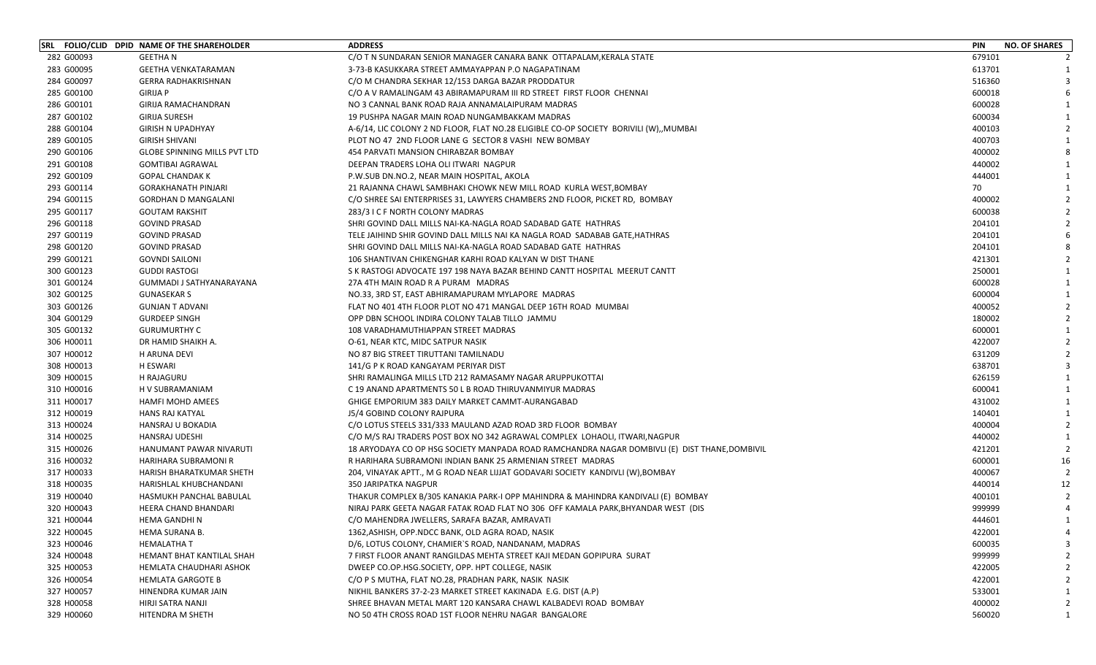|            | SRL FOLIO/CLID DPID NAME OF THE SHAREHOLDER | <b>ADDRESS</b>                                                                                | <b>PIN</b> | <b>NO. OF SHARES</b> |
|------------|---------------------------------------------|-----------------------------------------------------------------------------------------------|------------|----------------------|
| 282 G00093 | <b>GEETHAN</b>                              | C/O T N SUNDARAN SENIOR MANAGER CANARA BANK OTTAPALAM.KERALA STATE                            | 679101     |                      |
| 283 G00095 | <b>GEETHA VENKATARAMAN</b>                  | 3-73-B KASUKKARA STREET AMMAYAPPAN P.O NAGAPATINAM                                            | 613701     |                      |
| 284 G00097 | <b>GERRA RADHAKRISHNAN</b>                  | C/O M CHANDRA SEKHAR 12/153 DARGA BAZAR PRODDATUR                                             | 516360     |                      |
| 285 G00100 | <b>GIRIJA P</b>                             | C/O A V RAMALINGAM 43 ABIRAMAPURAM III RD STREET FIRST FLOOR CHENNAI                          | 600018     |                      |
| 286 G00101 | GIRIJA RAMACHANDRAN                         | NO 3 CANNAL BANK ROAD RAJA ANNAMALAIPURAM MADRAS                                              | 600028     |                      |
| 287 G00102 | <b>GIRIJA SURESH</b>                        | 19 PUSHPA NAGAR MAIN ROAD NUNGAMBAKKAM MADRAS                                                 | 600034     |                      |
| 288 G00104 | <b>GIRISH N UPADHYAY</b>                    | A-6/14, LIC COLONY 2 ND FLOOR, FLAT NO.28 ELIGIBLE CO-OP SOCIETY BORIVILI (W), MUMBAI         | 400103     |                      |
| 289 G00105 | <b>GIRISH SHIVANI</b>                       | PLOT NO 47 2ND FLOOR LANE G SECTOR 8 VASHI NEW BOMBAY                                         | 400703     |                      |
| 290 G00106 | <b>GLOBE SPINNING MILLS PVT LTD</b>         | 454 PARVATI MANSION CHIRABZAR BOMBAY                                                          | 400002     |                      |
| 291 G00108 | <b>GOMTIBAI AGRAWAL</b>                     | DEEPAN TRADERS LOHA OLI ITWARI NAGPUR                                                         | 440002     |                      |
| 292 G00109 | <b>GOPAL CHANDAK K</b>                      | P.W.SUB DN.NO.2, NEAR MAIN HOSPITAL, AKOLA                                                    | 444001     |                      |
| 293 G00114 | <b>GORAKHANATH PINJARI</b>                  | 21 RAJANNA CHAWL SAMBHAKI CHOWK NEW MILL ROAD KURLA WEST, BOMBAY                              | 70         |                      |
| 294 G00115 | <b>GORDHAN D MANGALANI</b>                  | C/O SHREE SAI ENTERPRISES 31, LAWYERS CHAMBERS 2ND FLOOR, PICKET RD, BOMBAY                   | 400002     |                      |
| 295 G00117 | <b>GOUTAM RAKSHIT</b>                       | 283/3 I C F NORTH COLONY MADRAS                                                               | 600038     |                      |
| 296 G00118 | <b>GOVIND PRASAD</b>                        | SHRI GOVIND DALL MILLS NAI-KA-NAGLA ROAD SADABAD GATE HATHRAS                                 | 204101     |                      |
| 297 G00119 | <b>GOVIND PRASAD</b>                        | TELE JAIHIND SHIR GOVIND DALL MILLS NAI KA NAGLA ROAD SADABAB GATE, HATHRAS                   | 204101     |                      |
| 298 G00120 | <b>GOVIND PRASAD</b>                        | SHRI GOVIND DALL MILLS NAI-KA-NAGLA ROAD SADABAD GATE HATHRAS                                 | 204101     |                      |
| 299 G00121 | <b>GOVNDI SAILONI</b>                       | 106 SHANTIVAN CHIKENGHAR KARHI ROAD KALYAN W DIST THANE                                       | 421301     |                      |
| 300 G00123 | <b>GUDDI RASTOGI</b>                        | S K RASTOGI ADVOCATE 197 198 NAYA BAZAR BEHIND CANTT HOSPITAL MEERUT CANTT                    | 250001     |                      |
| 301 G00124 | GUMMADI J SATHYANARAYANA                    | 27A 4TH MAIN ROAD R A PURAM MADRAS                                                            | 600028     |                      |
| 302 G00125 | <b>GUNASEKAR S</b>                          | NO.33, 3RD ST, EAST ABHIRAMAPURAM MYLAPORE MADRAS                                             | 600004     |                      |
| 303 G00126 | <b>GUNJAN T ADVANI</b>                      | FLAT NO 401 4TH FLOOR PLOT NO 471 MANGAL DEEP 16TH ROAD MUMBAI                                | 400052     |                      |
| 304 G00129 | <b>GURDEEP SINGH</b>                        | OPP DBN SCHOOL INDIRA COLONY TALAB TILLO JAMMU                                                | 180002     |                      |
| 305 G00132 | <b>GURUMURTHY C</b>                         | 108 VARADHAMUTHIAPPAN STREET MADRAS                                                           | 600001     |                      |
| 306 H00011 | DR HAMID SHAIKH A.                          | O-61, NEAR KTC, MIDC SATPUR NASIK                                                             | 422007     |                      |
| 307 H00012 | H ARUNA DEVI                                | NO 87 BIG STREET TIRUTTANI TAMILNADU                                                          | 631209     |                      |
| 308 H00013 | <b>H ESWARI</b>                             | 141/G P K ROAD KANGAYAM PERIYAR DIST                                                          | 638701     |                      |
| 309 H00015 | H RAJAGURU                                  | SHRI RAMALINGA MILLS LTD 212 RAMASAMY NAGAR ARUPPUKOTTAI                                      | 626159     |                      |
| 310 H00016 | H V SUBRAMANIAM                             | C 19 ANAND APARTMENTS 50 L B ROAD THIRUVANMIYUR MADRAS                                        | 600041     |                      |
| 311 H00017 | <b>HAMFI MOHD AMEES</b>                     | GHIGE EMPORIUM 383 DAILY MARKET CAMMT-AURANGABAD                                              | 431002     |                      |
| 312 H00019 | <b>HANS RAJ KATYAL</b>                      | J5/4 GOBIND COLONY RAJPURA                                                                    | 140401     |                      |
| 313 H00024 | HANSRAJ U BOKADIA                           | C/O LOTUS STEELS 331/333 MAULAND AZAD ROAD 3RD FLOOR BOMBAY                                   | 400004     |                      |
| 314 H00025 | HANSRAJ UDESHI                              | C/O M/S RAJ TRADERS POST BOX NO 342 AGRAWAL COMPLEX LOHAOLI, ITWARI, NAGPUR                   | 440002     |                      |
| 315 H00026 | HANUMANT PAWAR NIVARUTI                     | 18 ARYODAYA CO OP HSG SOCIETY MANPADA ROAD RAMCHANDRA NAGAR DOMBIVLI (E)  DIST THANE,DOMBIVIL | 421201     |                      |
| 316 H00032 | HARIHARA SUBRAMONI R                        | R HARIHARA SUBRAMONI INDIAN BANK 25 ARMENIAN STREET MADRAS                                    | 600001     | 16                   |
| 317 H00033 | HARISH BHARATKUMAR SHETH                    | 204, VINAYAK APTT., M G ROAD NEAR LIJJAT GODAVARI SOCIETY KANDIVLI (W), BOMBAY                | 400067     |                      |
| 318 H00035 | HARISHLAL KHUBCHANDANI                      | <b>350 JARIPATKA NAGPUR</b>                                                                   | 440014     | 12                   |
| 319 H00040 | HASMUKH PANCHAL BABULAL                     | THAKUR COMPLEX B/305 KANAKIA PARK-I OPP MAHINDRA & MAHINDRA KANDIVALI (E) BOMBAY              | 400101     |                      |
| 320 H00043 | HEERA CHAND BHANDARI                        | NIRAJ PARK GEETA NAGAR FATAK ROAD FLAT NO 306 OFF KAMALA PARK, BHYANDAR WEST (DIS             | 999999     |                      |
| 321 H00044 | <b>HEMA GANDHIN</b>                         | C/O MAHENDRA JWELLERS, SARAFA BAZAR, AMRAVATI                                                 | 444601     |                      |
| 322 H00045 | HEMA SURANA B.                              | 1362, ASHISH, OPP.NDCC BANK, OLD AGRA ROAD, NASIK                                             | 422001     |                      |
| 323 H00046 | <b>HEMALATHA T</b>                          | D/6, LOTUS COLONY, CHAMIER'S ROAD, NANDANAM, MADRAS                                           | 600035     |                      |
| 324 H00048 | HEMANT BHAT KANTILAL SHAH                   | 7 FIRST FLOOR ANANT RANGILDAS MEHTA STREET KAJI MEDAN GOPIPURA SURAT                          | 999999     |                      |
| 325 H00053 | HEMLATA CHAUDHARI ASHOK                     | DWEEP CO.OP.HSG.SOCIETY, OPP. HPT COLLEGE, NASIK                                              | 422005     |                      |
| 326 H00054 | <b>HEMLATA GARGOTE B</b>                    | C/O P S MUTHA, FLAT NO.28, PRADHAN PARK, NASIK NASIK                                          | 422001     |                      |
| 327 H00057 | HINENDRA KUMAR JAIN                         | NIKHIL BANKERS 37-2-23 MARKET STREET KAKINADA E.G. DIST (A.P)                                 | 533001     |                      |
| 328 H00058 | HIRJI SATRA NANJI                           | SHREE BHAVAN METAL MART 120 KANSARA CHAWL KALBADEVI ROAD BOMBAY                               | 400002     |                      |
| 329 H00060 | HITENDRA M SHETH                            | NO 50 4TH CROSS ROAD 1ST FLOOR NEHRU NAGAR BANGALORE                                          | 560020     |                      |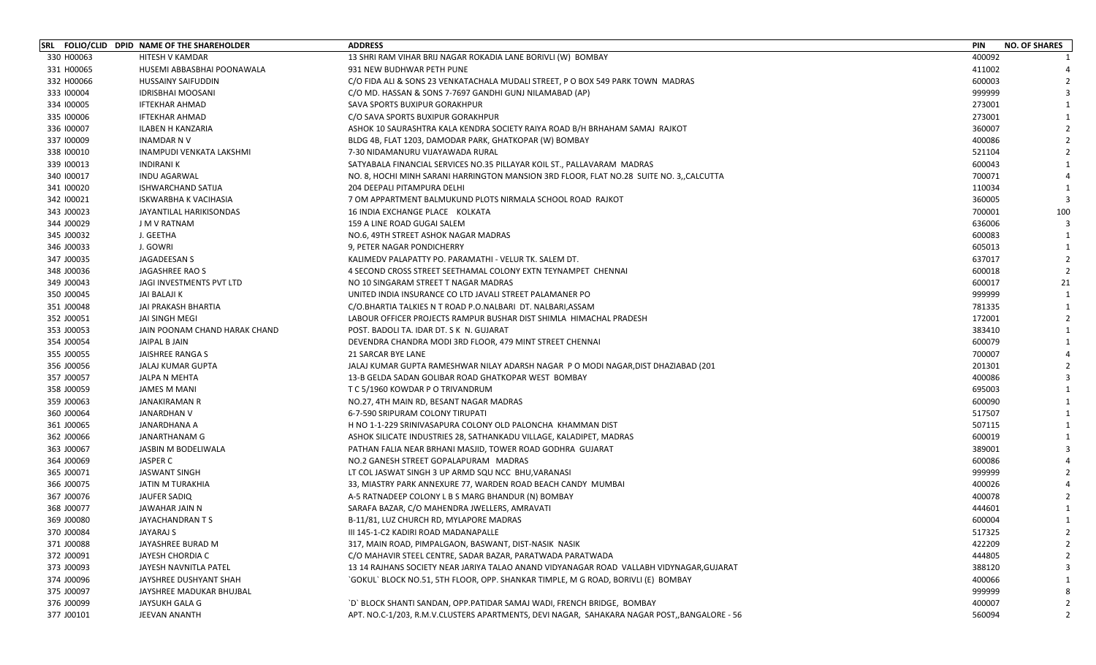|            | SRL FOLIO/CLID DPID NAME OF THE SHAREHOLDER | <b>ADDRESS</b>                                                                              | <b>PIN</b> | <b>NO. OF SHARES</b>     |
|------------|---------------------------------------------|---------------------------------------------------------------------------------------------|------------|--------------------------|
| 330 H00063 | <b>HITESH V KAMDAR</b>                      | 13 SHRI RAM VIHAR BRIJ NAGAR ROKADIA LANE BORIVLI (W) BOMBAY                                | 400092     |                          |
| 331 H00065 | HUSEMI ABBASBHAI POONAWALA                  | 931 NEW BUDHWAR PETH PUNE                                                                   | 411002     |                          |
| 332 H00066 | <b>HUSSAINY SAIFUDDIN</b>                   | C/O FIDA ALI & SONS 23 VENKATACHALA MUDALI STREET, P O BOX 549 PARK TOWN MADRAS             | 600003     |                          |
| 333 100004 | <b>IDRISBHAI MOOSANI</b>                    | C/O MD. HASSAN & SONS 7-7697 GANDHI GUNJ NILAMABAD (AP)                                     | 999999     |                          |
| 334 100005 | <b>IFTEKHAR AHMAD</b>                       | SAVA SPORTS BUXIPUR GORAKHPUR                                                               | 273001     |                          |
| 335 100006 | <b>IFTEKHAR AHMAD</b>                       | C/O SAVA SPORTS BUXIPUR GORAKHPUR                                                           | 273001     |                          |
| 336 100007 | ILABEN H KANZARIA                           | ASHOK 10 SAURASHTRA KALA KENDRA SOCIETY RAIYA ROAD B/H BRHAHAM SAMAJ RAJKOT                 | 360007     | $\mathcal{L}$            |
| 337 100009 | <b>INAMDAR NV</b>                           | BLDG 4B, FLAT 1203, DAMODAR PARK, GHATKOPAR (W) BOMBAY                                      | 400086     |                          |
| 338 100010 | INAMPUDI VENKATA LAKSHMI                    | 7-30 NIDAMANURU VIJAYAWADA RURAL                                                            | 521104     | $\mathcal{P}$            |
| 339 100013 | <b>INDIRANI K</b>                           | SATYABALA FINANCIAL SERVICES NO.35 PILLAYAR KOIL ST., PALLAVARAM MADRAS                     | 600043     |                          |
| 340 100017 | <b>INDU AGARWAL</b>                         | NO. 8, HOCHI MINH SARANI HARRINGTON MANSION 3RD FLOOR, FLAT NO.28 SUITE NO. 3,,CALCUTTA     | 700071     |                          |
| 341 100020 | ISHWARCHAND SATIJA                          | 204 DEEPALI PITAMPURA DELHI                                                                 | 110034     |                          |
| 342 100021 | ISKWARBHA K VACIHASIA                       | 7 OM APPARTMENT BALMUKUND PLOTS NIRMALA SCHOOL ROAD RAJKOT                                  | 360005     | 3                        |
| 343 J00023 | JAYANTILAL HARIKISONDAS                     | 16 INDIA EXCHANGE PLACE KOLKATA                                                             | 700001     | 100                      |
| 344 J00029 | J M V RATNAM                                | 159 A LINE ROAD GUGAI SALEM                                                                 | 636006     |                          |
| 345 J00032 | J. GEETHA                                   | NO.6, 49TH STREET ASHOK NAGAR MADRAS                                                        | 600083     |                          |
| 346 J00033 | J. GOWRI                                    | 9, PETER NAGAR PONDICHERRY                                                                  | 605013     |                          |
| 347 J00035 | JAGADEESAN S                                | KALIMEDV PALAPATTY PO. PARAMATHI - VELUR TK. SALEM DT.                                      | 637017     | $\mathcal{P}$            |
| 348 J00036 | JAGASHREE RAO S                             | 4 SECOND CROSS STREET SEETHAMAL COLONY EXTN TEYNAMPET CHENNAI                               | 600018     | $\mathcal{P}$            |
| 349 J00043 | JAGI INVESTMENTS PVT LTD                    | NO 10 SINGARAM STREET T NAGAR MADRAS                                                        | 600017     | 21                       |
| 350 J00045 | JAI BALAJI K                                | UNITED INDIA INSURANCE CO LTD JAVALI STREET PALAMANER PO                                    | 999999     | -1                       |
| 351 J00048 | JAI PRAKASH BHARTIA                         | C/O.BHARTIA TALKIES N T ROAD P.O.NALBARI DT. NALBARI,ASSAM                                  | 781335     |                          |
| 352 J00051 | <b>JAI SINGH MEGI</b>                       | LABOUR OFFICER PROJECTS RAMPUR BUSHAR DIST SHIMLA HIMACHAL PRADESH                          | 172001     | $\overline{\phantom{0}}$ |
| 353 J00053 | JAIN POONAM CHAND HARAK CHAND               | POST. BADOLI TA. IDAR DT. S K N. GUJARAT                                                    | 383410     |                          |
| 354 J00054 | JAIPAL B JAIN                               | DEVENDRA CHANDRA MODI 3RD FLOOR, 479 MINT STREET CHENNAI                                    | 600079     |                          |
| 355 J00055 | JAISHREE RANGA S                            | 21 SARCAR BYE LANE                                                                          | 700007     |                          |
| 356 J00056 | JALAJ KUMAR GUPTA                           | JALAJ KUMAR GUPTA RAMESHWAR NILAY ADARSH NAGAR P O MODI NAGAR, DIST DHAZIABAD (201          | 201301     |                          |
| 357 J00057 | JALPA N MEHTA                               | 13-B GELDA SADAN GOLIBAR ROAD GHATKOPAR WEST BOMBAY                                         | 400086     |                          |
| 358 J00059 | <b>JAMES M MANI</b>                         | T C 5/1960 KOWDAR P O TRIVANDRUM                                                            | 695003     |                          |
| 359 J00063 | <b>JANAKIRAMAN R</b>                        | NO.27, 4TH MAIN RD, BESANT NAGAR MADRAS                                                     | 600090     | $\mathbf{1}$             |
| 360 J00064 | JANARDHAN V                                 | 6-7-590 SRIPURAM COLONY TIRUPATI                                                            | 517507     |                          |
| 361 J00065 | JANARDHANA A                                | H NO 1-1-229 SRINIVASAPURA COLONY OLD PALONCHA KHAMMAN DIST                                 | 507115     |                          |
| 362 J00066 | JANARTHANAM G                               | ASHOK SILICATE INDUSTRIES 28, SATHANKADU VILLAGE, KALADIPET, MADRAS                         | 600019     |                          |
| 363 J00067 | JASBIN M BODELIWALA                         | PATHAN FALIA NEAR BRHANI MASJID, TOWER ROAD GODHRA GUJARAT                                  | 389001     |                          |
| 364 J00069 | JASPER C                                    | NO.2 GANESH STREET GOPALAPURAM MADRAS                                                       | 600086     |                          |
| 365 J00071 | <b>JASWANT SINGH</b>                        | LT COL JASWAT SINGH 3 UP ARMD SQU NCC BHU, VARANASI                                         | 999999     |                          |
| 366 J00075 | JATIN M TURAKHIA                            | 33, MIASTRY PARK ANNEXURE 77, WARDEN ROAD BEACH CANDY MUMBAI                                | 400026     |                          |
| 367 J00076 | JAUFER SADIQ                                | A-5 RATNADEEP COLONY L B S MARG BHANDUR (N) BOMBAY                                          | 400078     |                          |
| 368 J00077 | JAWAHAR JAIN N                              | SARAFA BAZAR, C/O MAHENDRA JWELLERS, AMRAVATI                                               | 444601     |                          |
| 369 J00080 | JAYACHANDRAN T S                            | B-11/81, LUZ CHURCH RD, MYLAPORE MADRAS                                                     | 600004     | 1                        |
| 370 J00084 | JAYARAJ S                                   | III 145-1-C2 KADIRI ROAD MADANAPALLE                                                        | 517325     | $\mathcal{P}$            |
| 371 J00088 | JAYASHREE BURAD M                           | 317, MAIN ROAD, PIMPALGAON, BASWANT, DIST-NASIK NASIK                                       | 422209     |                          |
| 372 J00091 | JAYESH CHORDIA C                            | C/O MAHAVIR STEEL CENTRE, SADAR BAZAR, PARATWADA PARATWADA                                  | 444805     |                          |
| 373 J00093 | JAYESH NAVNITLA PATEL                       | 13 14 RAJHANS SOCIETY NEAR JARIYA TALAO ANAND VIDYANAGAR ROAD VALLABH VIDYNAGAR, GUJARAT    | 388120     |                          |
| 374 J00096 | JAYSHREE DUSHYANT SHAH                      | `GOKUL` BLOCK NO.51, 5TH FLOOR, OPP. SHANKAR TIMPLE, M G ROAD, BORIVLI (E) BOMBAY           | 400066     |                          |
| 375 J00097 | JAYSHREE MADUKAR BHUJBAL                    |                                                                                             | 999999     |                          |
| 376 J00099 | JAYSUKH GALA G                              | `D` BLOCK SHANTI SANDAN, OPP.PATIDAR SAMAJ WADI, FRENCH BRIDGE, BOMBAY                      | 400007     |                          |
| 377 J00101 | JEEVAN ANANTH                               | APT. NO.C-1/203, R.M.V.CLUSTERS APARTMENTS, DEVI NAGAR, SAHAKARA NAGAR POST,,BANGALORE - 56 | 560094     | 2                        |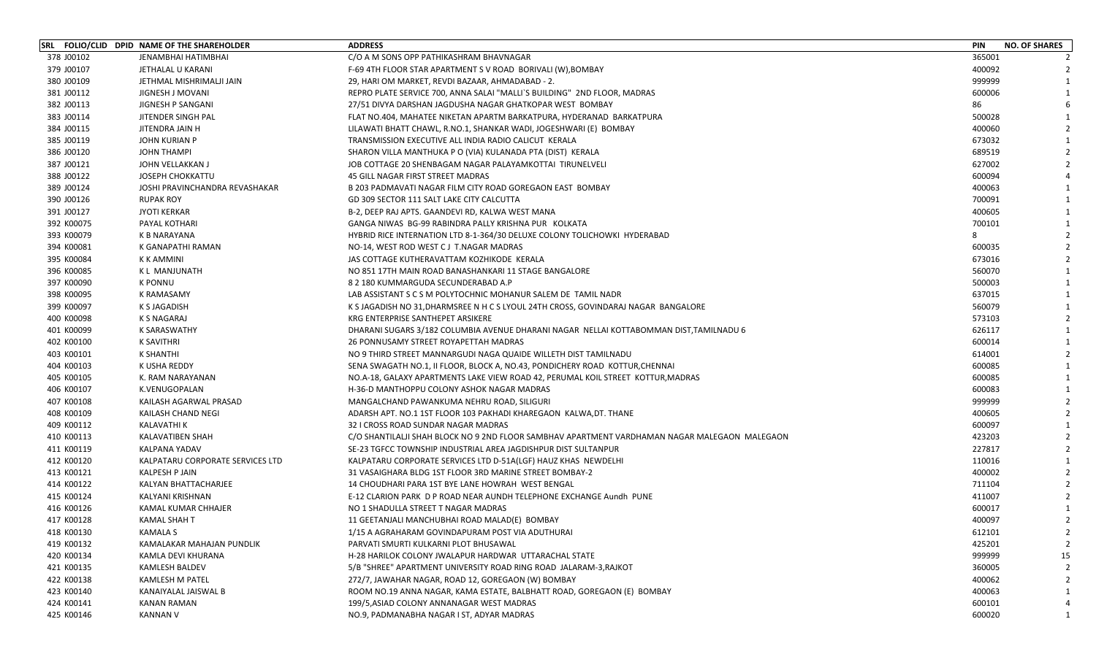|            | SRL FOLIO/CLID DPID NAME OF THE SHAREHOLDER | <b>ADDRESS</b>                                                                                | <b>PIN</b><br><b>NO. OF SHARES</b> |
|------------|---------------------------------------------|-----------------------------------------------------------------------------------------------|------------------------------------|
| 378 J00102 | <b>JENAMBHAI HATIMBHAI</b>                  | C/O A M SONS OPP PATHIKASHRAM BHAVNAGAR                                                       | 365001                             |
| 379 J00107 | JETHALAL U KARANI                           | F-69 4TH FLOOR STAR APARTMENT S V ROAD BORIVALI (W), BOMBAY                                   | 400092                             |
| 380 J00109 | JETHMAL MISHRIMALJI JAIN                    | 29, HARI OM MARKET, REVDI BAZAAR, AHMADABAD - 2.                                              | 999999                             |
| 381 J00112 | JIGNESH J MOVANI                            | REPRO PLATE SERVICE 700, ANNA SALAI "MALLI`S BUILDING" 2ND FLOOR, MADRAS                      | 600006                             |
| 382 J00113 | JIGNESH P SANGANI                           | 27/51 DIVYA DARSHAN JAGDUSHA NAGAR GHATKOPAR WEST BOMBAY                                      | 86                                 |
| 383 J00114 | JITENDER SINGH PAL                          | FLAT NO.404, MAHATEE NIKETAN APARTM BARKATPURA, HYDERANAD BARKATPURA                          | 500028                             |
| 384 J00115 | JITENDRA JAIN H                             | LILAWATI BHATT CHAWL, R.NO.1, SHANKAR WADI, JOGESHWARI (E) BOMBAY                             | 400060                             |
| 385 J00119 | <b>JOHN KURIAN P</b>                        | TRANSMISSION EXECUTIVE ALL INDIA RADIO CALICUT KERALA                                         | 673032                             |
| 386 J00120 | JOHN THAMPI                                 | SHARON VILLA MANTHUKA P O (VIA) KULANADA PTA (DIST) KERALA                                    | 689519                             |
| 387 J00121 | JOHN VELLAKKAN J                            | JOB COTTAGE 20 SHENBAGAM NAGAR PALAYAMKOTTAI  TIRUNELVELI                                     | 627002                             |
| 388 J00122 | <b>JOSEPH CHOKKATTU</b>                     | 45 GILL NAGAR FIRST STREET MADRAS                                                             | 600094                             |
| 389 J00124 | JOSHI PRAVINCHANDRA REVASHAKAR              | B 203 PADMAVATI NAGAR FILM CITY ROAD GOREGAON EAST BOMBAY                                     | 400063                             |
| 390 J00126 | <b>RUPAK ROY</b>                            | GD 309 SECTOR 111 SALT LAKE CITY CALCUTTA                                                     | 700091                             |
| 391 J00127 | <b>JYOTI KERKAR</b>                         | B-2, DEEP RAJ APTS. GAANDEVI RD, KALWA WEST MANA                                              | 400605                             |
| 392 K00075 | PAYAL KOTHARI                               | GANGA NIWAS BG-99 RABINDRA PALLY KRISHNA PUR KOLKATA                                          | 700101                             |
| 393 K00079 | K B NARAYANA                                | HYBRID RICE INTERNATION LTD 8-1-364/30 DELUXE COLONY TOLICHOWKI HYDERABAD                     |                                    |
| 394 K00081 | K GANAPATHI RAMAN                           | NO-14, WEST ROD WEST C J T.NAGAR MADRAS                                                       | 600035                             |
| 395 K00084 | K K AMMINI                                  | JAS COTTAGE KUTHERAVATTAM KOZHIKODE KERALA                                                    | 673016                             |
| 396 K00085 | K L MANJUNATH                               | NO 851 17TH MAIN ROAD BANASHANKARI 11 STAGE BANGALORE                                         | 560070                             |
| 397 K00090 | <b>K PONNU</b>                              | 8 2 180 KUMMARGUDA SECUNDERABAD A.P                                                           | 500003                             |
| 398 K00095 | <b>K RAMASAMY</b>                           | LAB ASSISTANT S C S M POLYTOCHNIC MOHANUR SALEM DE TAMIL NADR                                 | 637015                             |
| 399 K00097 | K S JAGADISH                                | K S JAGADISH NO 31, DHARMSREE N H C S LYOUL 24TH CROSS, GOVINDARAJ NAGAR BANGALORE            | 560079                             |
| 400 K00098 | K S NAGARAJ                                 | KRG ENTERPRISE SANTHEPET ARSIKERE                                                             | 573103                             |
| 401 K00099 | <b>K SARASWATHY</b>                         | DHARANI SUGARS 3/182 COLUMBIA AVENUE DHARANI NAGAR NELLAI KOTTABOMMAN DIST,TAMILNADU 6        | 626117                             |
| 402 K00100 | <b>K SAVITHRI</b>                           | 26 PONNUSAMY STREET ROYAPETTAH MADRAS                                                         | 600014                             |
| 403 K00101 | K SHANTHI                                   | NO 9 THIRD STREET MANNARGUDI NAGA QUAIDE WILLETH DIST TAMILNADU                               | 614001                             |
| 404 K00103 | K USHA REDDY                                | SENA SWAGATH NO.1, II FLOOR, BLOCK A, NO.43, PONDICHERY ROAD KOTTUR, CHENNAI                  | 600085                             |
| 405 K00105 | K. RAM NARAYANAN                            | NO.A-18, GALAXY APARTMENTS LAKE VIEW ROAD 42, PERUMAL KOIL STREET KOTTUR, MADRAS              | 600085                             |
| 406 K00107 | K.VENUGOPALAN                               | H-36-D MANTHOPPU COLONY ASHOK NAGAR MADRAS                                                    | 600083                             |
| 407 K00108 | KAILASH AGARWAL PRASAD                      | MANGALCHAND PAWANKUMA NEHRU ROAD, SILIGURI                                                    | 999999                             |
| 408 K00109 | KAILASH CHAND NEGI                          | ADARSH APT. NO.1 1ST FLOOR 103 PAKHADI KHAREGAON KALWA, DT. THANE                             | 400605                             |
| 409 K00112 | <b>KALAVATHI K</b>                          | 32 I CROSS ROAD SUNDAR NAGAR MADRAS                                                           | 600097                             |
| 410 K00113 | KALAVATIBEN SHAH                            | C/O SHANTILALJI SHAH BLOCK NO 9 2ND FLOOR SAMBHAV APARTMENT VARDHAMAN NAGAR MALEGAON MALEGAON | 423203                             |
| 411 K00119 | KALPANA YADAV                               | SE-23 TGFCC TOWNSHIP INDUSTRIAL AREA JAGDISHPUR DIST SULTANPUR                                | 227817                             |
| 412 K00120 | KALPATARU CORPORATE SERVICES LTD            | KALPATARU CORPORATE SERVICES LTD D-51A(LGF) HAUZ KHAS NEWDELHI                                | 110016                             |
| 413 K00121 | <b>KALPESH P JAIN</b>                       | 31 VASAIGHARA BLDG 1ST FLOOR 3RD MARINE STREET BOMBAY-2                                       | 400002                             |
| 414 K00122 | KALYAN BHATTACHARJEE                        | 14 CHOUDHARI PARA 1ST BYE LANE HOWRAH WEST BENGAL                                             | 711104                             |
| 415 K00124 | KALYANI KRISHNAN                            | E-12 CLARION PARK D P ROAD NEAR AUNDH TELEPHONE EXCHANGE Aundh PUNE                           | 411007                             |
| 416 K00126 | KAMAL KUMAR CHHAJER                         | NO 1 SHADULLA STREET T NAGAR MADRAS                                                           | 600017                             |
| 417 K00128 | <b>KAMAL SHAH T</b>                         | 11 GEETANJALI MANCHUBHAI ROAD MALAD(E) BOMBAY                                                 | 400097<br>$\overline{2}$           |
| 418 K00130 | <b>KAMALA S</b>                             | 1/15 A AGRAHARAM GOVINDAPURAM POST VIA ADUTHURAI                                              | 612101                             |
| 419 K00132 | KAMALAKAR MAHAJAN PUNDLIK                   | PARVATI SMURTI KULKARNI PLOT BHUSAWAL                                                         | 425201                             |
| 420 K00134 | KAMLA DEVI KHURANA                          | H-28 HARILOK COLONY JWALAPUR HARDWAR UTTARACHAL STATE                                         | 999999<br>15                       |
| 421 K00135 | KAMLESH BALDEV                              | 5/B "SHREE" APARTMENT UNIVERSITY ROAD RING ROAD JALARAM-3, RAJKOT                             | 360005                             |
| 422 K00138 | KAMLESH M PATEL                             | 272/7, JAWAHAR NAGAR, ROAD 12, GOREGAON (W) BOMBAY                                            | 400062                             |
| 423 K00140 | KANAIYALAL JAISWAL B                        |                                                                                               | 400063                             |
| 424 K00141 | <b>KANAN RAMAN</b>                          | 199/5, ASIAD COLONY ANNANAGAR WEST MADRAS                                                     | 600101                             |
| 425 K00146 | <b>KANNAN V</b>                             | NO.9, PADMANABHA NAGAR I ST, ADYAR MADRAS                                                     | 600020                             |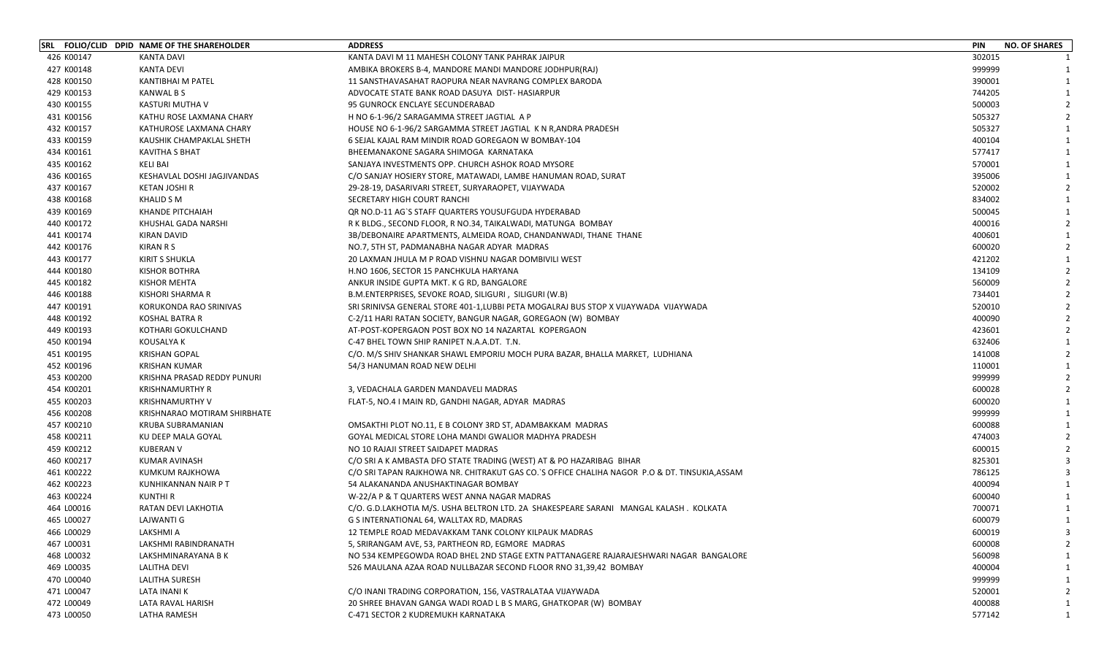|            | SRL FOLIO/CLID DPID NAME OF THE SHAREHOLDER | <b>ADDRESS</b>                                                                                 | <b>PIN</b> | <b>NO. OF SHARES</b> |                |
|------------|---------------------------------------------|------------------------------------------------------------------------------------------------|------------|----------------------|----------------|
| 426 K00147 | <b>KANTA DAVI</b>                           | KANTA DAVI M 11 MAHESH COLONY TANK PAHRAK JAIPUR                                               | 302015     |                      |                |
| 427 K00148 | <b>KANTA DEVI</b>                           | AMBIKA BROKERS B-4, MANDORE MANDI MANDORE JODHPUR(RAJ)                                         | 999999     |                      |                |
| 428 K00150 | <b>KANTIBHAI M PATEL</b>                    | 11 SANSTHAVASAHAT RAOPURA NEAR NAVRANG COMPLEX BARODA                                          | 390001     |                      |                |
| 429 K00153 | KANWAL B S                                  | ADVOCATE STATE BANK ROAD DASUYA DIST- HASIARPUR                                                | 744205     |                      |                |
| 430 K00155 | KASTURI MUTHA V                             | 95 GUNROCK ENCLAYE SECUNDERABAD                                                                | 500003     |                      |                |
| 431 K00156 | KATHU ROSE LAXMANA CHARY                    | H NO 6-1-96/2 SARAGAMMA STREET JAGTIAL A P                                                     | 505327     |                      |                |
| 432 K00157 | KATHUROSE LAXMANA CHARY                     | HOUSE NO 6-1-96/2 SARGAMMA STREET JAGTIAL K N R, ANDRA PRADESH                                 | 505327     |                      |                |
| 433 K00159 | KAUSHIK CHAMPAKLAL SHETH                    | 6 SEJAL KAJAL RAM MINDIR ROAD GOREGAON W BOMBAY-104                                            | 400104     |                      | 1              |
| 434 K00161 | <b>KAVITHA S BHAT</b>                       | BHEEMANAKONE SAGARA SHIMOGA KARNATAKA                                                          | 577417     |                      |                |
| 435 K00162 | KELI BAI                                    | SANJAYA INVESTMENTS OPP. CHURCH ASHOK ROAD MYSORE                                              | 570001     |                      |                |
| 436 K00165 | KESHAVLAL DOSHI JAGJIVANDAS                 | C/O SANJAY HOSIERY STORE, MATAWADI, LAMBE HANUMAN ROAD, SURAT                                  | 395006     |                      |                |
| 437 K00167 | KETAN JOSHI R                               | 29-28-19, DASARIVARI STREET, SURYARAOPET, VIJAYWADA                                            | 520002     |                      |                |
| 438 K00168 | <b>KHALID S M</b>                           | SECRETARY HIGH COURT RANCHI                                                                    | 834002     |                      |                |
| 439 K00169 | KHANDE PITCHAIAH                            | QR NO.D-11 AG`S STAFF QUARTERS YOUSUFGUDA HYDERABAD                                            | 500045     |                      |                |
| 440 K00172 | KHUSHAL GADA NARSHI                         | R K BLDG., SECOND FLOOR, R NO.34, TAIKALWADI, MATUNGA BOMBAY                                   | 400016     |                      | $\overline{2}$ |
| 441 K00174 | KIRAN DAVID                                 | 3B/DEBONAIRE APARTMENTS, ALMEIDA ROAD, CHANDANWADI, THANE THANE                                | 400601     |                      |                |
| 442 K00176 | KIRAN R S                                   | NO.7, 5TH ST, PADMANABHA NAGAR ADYAR MADRAS                                                    | 600020     |                      |                |
| 443 K00177 | KIRIT S SHUKLA                              | 20 LAXMAN JHULA M P ROAD VISHNU NAGAR DOMBIVILI WEST                                           | 421202     |                      |                |
| 444 K00180 | <b>KISHOR BOTHRA</b>                        | H.NO 1606, SECTOR 15 PANCHKULA HARYANA                                                         | 134109     |                      |                |
| 445 K00182 | KISHOR MEHTA                                | ANKUR INSIDE GUPTA MKT. K G RD, BANGALORE                                                      | 560009     |                      |                |
| 446 K00188 | KISHORI SHARMA R                            | B.M.ENTERPRISES, SEVOKE ROAD, SILIGURI, SILIGURI (W.B)                                         | 734401     |                      |                |
| 447 K00191 | KORUKONDA RAO SRINIVAS                      | SRI SRINIVSA GENERAL STORE 401-1, LUBBI PETA MOGALRAJ BUS STOP X VIJAYWADA VIJAYWADA           | 520010     |                      |                |
| 448 K00192 | KOSHAL BATRA R                              | C-2/11 HARI RATAN SOCIETY, BANGUR NAGAR, GOREGAON (W) BOMBAY                                   | 400090     |                      |                |
| 449 K00193 | KOTHARI GOKULCHAND                          | AT-POST-KOPERGAON POST BOX NO 14 NAZARTAL KOPERGAON                                            | 423601     |                      |                |
| 450 K00194 | KOUSALYA K                                  | C-47 BHEL TOWN SHIP RANIPET N.A.A.DT. T.N.                                                     | 632406     |                      |                |
| 451 K00195 | <b>KRISHAN GOPAL</b>                        | C/O. M/S SHIV SHANKAR SHAWL EMPORIU MOCH PURA BAZAR, BHALLA MARKET, LUDHIANA                   | 141008     |                      |                |
| 452 K00196 | <b>KRISHAN KUMAR</b>                        | 54/3 HANUMAN ROAD NEW DELHI                                                                    | 110001     |                      |                |
| 453 K00200 | KRISHNA PRASAD REDDY PUNURI                 |                                                                                                | 999999     |                      |                |
| 454 K00201 | <b>KRISHNAMURTHY R</b>                      | 3, VEDACHALA GARDEN MANDAVELI MADRAS                                                           | 600028     |                      |                |
| 455 K00203 | <b>KRISHNAMURTHY V</b>                      | FLAT-5, NO.4 I MAIN RD, GANDHI NAGAR, ADYAR MADRAS                                             | 600020     |                      |                |
| 456 K00208 | KRISHNARAO MOTIRAM SHIRBHATE                |                                                                                                | 999999     |                      |                |
| 457 K00210 | KRUBA SUBRAMANIAN                           | OMSAKTHI PLOT NO.11, E B COLONY 3RD ST, ADAMBAKKAM MADRAS                                      | 600088     |                      |                |
| 458 K00211 | KU DEEP MALA GOYAL                          | GOYAL MEDICAL STORE LOHA MANDI GWALIOR MADHYA PRADESH                                          | 474003     |                      |                |
| 459 K00212 | <b>KUBERAN V</b>                            | NO 10 RAJAJI STREET SAIDAPET MADRAS                                                            | 600015     |                      |                |
| 460 K00217 | KUMAR AVINASH                               | C/O SRI A K AMBASTA DFO STATE TRADING (WEST) AT & PO HAZARIBAG BIHAR                           | 825301     |                      |                |
| 461 K00222 | KUMKUM RAJKHOWA                             | C/O SRI TAPAN RAJKHOWA NR. CHITRAKUT GAS CO. `S OFFICE CHALIHA NAGOR P.O & DT. TINSUKIA, ASSAM | 786125     |                      |                |
| 462 K00223 | KUNHIKANNAN NAIR P T                        | 54 ALAKANANDA ANUSHAKTINAGAR BOMBAY                                                            | 400094     |                      |                |
| 463 K00224 | KUNTHI R                                    | W-22/A P & T QUARTERS WEST ANNA NAGAR MADRAS                                                   | 600040     |                      |                |
| 464 L00016 | RATAN DEVI LAKHOTIA                         | C/O. G.D.LAKHOTIA M/S. USHA BELTRON LTD. 2A SHAKESPEARE SARANI MANGAL KALASH. KOLKATA          | 700071     |                      |                |
| 465 L00027 | <b>LAJWANTI G</b>                           | G S INTERNATIONAL 64, WALLTAX RD, MADRAS                                                       | 600079     | $\mathbf{1}$         |                |
| 466 L00029 | LAKSHMI A                                   | 12 TEMPLE ROAD MEDAVAKKAM TANK COLONY KILPAUK MADRAS                                           | 600019     |                      |                |
| 467 L00031 | LAKSHMI RABINDRANATH                        | 5, SRIRANGAM AVE, 53, PARTHEON RD, EGMORE MADRAS                                               | 600008     |                      |                |
| 468 L00032 | LAKSHMINARAYANA B K                         | NO 534 KEMPEGOWDA ROAD BHEL 2ND STAGE EXTN PATTANAGERE RAJARAJESHWARI NAGAR BANGALORE          | 560098     |                      |                |
| 469 L00035 | <b>LALITHA DEVI</b>                         | 526 MAULANA AZAA ROAD NULLBAZAR SECOND FLOOR RNO 31,39,42 BOMBAY                               | 400004     |                      |                |
| 470 L00040 | LALITHA SURESH                              |                                                                                                | 999999     |                      |                |
| 471 L00047 | LATA INANI K                                | C/O INANI TRADING CORPORATION, 156, VASTRALATAA VIJAYWADA                                      | 520001     |                      |                |
| 472 L00049 | LATA RAVAL HARISH                           | 20 SHREE BHAVAN GANGA WADI ROAD L B S MARG, GHATKOPAR (W) BOMBAY                               | 400088     |                      |                |
| 473 L00050 | LATHA RAMESH                                | C-471 SECTOR 2 KUDREMUKH KARNATAKA                                                             | 577142     |                      |                |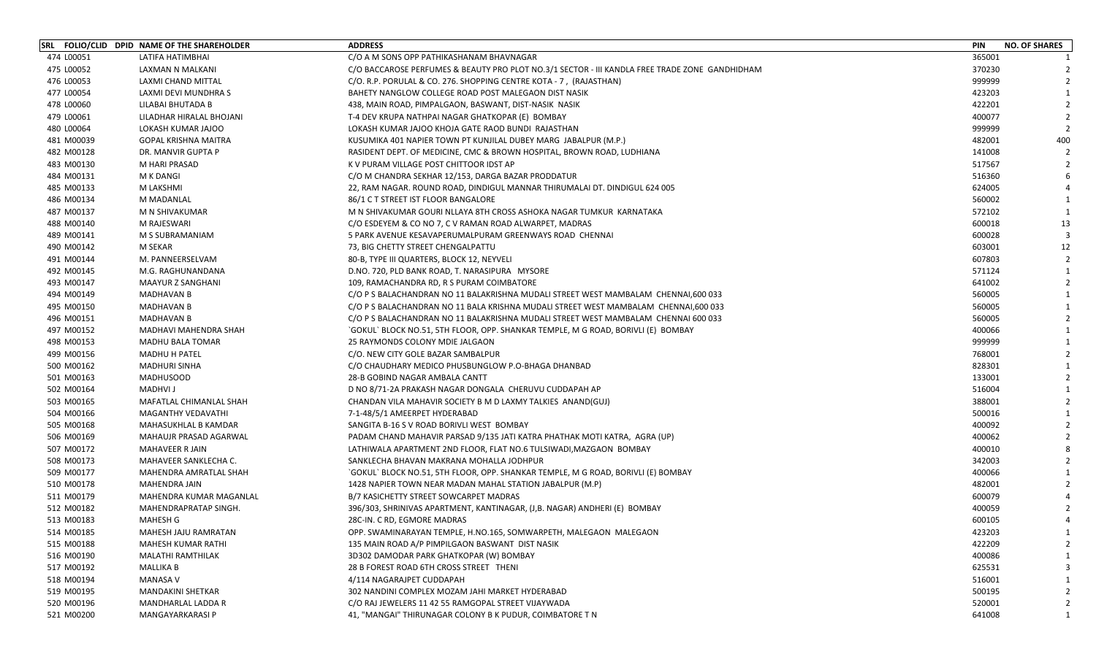| 474 L00051<br>LATIFA HATIMBHAI<br>C/O A M SONS OPP PATHIKASHANAM BHAVNAGAR<br>475 L00052<br>C/O BACCAROSE PERFUMES & BEAUTY PRO PLOT NO.3/1 SECTOR - III KANDLA FREE TRADE ZONE GANDHIDHAM<br>LAXMAN N MALKANI<br>476 L00053<br>LAXMI CHAND MITTAL<br>C/O. R.P. PORULAL & CO. 276. SHOPPING CENTRE KOTA - 7, (RAJASTHAN)<br>477 L00054<br>BAHETY NANGLOW COLLEGE ROAD POST MALEGAON DIST NASIK<br>LAXMI DEVI MUNDHRA S<br>478 L00060<br>LILABAI BHUTADA B<br>438, MAIN ROAD, PIMPALGAON, BASWANT, DIST-NASIK NASIK<br>479 L00061<br>LILADHAR HIRALAL BHOJANI<br>T-4 DEV KRUPA NATHPAI NAGAR GHATKOPAR (E) BOMBAY<br>480 L00064<br>LOKASH KUMAR JAJOO<br>LOKASH KUMAR JAJOO KHOJA GATE RAOD BUNDI RAJASTHAN | 365001<br>370230<br>999999<br>423203<br>422201<br>400077<br>999999<br>482001<br>141008<br>517567<br>516360 | 400            |
|------------------------------------------------------------------------------------------------------------------------------------------------------------------------------------------------------------------------------------------------------------------------------------------------------------------------------------------------------------------------------------------------------------------------------------------------------------------------------------------------------------------------------------------------------------------------------------------------------------------------------------------------------------------------------------------------------------|------------------------------------------------------------------------------------------------------------|----------------|
|                                                                                                                                                                                                                                                                                                                                                                                                                                                                                                                                                                                                                                                                                                            |                                                                                                            |                |
|                                                                                                                                                                                                                                                                                                                                                                                                                                                                                                                                                                                                                                                                                                            |                                                                                                            |                |
|                                                                                                                                                                                                                                                                                                                                                                                                                                                                                                                                                                                                                                                                                                            |                                                                                                            |                |
|                                                                                                                                                                                                                                                                                                                                                                                                                                                                                                                                                                                                                                                                                                            |                                                                                                            |                |
|                                                                                                                                                                                                                                                                                                                                                                                                                                                                                                                                                                                                                                                                                                            |                                                                                                            |                |
|                                                                                                                                                                                                                                                                                                                                                                                                                                                                                                                                                                                                                                                                                                            |                                                                                                            |                |
|                                                                                                                                                                                                                                                                                                                                                                                                                                                                                                                                                                                                                                                                                                            |                                                                                                            |                |
| 481 M00039<br><b>GOPAL KRISHNA MAITRA</b><br>KUSUMIKA 401 NAPIER TOWN PT KUNJILAL DUBEY MARG JABALPUR (M.P.)                                                                                                                                                                                                                                                                                                                                                                                                                                                                                                                                                                                               |                                                                                                            |                |
| 482 M00128<br>DR. MANVIR GUPTA P<br>RASIDENT DEPT. OF MEDICINE, CMC & BROWN HOSPITAL, BROWN ROAD, LUDHIANA                                                                                                                                                                                                                                                                                                                                                                                                                                                                                                                                                                                                 |                                                                                                            |                |
| 483 M00130<br>M HARI PRASAD<br>K V PURAM VILLAGE POST CHITTOOR IDST AP                                                                                                                                                                                                                                                                                                                                                                                                                                                                                                                                                                                                                                     |                                                                                                            |                |
| 484 M00131<br>M K DANGI<br>C/O M CHANDRA SEKHAR 12/153, DARGA BAZAR PRODDATUR                                                                                                                                                                                                                                                                                                                                                                                                                                                                                                                                                                                                                              |                                                                                                            |                |
| 485 M00133<br>M LAKSHMI<br>22, RAM NAGAR. ROUND ROAD, DINDIGUL MANNAR THIRUMALAI DT. DINDIGUL 624 005                                                                                                                                                                                                                                                                                                                                                                                                                                                                                                                                                                                                      | 624005                                                                                                     |                |
| 486 M00134<br>M MADANLAL<br>86/1 C T STREET IST FLOOR BANGALORE                                                                                                                                                                                                                                                                                                                                                                                                                                                                                                                                                                                                                                            | 560002                                                                                                     |                |
| 487 M00137<br>M N SHIVAKUMAR GOURI NLLAYA 8TH CROSS ASHOKA NAGAR TUMKUR KARNATAKA<br>M N SHIVAKUMAR                                                                                                                                                                                                                                                                                                                                                                                                                                                                                                                                                                                                        | 572102                                                                                                     |                |
| 488 M00140<br>M RAJESWARI<br>C/O ESDEYEM & CO NO 7, C V RAMAN ROAD ALWARPET, MADRAS                                                                                                                                                                                                                                                                                                                                                                                                                                                                                                                                                                                                                        | 600018                                                                                                     | 13             |
| 489 M00141<br>M S SUBRAMANIAM<br>5 PARK AVENUE KESAVAPERUMALPURAM GREENWAYS ROAD CHENNAI                                                                                                                                                                                                                                                                                                                                                                                                                                                                                                                                                                                                                   | 600028                                                                                                     |                |
| 490 M00142<br>M SEKAR<br>73, BIG CHETTY STREET CHENGALPATTU                                                                                                                                                                                                                                                                                                                                                                                                                                                                                                                                                                                                                                                | 603001                                                                                                     | 12             |
| 491 M00144<br>M. PANNEERSELVAM<br>80-B, TYPE III QUARTERS, BLOCK 12, NEYVELI                                                                                                                                                                                                                                                                                                                                                                                                                                                                                                                                                                                                                               | 607803                                                                                                     | $\overline{2}$ |
| 492 M00145<br>M.G. RAGHUNANDANA<br>D.NO. 720, PLD BANK ROAD, T. NARASIPURA MYSORE                                                                                                                                                                                                                                                                                                                                                                                                                                                                                                                                                                                                                          | 571124                                                                                                     | $\mathbf{1}$   |
| 493 M00147<br><b>MAAYUR Z SANGHANI</b><br>109, RAMACHANDRA RD, R S PURAM COIMBATORE                                                                                                                                                                                                                                                                                                                                                                                                                                                                                                                                                                                                                        | 641002                                                                                                     |                |
| 494 M00149<br><b>MADHAVAN B</b><br>C/O P S BALACHANDRAN NO 11 BALAKRISHNA MUDALI STREET WEST MAMBALAM CHENNAI,600 033                                                                                                                                                                                                                                                                                                                                                                                                                                                                                                                                                                                      | 560005                                                                                                     |                |
| 495 M00150<br><b>MADHAVAN B</b><br>C/O P S BALACHANDRAN NO 11 BALA KRISHNA MUDALI STREET WEST MAMBALAM CHENNAI,600 033                                                                                                                                                                                                                                                                                                                                                                                                                                                                                                                                                                                     | 560005                                                                                                     |                |
| 496 M00151<br><b>MADHAVAN B</b><br>C/O P S BALACHANDRAN NO 11 BALAKRISHNA MUDALI STREET WEST MAMBALAM CHENNAI 600 033                                                                                                                                                                                                                                                                                                                                                                                                                                                                                                                                                                                      | 560005                                                                                                     |                |
| 497 M00152<br>MADHAVI MAHENDRA SHAH<br>`GOKUL` BLOCK NO.51, 5TH FLOOR, OPP. SHANKAR TEMPLE, M G ROAD, BORIVLI (E)  BOMBAY                                                                                                                                                                                                                                                                                                                                                                                                                                                                                                                                                                                  | 400066                                                                                                     |                |
| 498 M00153<br><b>MADHU BALA TOMAR</b><br>25 RAYMONDS COLONY MDIE JALGAON                                                                                                                                                                                                                                                                                                                                                                                                                                                                                                                                                                                                                                   | 999999                                                                                                     |                |
| 499 M00156<br><b>MADHU H PATEL</b><br>C/O. NEW CITY GOLE BAZAR SAMBALPUR                                                                                                                                                                                                                                                                                                                                                                                                                                                                                                                                                                                                                                   | 768001                                                                                                     |                |
| 500 M00162<br><b>MADHURI SINHA</b><br>C/O CHAUDHARY MEDICO PHUSBUNGLOW P.O-BHAGA DHANBAD                                                                                                                                                                                                                                                                                                                                                                                                                                                                                                                                                                                                                   | 828301                                                                                                     |                |
| 501 M00163<br><b>MADHUSOOD</b><br>28-B GOBIND NAGAR AMBALA CANTT                                                                                                                                                                                                                                                                                                                                                                                                                                                                                                                                                                                                                                           | 133001                                                                                                     |                |
| 502 M00164<br><b>MADHVI J</b><br>D NO 8/71-2A PRAKASH NAGAR DONGALA CHERUVU CUDDAPAH AP                                                                                                                                                                                                                                                                                                                                                                                                                                                                                                                                                                                                                    | 516004                                                                                                     |                |
| 503 M00165<br>MAFATLAL CHIMANLAL SHAH<br>CHANDAN VILA MAHAVIR SOCIETY B M D LAXMY TALKIES ANAND(GUJ)                                                                                                                                                                                                                                                                                                                                                                                                                                                                                                                                                                                                       | 388001                                                                                                     |                |
| 504 M00166<br>MAGANTHY VEDAVATHI<br>7-1-48/5/1 AMEERPET HYDERABAD                                                                                                                                                                                                                                                                                                                                                                                                                                                                                                                                                                                                                                          | 500016                                                                                                     |                |
| 505 M00168<br>MAHASUKHLAL B KAMDAR<br>SANGITA B-16 S V ROAD BORIVLI WEST BOMBAY                                                                                                                                                                                                                                                                                                                                                                                                                                                                                                                                                                                                                            | 400092                                                                                                     |                |
| 506 M00169<br>MAHAUJR PRASAD AGARWAL<br>PADAM CHAND MAHAVIR PARSAD 9/135 JATI KATRA PHATHAK MOTI KATRA, AGRA (UP)                                                                                                                                                                                                                                                                                                                                                                                                                                                                                                                                                                                          | 400062                                                                                                     |                |
| 507 M00172<br>MAHAVEER R JAIN<br>LATHIWALA APARTMENT 2ND FLOOR, FLAT NO.6 TULSIWADI, MAZGAON BOMBAY                                                                                                                                                                                                                                                                                                                                                                                                                                                                                                                                                                                                        | 400010                                                                                                     |                |
| 508 M00173<br>MAHAVEER SANKLECHA C.<br>SANKLECHA BHAVAN MAKRANA MOHALLA JODHPUR                                                                                                                                                                                                                                                                                                                                                                                                                                                                                                                                                                                                                            | 342003                                                                                                     |                |
| 509 M00177<br>MAHENDRA AMRATLAL SHAH<br>`GOKUL` BLOCK NO.51, 5TH FLOOR, OPP. SHANKAR TEMPLE, M G ROAD, BORIVLI (E) BOMBAY                                                                                                                                                                                                                                                                                                                                                                                                                                                                                                                                                                                  | 400066                                                                                                     |                |
| 510 M00178<br>MAHENDRA JAIN<br>1428 NAPIER TOWN NEAR MADAN MAHAL STATION JABALPUR (M.P)                                                                                                                                                                                                                                                                                                                                                                                                                                                                                                                                                                                                                    | 482001                                                                                                     |                |
| 511 M00179<br>B/7 KASICHETTY STREET SOWCARPET MADRAS<br>MAHENDRA KUMAR MAGANLAL                                                                                                                                                                                                                                                                                                                                                                                                                                                                                                                                                                                                                            | 600079                                                                                                     |                |
| 512 M00182<br>MAHENDRAPRATAP SINGH.<br>396/303, SHRINIVAS APARTMENT, KANTINAGAR, (J,B. NAGAR) ANDHERI (E) BOMBAY                                                                                                                                                                                                                                                                                                                                                                                                                                                                                                                                                                                           | 400059                                                                                                     |                |
| <b>MAHESH G</b><br>513 M00183<br>28C-IN. C RD, EGMORE MADRAS                                                                                                                                                                                                                                                                                                                                                                                                                                                                                                                                                                                                                                               | 600105                                                                                                     |                |
| 514 M00185<br>MAHESH JAJU RAMRATAN<br>OPP. SWAMINARAYAN TEMPLE, H.NO.165, SOMWARPETH, MALEGAON MALEGAON                                                                                                                                                                                                                                                                                                                                                                                                                                                                                                                                                                                                    | 423203                                                                                                     |                |
| 515 M00188<br><b>MAHESH KUMAR RATHI</b><br>135 MAIN ROAD A/P PIMPILGAON BASWANT DIST NASIK                                                                                                                                                                                                                                                                                                                                                                                                                                                                                                                                                                                                                 | 422209                                                                                                     |                |
| 516 M00190<br>3D302 DAMODAR PARK GHATKOPAR (W) BOMBAY<br><b>MALATHI RAMTHILAK</b>                                                                                                                                                                                                                                                                                                                                                                                                                                                                                                                                                                                                                          | 400086                                                                                                     |                |
| 517 M00192<br>MALLIKA B<br>28 B FOREST ROAD 6TH CROSS STREET THENI                                                                                                                                                                                                                                                                                                                                                                                                                                                                                                                                                                                                                                         | 625531                                                                                                     |                |
| 518 M00194<br><b>MANASA V</b><br>4/114 NAGARAJPET CUDDAPAH                                                                                                                                                                                                                                                                                                                                                                                                                                                                                                                                                                                                                                                 | 516001                                                                                                     |                |
| 519 M00195<br>302 NANDINI COMPLEX MOZAM JAHI MARKET HYDERABAD<br><b>MANDAKINI SHETKAR</b>                                                                                                                                                                                                                                                                                                                                                                                                                                                                                                                                                                                                                  | 500195                                                                                                     |                |
| 520 M00196<br>MANDHARLAL LADDA R<br>C/O RAJ JEWELERS 11 42 55 RAMGOPAL STREET VIJAYWADA                                                                                                                                                                                                                                                                                                                                                                                                                                                                                                                                                                                                                    | 520001                                                                                                     |                |
| 521 M00200<br>MANGAYARKARASI P<br>41, "MANGAI" THIRUNAGAR COLONY B K PUDUR, COIMBATORE T N                                                                                                                                                                                                                                                                                                                                                                                                                                                                                                                                                                                                                 | 641008                                                                                                     |                |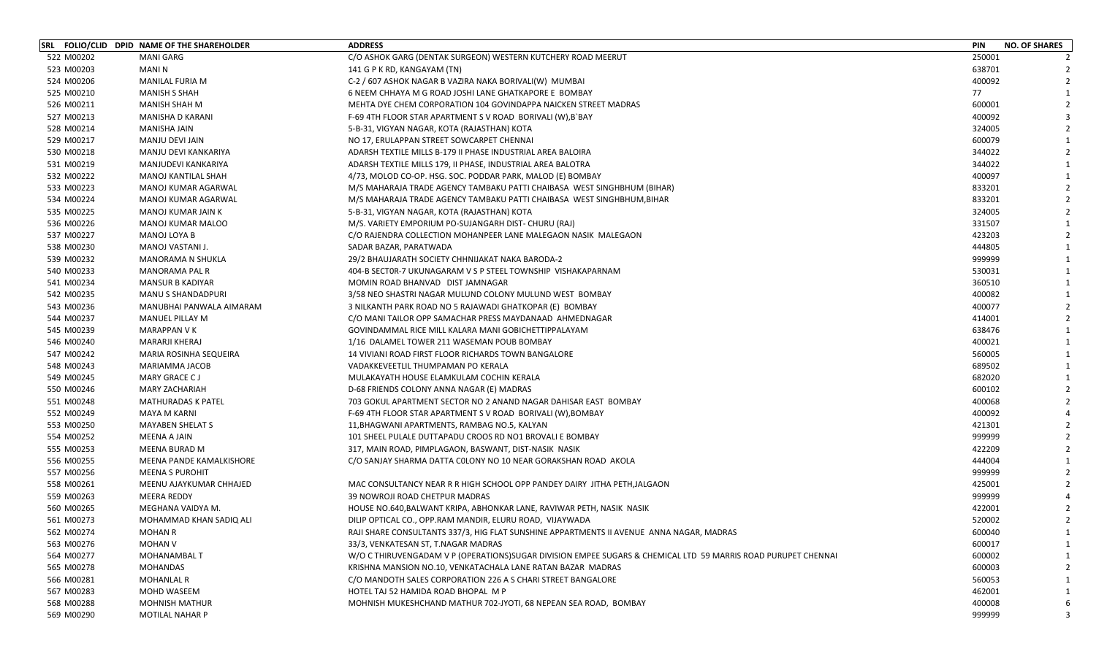|            | SRL FOLIO/CLID DPID NAME OF THE SHAREHOLDER | <b>ADDRESS</b>                                                                                                | <b>PIN</b><br><b>NO. OF SHARES</b> |
|------------|---------------------------------------------|---------------------------------------------------------------------------------------------------------------|------------------------------------|
| 522 M00202 | <b>MANI GARG</b>                            | C/O ASHOK GARG (DENTAK SURGEON) WESTERN KUTCHERY ROAD MEERUT                                                  | 250001                             |
| 523 M00203 | <b>MANIN</b>                                | 141 G P K RD, KANGAYAM (TN)                                                                                   | 638701                             |
| 524 M00206 | <b>MANILAL FURIA M</b>                      | C-2 / 607 ASHOK NAGAR B VAZIRA NAKA BORIVALI(W) MUMBAI                                                        | 400092                             |
| 525 M00210 | <b>MANISH S SHAH</b>                        | 6 NEEM CHHAYA M G ROAD JOSHI LANE GHATKAPORE E BOMBAY                                                         | 77                                 |
| 526 M00211 | <b>MANISH SHAH M</b>                        | MEHTA DYE CHEM CORPORATION 104 GOVINDAPPA NAICKEN STREET MADRAS                                               | 600001                             |
| 527 M00213 | MANISHA D KARANI                            | F-69 4TH FLOOR STAR APARTMENT S V ROAD BORIVALI (W), B BAY                                                    | 400092                             |
| 528 M00214 | MANISHA JAIN                                | 5-B-31, VIGYAN NAGAR, KOTA (RAJASTHAN) KOTA                                                                   | 324005                             |
| 529 M00217 | MANJU DEVI JAIN                             | NO 17, ERULAPPAN STREET SOWCARPET CHENNAI                                                                     | 600079                             |
| 530 M00218 | MANJU DEVI KANKARIYA                        | ADARSH TEXTILE MILLS B-179 II PHASE INDUSTRIAL AREA BALOIRA                                                   | 344022                             |
| 531 M00219 | MANJUDEVI KANKARIYA                         | ADARSH TEXTILE MILLS 179, II PHASE, INDUSTRIAL AREA BALOTRA                                                   | 344022                             |
| 532 M00222 | MANOJ KANTILAL SHAH                         | 4/73, MOLOD CO-OP. HSG. SOC. PODDAR PARK, MALOD (E) BOMBAY                                                    | 400097                             |
| 533 M00223 | MANOJ KUMAR AGARWAL                         | M/S MAHARAJA TRADE AGENCY TAMBAKU PATTI CHAIBASA WEST SINGHBHUM (BIHAR)                                       | 833201                             |
| 534 M00224 | MANOJ KUMAR AGARWAL                         | M/S MAHARAJA TRADE AGENCY TAMBAKU PATTI CHAIBASA WEST SINGHBHUM, BIHAR                                        | 833201                             |
| 535 M00225 | MANOJ KUMAR JAIN K                          | 5-B-31, VIGYAN NAGAR, KOTA (RAJASTHAN) KOTA                                                                   | 324005                             |
| 536 M00226 | MANOJ KUMAR MALOO                           | M/S. VARIETY EMPORIUM PO-SUJANGARH DIST- CHURU (RAJ)                                                          | 331507                             |
| 537 M00227 | MANOJ LOYA B                                | C/O RAJENDRA COLLECTION MOHANPEER LANE MALEGAON NASIK MALEGAON                                                | 423203                             |
| 538 M00230 | MANOJ VASTANI J.                            | SADAR BAZAR, PARATWADA                                                                                        | 444805                             |
| 539 M00232 | MANORAMA N SHUKLA                           | 29/2 BHAUJARATH SOCIETY CHHNIJAKAT NAKA BARODA-2                                                              | 999999                             |
| 540 M00233 | <b>MANORAMA PAL R</b>                       | 404-B SECTOR-7 UKUNAGARAM V S P STEEL TOWNSHIP VISHAKAPARNAM                                                  | 530031                             |
| 541 M00234 | <b>MANSUR B KADIYAR</b>                     | MOMIN ROAD BHANVAD DIST JAMNAGAR                                                                              | 360510                             |
| 542 M00235 | MANU S SHANDADPURI                          | 3/58 NEO SHASTRI NAGAR MULUND COLONY MULUND WEST BOMBAY                                                       | 400082                             |
| 543 M00236 | MANUBHAI PANWALA AIMARAM                    | 3 NILKANTH PARK ROAD NO 5 RAJAWADI GHATKOPAR (E) BOMBAY                                                       | 400077                             |
| 544 M00237 | <b>MANUEL PILLAY M</b>                      | C/O MANI TAILOR OPP SAMACHAR PRESS MAYDANAAD AHMEDNAGAR                                                       | 414001                             |
| 545 M00239 | <b>MARAPPAN VK</b>                          | GOVINDAMMAL RICE MILL KALARA MANI GOBICHETTIPPALAYAM                                                          | 638476                             |
| 546 M00240 | <b>MARARJI KHERAJ</b>                       | 1/16 DALAMEL TOWER 211 WASEMAN POUB BOMBAY                                                                    | 400021                             |
| 547 M00242 | MARIA ROSINHA SEQUEIRA                      | 14 VIVIANI ROAD FIRST FLOOR RICHARDS TOWN BANGALORE                                                           | 560005                             |
| 548 M00243 | MARIAMMA JACOB                              | VADAKKEVEETLIL THUMPAMAN PO KERALA                                                                            | 689502                             |
| 549 M00245 | MARY GRACE CJ                               | MULAKAYATH HOUSE ELAMKULAM COCHIN KERALA                                                                      | 682020                             |
| 550 M00246 | <b>MARY ZACHARIAH</b>                       | D-68 FRIENDS COLONY ANNA NAGAR (E) MADRAS                                                                     | 600102                             |
| 551 M00248 | <b>MATHURADAS K PATEL</b>                   | 703 GOKUL APARTMENT SECTOR NO 2 ANAND NAGAR DAHISAR EAST BOMBAY                                               | 400068                             |
| 552 M00249 | MAYA M KARNI                                | F-69 4TH FLOOR STAR APARTMENT S V ROAD BORIVALI (W), BOMBAY                                                   | 400092                             |
| 553 M00250 | <b>MAYABEN SHELAT S</b>                     | 11, BHAGWANI APARTMENTS, RAMBAG NO.5, KALYAN                                                                  | 421301                             |
| 554 M00252 | MEENA A JAIN                                | 101 SHEEL PULALE DUTTAPADU CROOS RD NO1 BROVALI E BOMBAY                                                      | 999999                             |
| 555 M00253 | MEENA BURAD M                               | 317, MAIN ROAD, PIMPLAGAON, BASWANT, DIST-NASIK NASIK                                                         | 422209                             |
| 556 M00255 | MEENA PANDE KAMALKISHORE                    | C/O SANJAY SHARMA DATTA COLONY NO 10 NEAR GORAKSHAN ROAD AKOLA                                                | 444004                             |
| 557 M00256 | <b>MEENA S PUROHIT</b>                      |                                                                                                               | 999999                             |
| 558 M00261 | MEENU AJAYKUMAR CHHAJED                     | MAC CONSULTANCY NEAR R R HIGH SCHOOL OPP PANDEY DAIRY JITHA PETH, JALGAON                                     | 425001                             |
| 559 M00263 | <b>MEERA REDDY</b>                          | 39 NOWROJI ROAD CHETPUR MADRAS                                                                                | 999999                             |
| 560 M00265 | MEGHANA VAIDYA M.                           | HOUSE NO.640, BALWANT KRIPA, ABHONKAR LANE, RAVIWAR PETH, NASIK NASIK                                         | 422001                             |
| 561 M00273 | MOHAMMAD KHAN SADIQ ALI                     | DILIP OPTICAL CO., OPP.RAM MANDIR, ELURU ROAD, VIJAYWADA                                                      | 520002                             |
| 562 M00274 | <b>MOHAN R</b>                              | RAJI SHARE CONSULTANTS 337/3, HIG FLAT SUNSHINE APPARTMENTS II AVENUE ANNA NAGAR, MADRAS                      | 600040                             |
| 563 M00276 | <b>MOHAN V</b>                              | 33/3, VENKATESAN ST, T.NAGAR MADRAS                                                                           | 600017                             |
| 564 M00277 | <b>MOHANAMBAL T</b>                         | W/O C THIRUVENGADAM V P (OPERATIONS)SUGAR DIVISION EMPEE SUGARS & CHEMICAL LTD 59 MARRIS ROAD PURUPET CHENNAI | 600002                             |
| 565 M00278 | <b>MOHANDAS</b>                             | KRISHNA MANSION NO.10, VENKATACHALA LANE RATAN BAZAR MADRAS                                                   | 600003                             |
| 566 M00281 | <b>MOHANLAL R</b>                           | C/O MANDOTH SALES CORPORATION 226 A S CHARI STREET BANGALORE                                                  | 560053                             |
| 567 M00283 | MOHD WASEEM                                 | HOTEL TAJ 52 HAMIDA ROAD BHOPAL M P                                                                           | 462001                             |
| 568 M00288 | <b>MOHNISH MATHUR</b>                       | MOHNISH MUKESHCHAND MATHUR 702-JYOTI, 68 NEPEAN SEA ROAD, BOMBAY                                              | 400008                             |
| 569 M00290 | MOTILAL NAHAR P                             |                                                                                                               | 999999<br>3                        |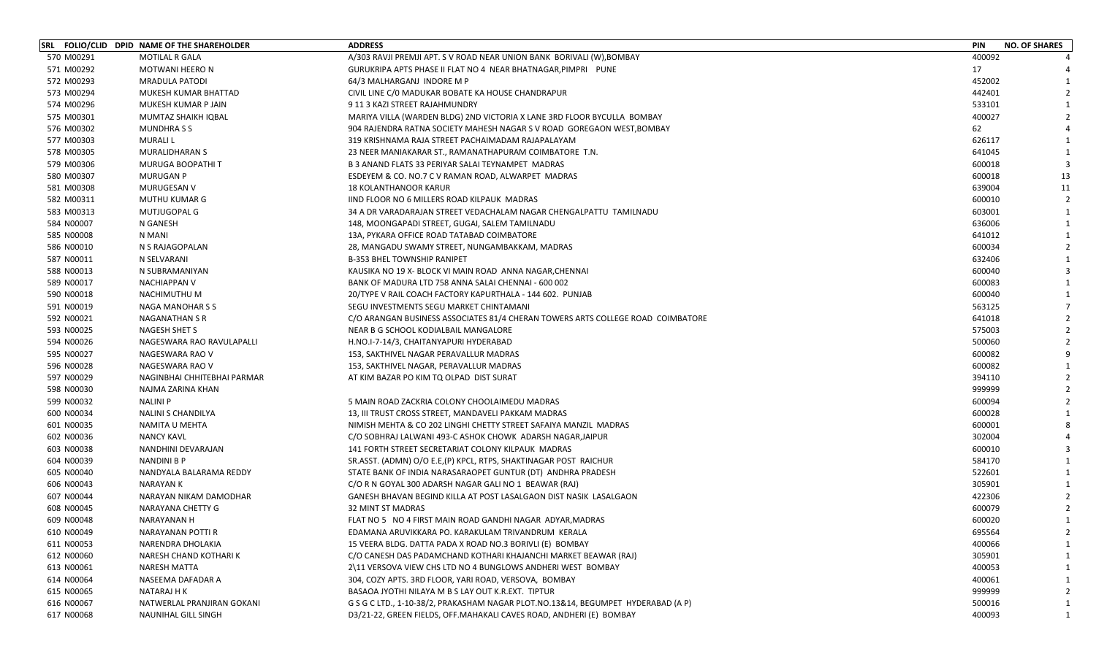|            | SRL FOLIO/CLID DPID NAME OF THE SHAREHOLDER | <b>ADDRESS</b>                                                                   | <b>PIN</b><br><b>NO. OF SHARES</b> |                |
|------------|---------------------------------------------|----------------------------------------------------------------------------------|------------------------------------|----------------|
| 570 M00291 | <b>MOTILAL R GALA</b>                       | A/303 RAVJI PREMJI APT. S V ROAD NEAR UNION BANK BORIVALI (W),BOMBAY             | 400092                             |                |
| 571 M00292 | <b>MOTWANI HEERO N</b>                      | GURUKRIPA APTS PHASE II FLAT NO 4 NEAR BHATNAGAR, PIMPRI PUNE                    | 17                                 |                |
| 572 M00293 | <b>MRADULA PATODI</b>                       | 64/3 MALHARGANJ INDORE M P                                                       | 452002                             |                |
| 573 M00294 | MUKESH KUMAR BHATTAD                        | CIVIL LINE C/O MADUKAR BOBATE KA HOUSE CHANDRAPUR                                | 442401                             |                |
| 574 M00296 | MUKESH KUMAR P JAIN                         | 9 11 3 KAZI STREET RAJAHMUNDRY                                                   | 533101                             |                |
| 575 M00301 | MUMTAZ SHAIKH IQBAL                         | MARIYA VILLA (WARDEN BLDG) 2ND VICTORIA X LANE 3RD FLOOR BYCULLA BOMBAY          | 400027                             |                |
| 576 M00302 | <b>MUNDHRASS</b>                            | 904 RAJENDRA RATNA SOCIETY MAHESH NAGAR S V ROAD GOREGAON WEST, BOMBAY           | 62                                 |                |
| 577 M00303 | <b>MURALIL</b>                              | 319 KRISHNAMA RAJA STREET PACHAIMADAM RAJAPALAYAM                                | 626117                             |                |
| 578 M00305 | <b>MURALIDHARAN S</b>                       | 23 NEER MANIAKARAR ST., RAMANATHAPURAM COIMBATORE T.N.                           | 641045                             |                |
| 579 M00306 | MURUGA BOOPATHI T                           | B 3 ANAND FLATS 33 PERIYAR SALAI TEYNAMPET MADRAS                                | 600018                             |                |
| 580 M00307 | <b>MURUGAN P</b>                            | ESDEYEM & CO. NO.7 C V RAMAN ROAD, ALWARPET MADRAS                               | 13<br>600018                       |                |
| 581 M00308 | MURUGESAN V                                 | <b>18 KOLANTHANOOR KARUR</b>                                                     | 639004<br>11                       |                |
| 582 M00311 | MUTHU KUMAR G                               | IIND FLOOR NO 6 MILLERS ROAD KILPAUK MADRAS                                      | 600010                             | $\overline{2}$ |
| 583 M00313 | MUTJUGOPAL G                                | 34 A DR VARADARAJAN STREET VEDACHALAM NAGAR CHENGALPATTU TAMILNADU               | 603001                             | 1              |
| 584 N00007 | N GANESH                                    | 148, MOONGAPADI STREET, GUGAI, SALEM TAMILNADU                                   | 636006                             |                |
| 585 N00008 | N MANI                                      | 13A, PYKARA OFFICE ROAD TATABAD COIMBATORE                                       | 641012                             |                |
| 586 N00010 | N S RAJAGOPALAN                             | 28, MANGADU SWAMY STREET, NUNGAMBAKKAM, MADRAS                                   | 600034                             |                |
| 587 N00011 | N SELVARANI                                 | <b>B-353 BHEL TOWNSHIP RANIPET</b>                                               | 632406                             |                |
| 588 N00013 | N SUBRAMANIYAN                              | KAUSIKA NO 19 X- BLOCK VI MAIN ROAD ANNA NAGAR, CHENNAI                          | 600040                             |                |
| 589 N00017 | <b>NACHIAPPAN V</b>                         | BANK OF MADURA LTD 758 ANNA SALAI CHENNAI - 600 002                              | 600083                             |                |
| 590 N00018 | NACHIMUTHU M                                | 20/TYPE V RAIL COACH FACTORY KAPURTHALA - 144 602. PUNJAB                        | 600040                             |                |
| 591 N00019 | NAGA MANOHAR S S                            | SEGU INVESTMENTS SEGU MARKET CHINTAMANI                                          | 563125                             |                |
| 592 N00021 | <b>NAGANATHAN S R</b>                       | C/O ARANGAN BUSINESS ASSOCIATES 81/4 CHERAN TOWERS ARTS COLLEGE ROAD COIMBATORE  | 641018                             |                |
| 593 N00025 | <b>NAGESH SHET S</b>                        | NEAR B G SCHOOL KODIALBAIL MANGALORE                                             | 575003                             |                |
| 594 N00026 | NAGESWARA RAO RAVULAPALLI                   | H.NO.I-7-14/3, CHAITANYAPURI HYDERABAD                                           | 500060                             |                |
| 595 N00027 | NAGESWARA RAO V                             | 153, SAKTHIVEL NAGAR PERAVALLUR MADRAS                                           | 600082                             |                |
| 596 N00028 | NAGESWARA RAO V                             | 153, SAKTHIVEL NAGAR, PERAVALLUR MADRAS                                          | 600082                             |                |
| 597 N00029 | NAGINBHAI CHHITEBHAI PARMAR                 | AT KIM BAZAR PO KIM TQ OLPAD DIST SURAT                                          | 394110                             |                |
| 598 N00030 | NAJMA ZARINA KHAN                           |                                                                                  | 999999                             |                |
| 599 N00032 | <b>NALINI P</b>                             | 5 MAIN ROAD ZACKRIA COLONY CHOOLAIMEDU MADRAS                                    | 600094                             |                |
| 600 N00034 | NALINI S CHANDILYA                          | 13, III TRUST CROSS STREET, MANDAVELI PAKKAM MADRAS                              | 600028                             |                |
| 601 N00035 | NAMITA U MEHTA                              | NIMISH MEHTA & CO 202 LINGHI CHETTY STREET SAFAIYA MANZIL MADRAS                 | 600001                             |                |
| 602 N00036 | <b>NANCY KAVL</b>                           | C/O SOBHRAJ LALWANI 493-C ASHOK CHOWK ADARSH NAGAR, JAIPUR                       | 302004                             |                |
| 603 N00038 | NANDHINI DEVARAJAN                          | 141 FORTH STREET SECRETARIAT COLONY KILPAUK MADRAS                               | 600010                             |                |
| 604 N00039 | <b>NANDINI B P</b>                          | SR.ASST. (ADMN) O/O E.E.(P) KPCL, RTPS, SHAKTINAGAR POST RAICHUR                 | 584170                             |                |
| 605 N00040 | NANDYALA BALARAMA REDDY                     | STATE BANK OF INDIA NARASARAOPET GUNTUR (DT) ANDHRA PRADESH                      | 522601                             |                |
| 606 N00043 | <b>NARAYAN K</b>                            | C/O R N GOYAL 300 ADARSH NAGAR GALI NO 1 BEAWAR (RAJ)                            | 305901                             |                |
| 607 N00044 | NARAYAN NIKAM DAMODHAR                      | GANESH BHAVAN BEGIND KILLA AT POST LASALGAON DIST NASIK LASALGAON                | 422306                             |                |
| 608 N00045 | NARAYANA CHETTY G                           | <b>32 MINT ST MADRAS</b>                                                         | 600079                             |                |
| 609 N00048 | <b>NARAYANAN H</b>                          | FLAT NO 5 NO 4 FIRST MAIN ROAD GANDHI NAGAR ADYAR,MADRAS                         | 600020                             | $\mathbf{1}$   |
| 610 N00049 | NARAYANAN POTTI R                           | EDAMANA ARUVIKKARA PO. KARAKULAM TRIVANDRUM KERALA                               | 695564                             | $\mathcal{L}$  |
| 611 N00053 | NARENDRA DHOLAKIA                           | 15 VEERA BLDG. DATTA PADA X ROAD NO.3 BORIVLI (E) BOMBAY                         | 400066                             |                |
| 612 N00060 | NARESH CHAND KOTHARI K                      | C/O CANESH DAS PADAMCHAND KOTHARI KHAJANCHI MARKET BEAWAR (RAJ)                  | 305901                             |                |
| 613 N00061 | NARESH MATTA                                | 2\11 VERSOVA VIEW CHS LTD NO 4 BUNGLOWS ANDHERI WEST BOMBAY                      | 400053                             |                |
| 614 N00064 | NASEEMA DAFADAR A                           | 304, COZY APTS. 3RD FLOOR, YARI ROAD, VERSOVA, BOMBAY                            | 400061                             |                |
| 615 N00065 | NATARAJ H K                                 | BASAOA JYOTHI NILAYA M B S LAY OUT K.R.EXT. TIPTUR                               | 999999                             |                |
| 616 N00067 | NATWERLAL PRANJIRAN GOKANI                  | G S G C LTD., 1-10-38/2, PRAKASHAM NAGAR PLOT.NO.13&14, BEGUMPET HYDERABAD (A P) | 500016                             |                |
| 617 N00068 | NAUNIHAL GILL SINGH                         | D3/21-22, GREEN FIELDS, OFF.MAHAKALI CAVES ROAD, ANDHERI (E) BOMBAY              | 400093                             |                |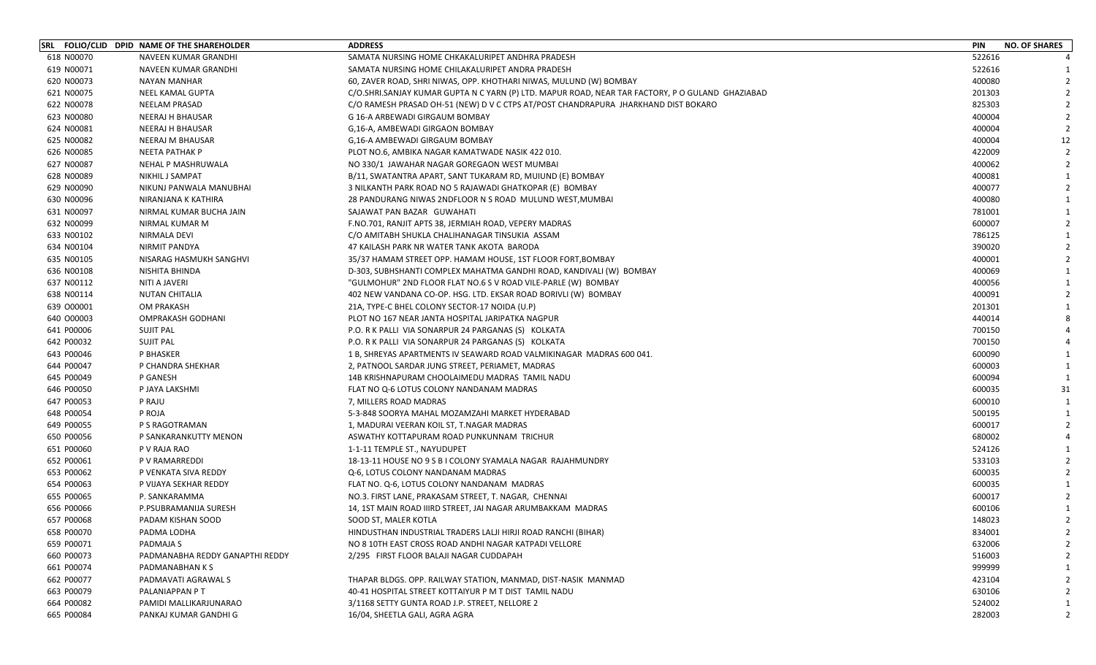|            | SRL FOLIO/CLID DPID NAME OF THE SHAREHOLDER | <b>ADDRESS</b>                                                                                    | <b>PIN</b><br><b>NO. OF SHARES</b> |
|------------|---------------------------------------------|---------------------------------------------------------------------------------------------------|------------------------------------|
| 618 N00070 | NAVEEN KUMAR GRANDHI                        | SAMATA NURSING HOME CHKAKALURIPET ANDHRA PRADESH                                                  | 522616                             |
| 619 N00071 | NAVEEN KUMAR GRANDHI                        | SAMATA NURSING HOME CHILAKALURIPET ANDRA PRADESH                                                  | 522616                             |
| 620 N00073 | <b>NAYAN MANHAR</b>                         | 60, ZAVER ROAD, SHRI NIWAS, OPP. KHOTHARI NIWAS, MULUND (W) BOMBAY                                | 400080                             |
| 621 N00075 | NEEL KAMAL GUPTA                            | C/O.SHRI.SANJAY KUMAR GUPTA N C YARN (P) LTD. MAPUR ROAD, NEAR TAR FACTORY, P O GULAND  GHAZIABAD | 201303                             |
| 622 N00078 | NEELAM PRASAD                               | C/O RAMESH PRASAD OH-51 (NEW) D V C CTPS AT/POST CHANDRAPURA JHARKHAND DIST BOKARO                | 825303                             |
| 623 N00080 | <b>NEERAJ H BHAUSAR</b>                     | G 16-A ARBEWADI GIRGAUM BOMBAY                                                                    | 400004                             |
| 624 N00081 | NEERAJ H BHAUSAR                            | G,16-A, AMBEWADI GIRGAON BOMBAY                                                                   | 400004                             |
| 625 N00082 | NEERAJ M BHAUSAR                            | G,16-A AMBEWADI GIRGAUM BOMBAY                                                                    | 12<br>400004                       |
| 626 N00085 | NEETA PATHAK P                              | PLOT NO.6, AMBIKA NAGAR KAMATWADE NASIK 422 010.                                                  | 422009                             |
| 627 N00087 | NEHAL P MASHRUWALA                          | NO 330/1 JAWAHAR NAGAR GOREGAON WEST MUMBAI                                                       | 400062                             |
| 628 N00089 | NIKHIL J SAMPAT                             | B/11, SWATANTRA APART, SANT TUKARAM RD, MUIUND (E) BOMBAY                                         | 400081                             |
| 629 N00090 | NIKUNJ PANWALA MANUBHAI                     | 3 NILKANTH PARK ROAD NO 5 RAJAWADI GHATKOPAR (E) BOMBAY                                           | 400077                             |
| 630 N00096 | NIRANJANA K KATHIRA                         | 28 PANDURANG NIWAS 2NDFLOOR N S ROAD MULUND WEST, MUMBAI                                          | 400080                             |
| 631 N00097 | NIRMAL KUMAR BUCHA JAIN                     | SAJAWAT PAN BAZAR GUWAHATI                                                                        | 781001                             |
| 632 N00099 | NIRMAL KUMAR M                              | F.NO.701, RANJIT APTS 38, JERMIAH ROAD, VEPERY MADRAS                                             | 600007                             |
| 633 N00102 | NIRMALA DEVI                                | C/O AMITABH SHUKLA CHALIHANAGAR TINSUKIA ASSAM                                                    | 786125                             |
| 634 N00104 | NIRMIT PANDYA                               | 47 KAILASH PARK NR WATER TANK AKOTA BARODA                                                        | 390020                             |
| 635 N00105 | NISARAG HASMUKH SANGHVI                     | 35/37 HAMAM STREET OPP. HAMAM HOUSE, 1ST FLOOR FORT, BOMBAY                                       | 400001                             |
| 636 N00108 | NISHITA BHINDA                              | D-303, SUBHSHANTI COMPLEX MAHATMA GANDHI ROAD, KANDIVALI (W) BOMBAY                               | 400069                             |
| 637 N00112 | NITI A JAVERI                               | "GULMOHUR" 2ND FLOOR FLAT NO.6 S V ROAD VILE-PARLE (W) BOMBAY                                     | 400056                             |
| 638 N00114 | NUTAN CHITALIA                              | 402 NEW VANDANA CO-OP. HSG. LTD. EKSAR ROAD BORIVLI (W) BOMBAY                                    | 400091                             |
| 639 000001 | <b>OM PRAKASH</b>                           | 21A, TYPE-C BHEL COLONY SECTOR-17 NOIDA (U.P)                                                     | 201301                             |
| 640 000003 | OMPRAKASH GODHANI                           | PLOT NO 167 NEAR JANTA HOSPITAL JARIPATKA NAGPUR                                                  | 440014                             |
| 641 P00006 | <b>SUJIT PAL</b>                            | P.O. R K PALLI VIA SONARPUR 24 PARGANAS (S) KOLKATA                                               | 700150                             |
| 642 P00032 | <b>SUJIT PAL</b>                            | P.O. R K PALLI VIA SONARPUR 24 PARGANAS (S) KOLKATA                                               | 700150                             |
| 643 P00046 | P BHASKER                                   | 1 B, SHREYAS APARTMENTS IV SEAWARD ROAD VALMIKINAGAR MADRAS 600 041.                              | 600090                             |
| 644 P00047 | P CHANDRA SHEKHAR                           | 2, PATNOOL SARDAR JUNG STREET, PERIAMET, MADRAS                                                   | 600003                             |
| 645 P00049 | P GANESH                                    | 14B KRISHNAPURAM CHOOLAIMEDU MADRAS TAMIL NADU                                                    | 600094                             |
| 646 P00050 | P JAYA LAKSHMI                              | FLAT NO Q-6 LOTUS COLONY NANDANAM MADRAS                                                          | 600035<br>31                       |
| 647 P00053 | P RAJU                                      | 7, MILLERS ROAD MADRAS                                                                            | 600010<br>1                        |
| 648 P00054 | P ROJA                                      | 5-3-848 SOORYA MAHAL MOZAMZAHI MARKET HYDERABAD                                                   | 500195                             |
| 649 P00055 | P S RAGOTRAMAN                              | 1, MADURAI VEERAN KOIL ST, T.NAGAR MADRAS                                                         | 600017                             |
| 650 P00056 | P SANKARANKUTTY MENON                       | ASWATHY KOTTAPURAM ROAD PUNKUNNAM TRICHUR                                                         | 680002                             |
| 651 P00060 | P V RAJA RAO                                | 1-1-11 TEMPLE ST., NAYUDUPET                                                                      | 524126                             |
| 652 P00061 | P V RAMARREDDI                              | 18-13-11 HOUSE NO 9 S B I COLONY SYAMALA NAGAR RAJAHMUNDRY                                        | 533103                             |
| 653 P00062 | P VENKATA SIVA REDDY                        | Q-6, LOTUS COLONY NANDANAM MADRAS                                                                 | 600035                             |
| 654 P00063 | P VIJAYA SEKHAR REDDY                       | FLAT NO. Q-6, LOTUS COLONY NANDANAM MADRAS                                                        | 600035                             |
| 655 P00065 | P. SANKARAMMA                               | NO.3. FIRST LANE, PRAKASAM STREET, T. NAGAR, CHENNAI                                              | 600017                             |
| 656 P00066 | P.PSUBRAMANIJA SURESH                       | 14, 1ST MAIN ROAD IIIRD STREET, JAI NAGAR ARUMBAKKAM MADRAS                                       | 600106                             |
| 657 P00068 | PADAM KISHAN SOOD                           | SOOD ST, MALER KOTLA                                                                              | 148023<br>$\overline{2}$           |
| 658 P00070 | PADMA LODHA                                 | HINDUSTHAN INDUSTRIAL TRADERS LALJI HIRJI ROAD RANCHI (BIHAR)                                     | 834001<br>$\mathcal{L}$            |
| 659 P00071 | PADMAJA S                                   | NO 8 10TH EAST CROSS ROAD ANDHI NAGAR KATPADI VELLORE                                             | 632006                             |
| 660 P00073 | PADMANABHA REDDY GANAPTHI REDDY             | 2/295 FIRST FLOOR BALAJI NAGAR CUDDAPAH                                                           | 516003                             |
| 661 P00074 | PADMANABHAN K S                             |                                                                                                   | 999999                             |
| 662 P00077 | PADMAVATI AGRAWAL S                         | THAPAR BLDGS. OPP. RAILWAY STATION, MANMAD, DIST-NASIK MANMAD                                     | 423104                             |
| 663 P00079 | PALANIAPPAN P T                             | 40-41 HOSPITAL STREET KOTTAIYUR P M T DIST TAMIL NADU                                             | 630106                             |
| 664 P00082 | PAMIDI MALLIKARJUNARAO                      | 3/1168 SETTY GUNTA ROAD J.P. STREET, NELLORE 2                                                    | 524002                             |
| 665 P00084 | PANKAJ KUMAR GANDHI G                       | 16/04, SHEETLA GALI, AGRA AGRA                                                                    | 282003                             |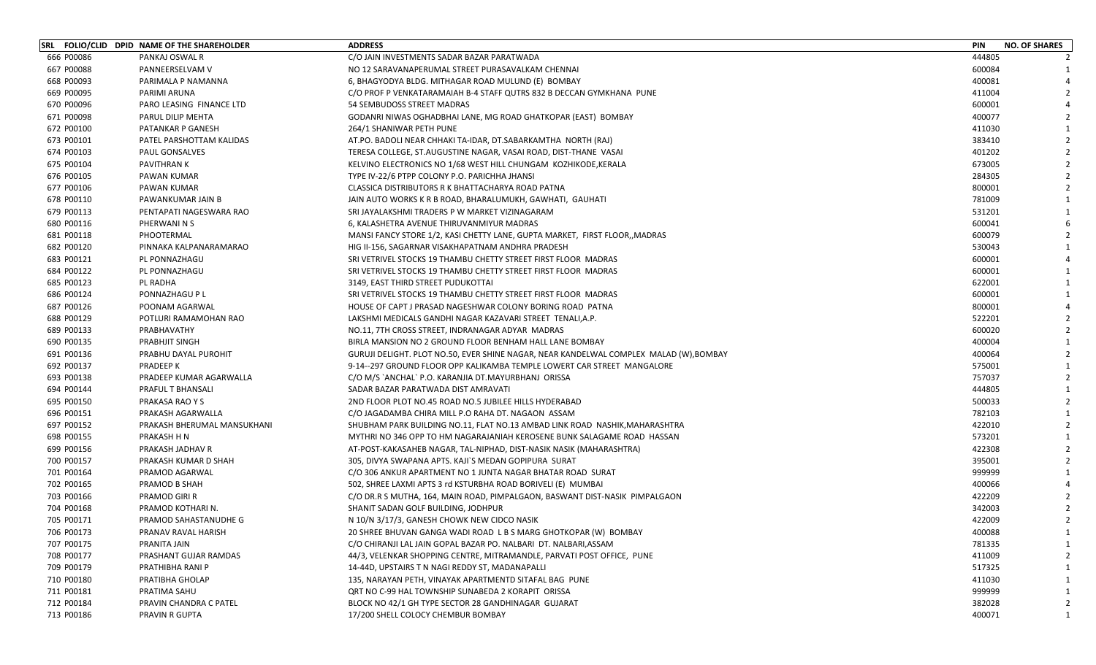|            | SRL FOLIO/CLID DPID NAME OF THE SHAREHOLDER | <b>ADDRESS</b>                                                                        | <b>PIN</b><br><b>NO. OF SHARES</b> |
|------------|---------------------------------------------|---------------------------------------------------------------------------------------|------------------------------------|
| 666 P00086 | PANKAJ OSWAL R                              | C/O JAIN INVESTMENTS SADAR BAZAR PARATWADA                                            | 444805                             |
| 667 P00088 | PANNEERSELVAM V                             | NO 12 SARAVANAPERUMAL STREET PURASAVALKAM CHENNAI                                     | 600084                             |
| 668 P00093 | PARIMALA P NAMANNA                          | 6, BHAGYODYA BLDG. MITHAGAR ROAD MULUND (E) BOMBAY                                    | 400081                             |
| 669 P00095 | PARIMI ARUNA                                | C/O PROF P VENKATARAMAIAH B-4 STAFF QUTRS 832 B DECCAN GYMKHANA PUNE                  | 411004                             |
| 670 P00096 | PARO LEASING FINANCE LTD                    | 54 SEMBUDOSS STREET MADRAS                                                            | 600001                             |
| 671 P00098 | PARUL DILIP MEHTA                           | GODANRI NIWAS OGHADBHAI LANE, MG ROAD GHATKOPAR (EAST) BOMBAY                         | 400077                             |
| 672 P00100 | PATANKAR P GANESH                           | 264/1 SHANIWAR PETH PUNE                                                              | 411030                             |
| 673 P00101 | PATEL PARSHOTTAM KALIDAS                    | AT.PO. BADOLI NEAR CHHAKI TA-IDAR, DT.SABARKAMTHA NORTH (RAJ)                         | 383410                             |
| 674 P00103 | <b>PAUL GONSALVES</b>                       | TERESA COLLEGE, ST.AUGUSTINE NAGAR, VASAI ROAD, DIST-THANE VASAI                      | 401202                             |
| 675 P00104 | PAVITHRAN K                                 | KELVINO ELECTRONICS NO 1/68 WEST HILL CHUNGAM KOZHIKODE, KERALA                       | 673005                             |
| 676 P00105 | PAWAN KUMAR                                 | TYPE IV-22/6 PTPP COLONY P.O. PARICHHA JHANSI                                         | 284305                             |
| 677 P00106 | PAWAN KUMAR                                 | CLASSICA DISTRIBUTORS R K BHATTACHARYA ROAD PATNA                                     | 800001                             |
| 678 P00110 | PAWANKUMAR JAIN B                           | JAIN AUTO WORKS K R B ROAD, BHARALUMUKH, GAWHATI, GAUHATI                             | 781009                             |
| 679 P00113 | PENTAPATI NAGESWARA RAO                     | SRI JAYALAKSHMI TRADERS P W MARKET VIZINAGARAM                                        | 531201                             |
| 680 P00116 | PHERWANI N S                                | 6, KALASHETRA AVENUE THIRUVANMIYUR MADRAS                                             | 600041                             |
| 681 P00118 | PHOOTERMAL                                  | MANSI FANCY STORE 1/2, KASI CHETTY LANE, GUPTA MARKET, FIRST FLOOR, MADRAS            | 600079                             |
| 682 P00120 | PINNAKA KALPANARAMARAO                      | HIG II-156, SAGARNAR VISAKHAPATNAM ANDHRA PRADESH                                     | 530043                             |
| 683 P00121 | PL PONNAZHAGU                               | SRI VETRIVEL STOCKS 19 THAMBU CHETTY STREET FIRST FLOOR MADRAS                        | 600001                             |
| 684 P00122 | PL PONNAZHAGU                               | SRI VETRIVEL STOCKS 19 THAMBU CHETTY STREET FIRST FLOOR MADRAS                        | 600001                             |
| 685 P00123 | PL RADHA                                    | 3149, EAST THIRD STREET PUDUKOTTAI                                                    | 622001                             |
| 686 P00124 | PONNAZHAGU P L                              | SRI VETRIVEL STOCKS 19 THAMBU CHETTY STREET FIRST FLOOR MADRAS                        | 600001                             |
| 687 P00126 | POONAM AGARWAL                              | HOUSE OF CAPT J PRASAD NAGESHWAR COLONY BORING ROAD PATNA                             | 800001                             |
| 688 P00129 | POTLURI RAMAMOHAN RAO                       | LAKSHMI MEDICALS GANDHI NAGAR KAZAVARI STREET TENALI,A.P.                             | 522201                             |
| 689 P00133 | PRABHAVATHY                                 | NO.11, 7TH CROSS STREET, INDRANAGAR ADYAR MADRAS                                      | 600020<br>$\overline{2}$           |
| 690 P00135 | <b>PRABHJIT SINGH</b>                       | BIRLA MANSION NO 2 GROUND FLOOR BENHAM HALL LANE BOMBAY                               | 400004                             |
| 691 P00136 | PRABHU DAYAL PUROHIT                        | GURUJI DELIGHT. PLOT NO.50, EVER SHINE NAGAR, NEAR KANDELWAL COMPLEX MALAD (W),BOMBAY | 400064                             |
| 692 P00137 | PRADEEP K                                   | 9-14--297 GROUND FLOOR OPP KALIKAMBA TEMPLE LOWERT CAR STREET MANGALORE               | 575001                             |
| 693 P00138 | PRADEEP KUMAR AGARWALLA                     | C/O M/S `ANCHAL` P.O. KARANJIA DT.MAYURBHANJ ORISSA                                   | 757037                             |
| 694 P00144 | PRAFUL T BHANSALI                           | SADAR BAZAR PARATWADA DIST AMRAVATI                                                   | 444805                             |
| 695 P00150 | PRAKASA RAO Y S                             | 2ND FLOOR PLOT NO.45 ROAD NO.5 JUBILEE HILLS HYDERABAD                                | 500033                             |
| 696 P00151 | PRAKASH AGARWALLA                           | C/O JAGADAMBA CHIRA MILL P.O RAHA DT. NAGAON ASSAM                                    | 782103                             |
| 697 P00152 | PRAKASH BHERUMAL MANSUKHANI                 | SHUBHAM PARK BUILDING NO.11, FLAT NO.13 AMBAD LINK ROAD NASHIK, MAHARASHTRA           | 422010                             |
| 698 P00155 | PRAKASH H N                                 | MYTHRI NO 346 OPP TO HM NAGARAJANIAH KEROSENE BUNK SALAGAME ROAD HASSAN               | 573201                             |
| 699 P00156 | PRAKASH JADHAV R                            | AT-POST-KAKASAHEB NAGAR, TAL-NIPHAD, DIST-NASIK NASIK (MAHARASHTRA)                   | 422308                             |
| 700 P00157 | PRAKASH KUMAR D SHAH                        | 305, DIVYA SWAPANA APTS. KAJI`S MEDAN GOPIPURA SURAT                                  | 395001                             |
| 701 P00164 | PRAMOD AGARWAL                              | C/O 306 ANKUR APARTMENT NO 1 JUNTA NAGAR BHATAR ROAD SURAT                            | 999999                             |
| 702 P00165 | PRAMOD B SHAH                               | 502, SHREE LAXMI APTS 3 rd KSTURBHA ROAD BORIVELI (E) MUMBAI                          | 400066                             |
| 703 P00166 | PRAMOD GIRI R                               | C/O DR.R S MUTHA, 164, MAIN ROAD, PIMPALGAON, BASWANT DIST-NASIK PIMPALGAON           | 422209                             |
| 704 P00168 | PRAMOD KOTHARI N.                           | SHANIT SADAN GOLF BUILDING, JODHPUR                                                   | 342003                             |
| 705 P00171 | PRAMOD SAHASTANUDHE G                       | N 10/N 3/17/3, GANESH CHOWK NEW CIDCO NASIK                                           | 422009<br>$\overline{2}$           |
| 706 P00173 | PRANAV RAVAL HARISH                         | 20 SHREE BHUVAN GANGA WADI ROAD L B S MARG GHOTKOPAR (W) BOMBAY                       | 400088<br>-1                       |
| 707 P00175 | PRANITA JAIN                                | C/O CHIRANJI LAL JAIN GOPAL BAZAR PO. NALBARI DT. NALBARI ASSAM                       | 781335                             |
| 708 P00177 | PRASHANT GUJAR RAMDAS                       | 44/3, VELENKAR SHOPPING CENTRE, MITRAMANDLE, PARVATI POST OFFICE, PUNE                | 411009                             |
| 709 P00179 | PRATHIBHA RANI P                            | 14-44D, UPSTAIRS T N NAGI REDDY ST, MADANAPALLI                                       | 517325                             |
| 710 P00180 | PRATIBHA GHOLAP                             | 135, NARAYAN PETH, VINAYAK APARTMENTD SITAFAL BAG PUNE                                | 411030                             |
| 711 P00181 | PRATIMA SAHU                                | QRT NO C-99 HAL TOWNSHIP SUNABEDA 2 KORAPIT ORISSA                                    | 999999                             |
| 712 P00184 | PRAVIN CHANDRA C PATEL                      | BLOCK NO 42/1 GH TYPE SECTOR 28 GANDHINAGAR GUJARAT                                   | 382028                             |
| 713 P00186 | PRAVIN R GUPTA                              | 17/200 SHELL COLOCY CHEMBUR BOMBAY                                                    | 400071<br>1                        |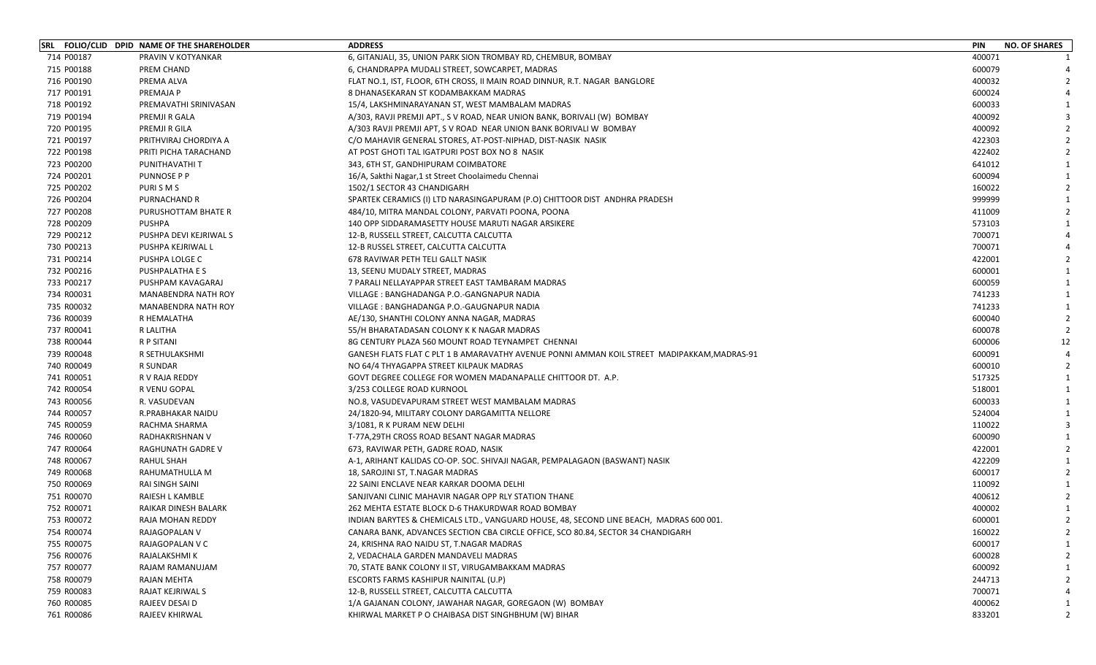|            | SRL FOLIO/CLID DPID NAME OF THE SHAREHOLDER | <b>ADDRESS</b>                                                                              | <b>PIN</b> | <b>NO. OF SHARES</b> |
|------------|---------------------------------------------|---------------------------------------------------------------------------------------------|------------|----------------------|
| 714 P00187 | PRAVIN V KOTYANKAR                          | 6, GITANJALI, 35, UNION PARK SION TROMBAY RD, CHEMBUR, BOMBAY                               | 400071     |                      |
| 715 P00188 | PREM CHAND                                  | 6, CHANDRAPPA MUDALI STREET, SOWCARPET, MADRAS                                              | 600079     |                      |
| 716 P00190 | PREMA ALVA                                  | FLAT NO.1, IST, FLOOR, 6TH CROSS, II MAIN ROAD DINNUR, R.T. NAGAR BANGLORE                  | 400032     |                      |
| 717 P00191 | PREMAJA P                                   | 8 DHANASEKARAN ST KODAMBAKKAM MADRAS                                                        | 600024     |                      |
| 718 P00192 | PREMAVATHI SRINIVASAN                       | 15/4, LAKSHMINARAYANAN ST, WEST MAMBALAM MADRAS                                             | 600033     |                      |
| 719 P00194 | PREMJI R GALA                               | A/303, RAVJI PREMJI APT., S V ROAD, NEAR UNION BANK, BORIVALI (W) BOMBAY                    | 400092     |                      |
| 720 P00195 | PREMJI R GILA                               | A/303 RAVJI PREMJI APT, S V ROAD NEAR UNION BANK BORIVALI W BOMBAY                          | 400092     |                      |
| 721 P00197 | PRITHVIRAJ CHORDIYA A                       | C/O MAHAVIR GENERAL STORES, AT-POST-NIPHAD, DIST-NASIK NASIK                                | 422303     |                      |
| 722 P00198 | PRITI PICHA TARACHAND                       | AT POST GHOTI TAL IGATPURI POST BOX NO 8 NASIK                                              | 422402     |                      |
| 723 P00200 | PUNITHAVATHI T                              | 343, 6TH ST, GANDHIPURAM COIMBATORE                                                         | 641012     |                      |
| 724 P00201 | <b>PUNNOSE P P</b>                          | 16/A, Sakthi Nagar, 1 st Street Choolaimedu Chennai                                         | 600094     |                      |
| 725 P00202 | PURISMS                                     | 1502/1 SECTOR 43 CHANDIGARH                                                                 | 160022     |                      |
| 726 P00204 | PURNACHAND R                                | SPARTEK CERAMICS (I) LTD NARASINGAPURAM (P.O) CHITTOOR DIST ANDHRA PRADESH                  | 999999     |                      |
| 727 P00208 | PURUSHOTTAM BHATE R                         | 484/10, MITRA MANDAL COLONY, PARVATI POONA, POONA                                           | 411009     |                      |
| 728 P00209 | <b>PUSHPA</b>                               | 140 OPP SIDDARAMASETTY HOUSE MARUTI NAGAR ARSIKERE                                          | 573103     |                      |
| 729 P00212 | PUSHPA DEVI KEJRIWAL S                      | 12-B, RUSSELL STREET, CALCUTTA CALCUTTA                                                     | 700071     |                      |
| 730 P00213 | PUSHPA KEJRIWAL L                           | 12-B RUSSEL STREET, CALCUTTA CALCUTTA                                                       | 700071     |                      |
| 731 P00214 | PUSHPA LOLGE C                              | 678 RAVIWAR PETH TELI GALLT NASIK                                                           | 422001     |                      |
| 732 P00216 | <b>PUSHPALATHA E S</b>                      | 13, SEENU MUDALY STREET, MADRAS                                                             | 600001     |                      |
| 733 P00217 | PUSHPAM KAVAGARAJ                           | 7 PARALI NELLAYAPPAR STREET EAST TAMBARAM MADRAS                                            | 600059     |                      |
| 734 R00031 | MANABENDRA NATH ROY                         | VILLAGE: BANGHADANGA P.O.-GANGNAPUR NADIA                                                   | 741233     |                      |
| 735 R00032 | MANABENDRA NATH ROY                         | VILLAGE: BANGHADANGA P.O.-GAUGNAPUR NADIA                                                   | 741233     |                      |
| 736 R00039 | R HEMALATHA                                 | AE/130, SHANTHI COLONY ANNA NAGAR, MADRAS                                                   | 600040     |                      |
| 737 R00041 | R LALITHA                                   | 55/H BHARATADASAN COLONY K K NAGAR MADRAS                                                   | 600078     |                      |
| 738 R00044 | R P SITANI                                  | 8G CENTURY PLAZA 560 MOUNT ROAD TEYNAMPET CHENNAI                                           | 600006     | 12                   |
| 739 R00048 | R SETHULAKSHMI                              | GANESH FLATS FLAT C PLT 1 B AMARAVATHY AVENUE PONNI AMMAN KOIL STREET MADIPAKKAM, MADRAS-91 | 600091     |                      |
| 740 R00049 | R SUNDAR                                    | NO 64/4 THYAGAPPA STREET KILPAUK MADRAS                                                     | 600010     |                      |
| 741 R00051 | R V RAJA REDDY                              | GOVT DEGREE COLLEGE FOR WOMEN MADANAPALLE CHITTOOR DT. A.P.                                 | 517325     |                      |
| 742 R00054 | R VENU GOPAL                                | 3/253 COLLEGE ROAD KURNOOL                                                                  | 518001     |                      |
| 743 R00056 | R. VASUDEVAN                                | NO.8, VASUDEVAPURAM STREET WEST MAMBALAM MADRAS                                             | 600033     |                      |
| 744 R00057 | R.PRABHAKAR NAIDU                           | 24/1820-94, MILITARY COLONY DARGAMITTA NELLORE                                              | 524004     |                      |
| 745 R00059 | RACHMA SHARMA                               | 3/1081, R K PURAM NEW DELHI                                                                 | 110022     |                      |
| 746 R00060 | RADHAKRISHNAN V                             | T-77A,29TH CROSS ROAD BESANT NAGAR MADRAS                                                   | 600090     |                      |
| 747 R00064 | <b>RAGHUNATH GADRE V</b>                    | 673, RAVIWAR PETH, GADRE ROAD, NASIK                                                        | 422001     |                      |
| 748 R00067 | RAHUL SHAH                                  | A-1, ARIHANT KALIDAS CO-OP. SOC. SHIVAJI NAGAR, PEMPALAGAON (BASWANT) NASIK                 | 422209     |                      |
| 749 R00068 | RAHUMATHULLA M                              | 18, SAROJINI ST, T.NAGAR MADRAS                                                             | 600017     |                      |
| 750 R00069 | <b>RAI SINGH SAINI</b>                      | 22 SAINI ENCLAVE NEAR KARKAR DOOMA DELHI                                                    | 110092     |                      |
| 751 R00070 | RAIESH L KAMBLE                             | SANJIVANI CLINIC MAHAVIR NAGAR OPP RLY STATION THANE                                        | 400612     |                      |
| 752 R00071 | RAIKAR DINESH BALARK                        | 262 MEHTA ESTATE BLOCK D-6 THAKURDWAR ROAD BOMBAY                                           | 400002     |                      |
| 753 R00072 | RAJA MOHAN REDDY                            | INDIAN BARYTES & CHEMICALS LTD., VANGUARD HOUSE, 48, SECOND LINE BEACH, MADRAS 600 001.     | 600001     |                      |
| 754 R00074 | RAJAGOPALAN V                               | CANARA BANK, ADVANCES SECTION CBA CIRCLE OFFICE, SCO 80.84, SECTOR 34 CHANDIGARH            | 160022     |                      |
| 755 R00075 | RAJAGOPALAN V C                             | 24, KRISHNA RAO NAIDU ST, T.NAGAR MADRAS                                                    | 600017     |                      |
| 756 R00076 | RAJALAKSHMI K                               | 2, VEDACHALA GARDEN MANDAVELI MADRAS                                                        | 600028     |                      |
| 757 R00077 | RAJAM RAMANUJAM                             | 70, STATE BANK COLONY II ST, VIRUGAMBAKKAM MADRAS                                           | 600092     |                      |
| 758 R00079 | RAJAN MEHTA                                 | ESCORTS FARMS KASHIPUR NAINITAL (U.P)                                                       | 244713     |                      |
| 759 R00083 | RAJAT KEJRIWAL S                            | 12-B, RUSSELL STREET, CALCUTTA CALCUTTA                                                     | 700071     |                      |
| 760 R00085 | RAJEEV DESAI D                              | 1/A GAJANAN COLONY, JAWAHAR NAGAR, GOREGAON (W) BOMBAY                                      | 400062     |                      |
| 761 R00086 | RAJEEV KHIRWAL                              | KHIRWAL MARKET P O CHAIBASA DIST SINGHBHUM (W) BIHAR                                        | 833201     |                      |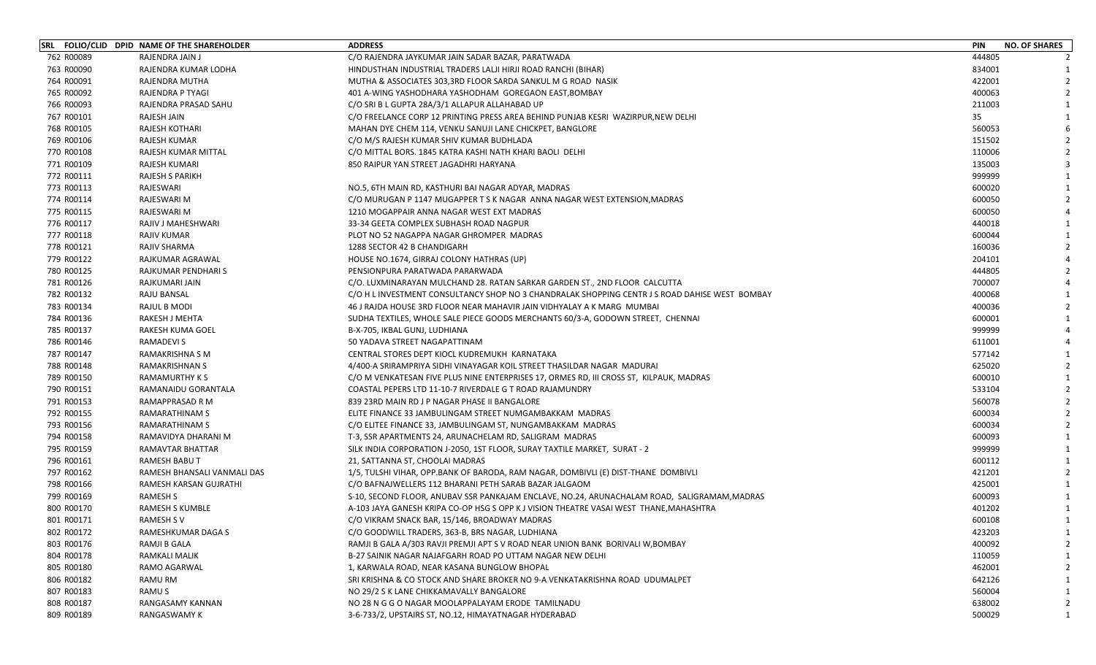| 444805<br>762 R00089<br>RAJENDRA JAIN J<br>C/O RAJENDRA JAYKUMAR JAIN SADAR BAZAR, PARATWADA<br>763 R00090<br>834001<br>RAJENDRA KUMAR LODHA<br>HINDUSTHAN INDUSTRIAL TRADERS LALJI HIRJI ROAD RANCHI (BIHAR)<br>764 R00091<br>422001<br>RAJENDRA MUTHA<br>MUTHA & ASSOCIATES 303,3RD FLOOR SARDA SANKUL M G ROAD NASIK<br>765 R00092<br>400063<br>RAJENDRA P TYAGI<br>401 A-WING YASHODHARA YASHODHAM GOREGAON EAST,BOMBAY<br>766 R00093<br>211003<br>RAJENDRA PRASAD SAHU<br>C/O SRI B L GUPTA 28A/3/1 ALLAPUR ALLAHABAD UP<br>767 R00101<br>35<br>RAJESH JAIN<br>C/O FREELANCE CORP 12 PRINTING PRESS AREA BEHIND PUNJAB KESRI WAZIRPUR,NEW DELHI<br>560053<br>768 R00105<br><b>RAJESH KOTHARI</b><br>MAHAN DYE CHEM 114, VENKU SANUJI LANE CHICKPET, BANGLORE<br>769 R00106<br>RAJESH KUMAR<br>C/O M/S RAJESH KUMAR SHIV KUMAR BUDHLADA<br>151502<br>770 R00108<br>110006<br>RAJESH KUMAR MITTAL<br>C/O MITTAL BORS. 1845 KATRA KASHI NATH KHARI BAOLI DELHI<br>771 R00109<br>850 RAIPUR YAN STREET JAGADHRI HARYANA<br>135003<br>RAJESH KUMARI<br>772 R00111<br>999999<br><b>RAJESH S PARIKH</b><br>773 R00113<br>RAJESWARI<br>600020<br>NO.5, 6TH MAIN RD, KASTHURI BAI NAGAR ADYAR, MADRAS<br>774 R00114<br>RAJESWARI M<br>600050<br>C/O MURUGAN P 1147 MUGAPPER T S K NAGAR ANNA NAGAR WEST EXTENSION, MADRAS<br>775 R00115<br>RAJESWARI M<br>600050<br>1210 MOGAPPAIR ANNA NAGAR WEST EXT MADRAS<br>776 R00117<br>440018<br>RAJIV J MAHESHWARI<br>33-34 GEETA COMPLEX SUBHASH ROAD NAGPUR<br>777 R00118<br>600044<br>RAJIV KUMAR<br>PLOT NO 52 NAGAPPA NAGAR GHROMPER MADRAS<br>778 R00121<br>160036<br>RAJIV SHARMA<br>1288 SECTOR 42 B CHANDIGARH<br>779 R00122<br>RAJKUMAR AGRAWAL<br>HOUSE NO.1674, GIRRAJ COLONY HATHRAS (UP)<br>204101<br>780 R00125<br>RAJKUMAR PENDHARI S<br>444805<br>PENSIONPURA PARATWADA PARARWADA<br>781 R00126<br>RAJKUMARI JAIN<br>700007<br>C/O. LUXMINARAYAN MULCHAND 28. RATAN SARKAR GARDEN ST., 2ND FLOOR CALCUTTA<br>782 R00132<br>RAJU BANSAL<br>400068<br>C/O H L INVESTMENT CONSULTANCY SHOP NO 3 CHANDRALAK SHOPPING CENTR J S ROAD DAHISE WEST BOMBAY<br>783 R00134<br>400036<br>RAJUL B MODI<br>46 J RAJDA HOUSE 3RD FLOOR NEAR MAHAVIR JAIN VIDHYALAY A K MARG MUMBAI<br>784 R00136<br>600001<br>RAKESH J MEHTA<br>SUDHA TEXTILES, WHOLE SALE PIECE GOODS MERCHANTS 60/3-A, GODOWN STREET, CHENNAI<br>999999<br>785 R00137<br>RAKESH KUMA GOEL<br>B-X-705, IKBAL GUNJ, LUDHIANA<br>786 R00146<br><b>RAMADEVIS</b><br>50 YADAVA STREET NAGAPATTINAM<br>611001<br>787 R00147<br><b>RAMAKRISHNA S M</b><br>CENTRAL STORES DEPT KIOCL KUDREMUKH KARNATAKA<br>577142<br>625020<br>788 R00148<br><b>RAMAKRISHNAN S</b><br>4/400-A SRIRAMPRIYA SIDHI VINAYAGAR KOIL STREET THASILDAR NAGAR MADURAI<br>789 R00150<br>600010<br>RAMAMURTHY K S<br>C/O M VENKATESAN FIVE PLUS NINE ENTERPRISES 17, ORMES RD, III CROSS ST, KILPAUK, MADRAS<br>790 R00151<br>533104<br>RAMANAIDU GORANTALA<br>COASTAL PEPERS LTD 11-10-7 RIVERDALE G T ROAD RAJAMUNDRY<br>791 R00153<br>560078<br>RAMAPPRASAD R M<br>839 23RD MAIN RD J P NAGAR PHASE II BANGALORE<br>792 R00155<br><b>RAMARATHINAM S</b><br>600034<br>ELITE FINANCE 33 JAMBULINGAM STREET NUMGAMBAKKAM MADRAS<br>600034<br>793 R00156<br>RAMARATHINAM S<br>C/O ELITEE FINANCE 33, JAMBULINGAM ST, NUNGAMBAKKAM MADRAS<br>794 R00158<br>600093<br>RAMAVIDYA DHARANI M<br>T-3, SSR APARTMENTS 24, ARUNACHELAM RD, SALIGRAM MADRAS<br>999999<br>795 R00159<br><b>RAMAVTAR BHATTAR</b><br>SILK INDIA CORPORATION J-2050, 1ST FLOOR, SURAY TAXTILE MARKET, SURAT - 2<br>796 R00161<br>600112<br>RAMESH BABU T<br>21, SATTANNA ST, CHOOLAI MADRAS<br>797 R00162<br>421201<br>RAMESH BHANSALI VANMALI DAS<br>1/5, TULSHI VIHAR, OPP.BANK OF BARODA, RAM NAGAR, DOMBIVLI (E) DIST-THANE DOMBIVLI<br>798 R00166<br>C/O BAFNAJWELLERS 112 BHARANI PETH SARAB BAZAR JALGAOM<br>425001<br>RAMESH KARSAN GUJRATHI<br>600093<br>799 R00169<br>RAMESH S<br>S-10, SECOND FLOOR, ANUBAV SSR PANKAJAM ENCLAVE, NO.24, ARUNACHALAM ROAD, SALIGRAMAM, MADRAS<br>800 R00170<br>401202<br>RAMESH S KUMBLE<br>A-103 JAYA GANESH KRIPA CO-OP HSG S OPP K J VISION THEATRE VASAI WEST THANE,MAHASHTRA<br>801 R00171<br><b>RAMESH SV</b><br>C/O VIKRAM SNACK BAR, 15/146, BROADWAY MADRAS<br>600108<br>$\mathbf{1}$<br>802 R00172<br>RAMESHKUMAR DAGA S<br>C/O GOODWILL TRADERS, 363-B, BRS NAGAR, LUDHIANA<br>423203<br>803 R00176<br>400092<br>RAMJI B GALA<br>RAMJI B GALA A/303 RAVJI PREMJI APT S V ROAD NEAR UNION BANK BORIVALI W,BOMBAY<br>804 R00178<br>110059<br>RAMKALI MALIK<br>B-27 SAINIK NAGAR NAJAFGARH ROAD PO UTTAM NAGAR NEW DELHI<br>805 R00180<br>462001<br>RAMO AGARWAL<br>1, KARWALA ROAD, NEAR KASANA BUNGLOW BHOPAL<br>806 R00182<br>642126<br>RAMU RM<br>SRI KRISHNA & CO STOCK AND SHARE BROKER NO 9-A VENKATAKRISHNA ROAD UDUMALPET<br>807 R00183<br>560004<br>RAMU S<br>NO 29/2 S K LANE CHIKKAMAVALLY BANGALORE<br>808 R00187<br>RANGASAMY KANNAN<br>NO 28 N G G O NAGAR MOOLAPPALAYAM ERODE TAMILNADU<br>638002<br>809 R00189<br><b>RANGASWAMY K</b><br>3-6-733/2, UPSTAIRS ST, NO.12, HIMAYATNAGAR HYDERABAD<br>500029 | SRL FOLIO/CLID DPID NAME OF THE SHAREHOLDER | <b>ADDRESS</b> | <b>PIN</b> | <b>NO. OF SHARES</b> |
|-------------------------------------------------------------------------------------------------------------------------------------------------------------------------------------------------------------------------------------------------------------------------------------------------------------------------------------------------------------------------------------------------------------------------------------------------------------------------------------------------------------------------------------------------------------------------------------------------------------------------------------------------------------------------------------------------------------------------------------------------------------------------------------------------------------------------------------------------------------------------------------------------------------------------------------------------------------------------------------------------------------------------------------------------------------------------------------------------------------------------------------------------------------------------------------------------------------------------------------------------------------------------------------------------------------------------------------------------------------------------------------------------------------------------------------------------------------------------------------------------------------------------------------------------------------------------------------------------------------------------------------------------------------------------------------------------------------------------------------------------------------------------------------------------------------------------------------------------------------------------------------------------------------------------------------------------------------------------------------------------------------------------------------------------------------------------------------------------------------------------------------------------------------------------------------------------------------------------------------------------------------------------------------------------------------------------------------------------------------------------------------------------------------------------------------------------------------------------------------------------------------------------------------------------------------------------------------------------------------------------------------------------------------------------------------------------------------------------------------------------------------------------------------------------------------------------------------------------------------------------------------------------------------------------------------------------------------------------------------------------------------------------------------------------------------------------------------------------------------------------------------------------------------------------------------------------------------------------------------------------------------------------------------------------------------------------------------------------------------------------------------------------------------------------------------------------------------------------------------------------------------------------------------------------------------------------------------------------------------------------------------------------------------------------------------------------------------------------------------------------------------------------------------------------------------------------------------------------------------------------------------------------------------------------------------------------------------------------------------------------------------------------------------------------------------------------------------------------------------------------------------------------------------------------------------------------------------------------------------------------------------------------------------------------------------------------------------------------------------------------------------------------------------------------------------------------------------------------------------------------------------------------------------------------------------------------------------------------------------------------------------------------------------------------------------------------------------------------------------------------------------------------------------------------------------------------------------------------------------------------------------------------------------------------------------------------------------------------------------------------------------------------------------------------------------------------------------------------------------------------|---------------------------------------------|----------------|------------|----------------------|
|                                                                                                                                                                                                                                                                                                                                                                                                                                                                                                                                                                                                                                                                                                                                                                                                                                                                                                                                                                                                                                                                                                                                                                                                                                                                                                                                                                                                                                                                                                                                                                                                                                                                                                                                                                                                                                                                                                                                                                                                                                                                                                                                                                                                                                                                                                                                                                                                                                                                                                                                                                                                                                                                                                                                                                                                                                                                                                                                                                                                                                                                                                                                                                                                                                                                                                                                                                                                                                                                                                                                                                                                                                                                                                                                                                                                                                                                                                                                                                                                                                                                                                                                                                                                                                                                                                                                                                                                                                                                                                                                                                                                                                                                                                                                                                                                                                                                                                                                                                                                                                                                                                                         |                                             |                |            |                      |
|                                                                                                                                                                                                                                                                                                                                                                                                                                                                                                                                                                                                                                                                                                                                                                                                                                                                                                                                                                                                                                                                                                                                                                                                                                                                                                                                                                                                                                                                                                                                                                                                                                                                                                                                                                                                                                                                                                                                                                                                                                                                                                                                                                                                                                                                                                                                                                                                                                                                                                                                                                                                                                                                                                                                                                                                                                                                                                                                                                                                                                                                                                                                                                                                                                                                                                                                                                                                                                                                                                                                                                                                                                                                                                                                                                                                                                                                                                                                                                                                                                                                                                                                                                                                                                                                                                                                                                                                                                                                                                                                                                                                                                                                                                                                                                                                                                                                                                                                                                                                                                                                                                                         |                                             |                |            |                      |
|                                                                                                                                                                                                                                                                                                                                                                                                                                                                                                                                                                                                                                                                                                                                                                                                                                                                                                                                                                                                                                                                                                                                                                                                                                                                                                                                                                                                                                                                                                                                                                                                                                                                                                                                                                                                                                                                                                                                                                                                                                                                                                                                                                                                                                                                                                                                                                                                                                                                                                                                                                                                                                                                                                                                                                                                                                                                                                                                                                                                                                                                                                                                                                                                                                                                                                                                                                                                                                                                                                                                                                                                                                                                                                                                                                                                                                                                                                                                                                                                                                                                                                                                                                                                                                                                                                                                                                                                                                                                                                                                                                                                                                                                                                                                                                                                                                                                                                                                                                                                                                                                                                                         |                                             |                |            |                      |
|                                                                                                                                                                                                                                                                                                                                                                                                                                                                                                                                                                                                                                                                                                                                                                                                                                                                                                                                                                                                                                                                                                                                                                                                                                                                                                                                                                                                                                                                                                                                                                                                                                                                                                                                                                                                                                                                                                                                                                                                                                                                                                                                                                                                                                                                                                                                                                                                                                                                                                                                                                                                                                                                                                                                                                                                                                                                                                                                                                                                                                                                                                                                                                                                                                                                                                                                                                                                                                                                                                                                                                                                                                                                                                                                                                                                                                                                                                                                                                                                                                                                                                                                                                                                                                                                                                                                                                                                                                                                                                                                                                                                                                                                                                                                                                                                                                                                                                                                                                                                                                                                                                                         |                                             |                |            |                      |
|                                                                                                                                                                                                                                                                                                                                                                                                                                                                                                                                                                                                                                                                                                                                                                                                                                                                                                                                                                                                                                                                                                                                                                                                                                                                                                                                                                                                                                                                                                                                                                                                                                                                                                                                                                                                                                                                                                                                                                                                                                                                                                                                                                                                                                                                                                                                                                                                                                                                                                                                                                                                                                                                                                                                                                                                                                                                                                                                                                                                                                                                                                                                                                                                                                                                                                                                                                                                                                                                                                                                                                                                                                                                                                                                                                                                                                                                                                                                                                                                                                                                                                                                                                                                                                                                                                                                                                                                                                                                                                                                                                                                                                                                                                                                                                                                                                                                                                                                                                                                                                                                                                                         |                                             |                |            |                      |
|                                                                                                                                                                                                                                                                                                                                                                                                                                                                                                                                                                                                                                                                                                                                                                                                                                                                                                                                                                                                                                                                                                                                                                                                                                                                                                                                                                                                                                                                                                                                                                                                                                                                                                                                                                                                                                                                                                                                                                                                                                                                                                                                                                                                                                                                                                                                                                                                                                                                                                                                                                                                                                                                                                                                                                                                                                                                                                                                                                                                                                                                                                                                                                                                                                                                                                                                                                                                                                                                                                                                                                                                                                                                                                                                                                                                                                                                                                                                                                                                                                                                                                                                                                                                                                                                                                                                                                                                                                                                                                                                                                                                                                                                                                                                                                                                                                                                                                                                                                                                                                                                                                                         |                                             |                |            |                      |
|                                                                                                                                                                                                                                                                                                                                                                                                                                                                                                                                                                                                                                                                                                                                                                                                                                                                                                                                                                                                                                                                                                                                                                                                                                                                                                                                                                                                                                                                                                                                                                                                                                                                                                                                                                                                                                                                                                                                                                                                                                                                                                                                                                                                                                                                                                                                                                                                                                                                                                                                                                                                                                                                                                                                                                                                                                                                                                                                                                                                                                                                                                                                                                                                                                                                                                                                                                                                                                                                                                                                                                                                                                                                                                                                                                                                                                                                                                                                                                                                                                                                                                                                                                                                                                                                                                                                                                                                                                                                                                                                                                                                                                                                                                                                                                                                                                                                                                                                                                                                                                                                                                                         |                                             |                |            |                      |
|                                                                                                                                                                                                                                                                                                                                                                                                                                                                                                                                                                                                                                                                                                                                                                                                                                                                                                                                                                                                                                                                                                                                                                                                                                                                                                                                                                                                                                                                                                                                                                                                                                                                                                                                                                                                                                                                                                                                                                                                                                                                                                                                                                                                                                                                                                                                                                                                                                                                                                                                                                                                                                                                                                                                                                                                                                                                                                                                                                                                                                                                                                                                                                                                                                                                                                                                                                                                                                                                                                                                                                                                                                                                                                                                                                                                                                                                                                                                                                                                                                                                                                                                                                                                                                                                                                                                                                                                                                                                                                                                                                                                                                                                                                                                                                                                                                                                                                                                                                                                                                                                                                                         |                                             |                |            |                      |
|                                                                                                                                                                                                                                                                                                                                                                                                                                                                                                                                                                                                                                                                                                                                                                                                                                                                                                                                                                                                                                                                                                                                                                                                                                                                                                                                                                                                                                                                                                                                                                                                                                                                                                                                                                                                                                                                                                                                                                                                                                                                                                                                                                                                                                                                                                                                                                                                                                                                                                                                                                                                                                                                                                                                                                                                                                                                                                                                                                                                                                                                                                                                                                                                                                                                                                                                                                                                                                                                                                                                                                                                                                                                                                                                                                                                                                                                                                                                                                                                                                                                                                                                                                                                                                                                                                                                                                                                                                                                                                                                                                                                                                                                                                                                                                                                                                                                                                                                                                                                                                                                                                                         |                                             |                |            |                      |
|                                                                                                                                                                                                                                                                                                                                                                                                                                                                                                                                                                                                                                                                                                                                                                                                                                                                                                                                                                                                                                                                                                                                                                                                                                                                                                                                                                                                                                                                                                                                                                                                                                                                                                                                                                                                                                                                                                                                                                                                                                                                                                                                                                                                                                                                                                                                                                                                                                                                                                                                                                                                                                                                                                                                                                                                                                                                                                                                                                                                                                                                                                                                                                                                                                                                                                                                                                                                                                                                                                                                                                                                                                                                                                                                                                                                                                                                                                                                                                                                                                                                                                                                                                                                                                                                                                                                                                                                                                                                                                                                                                                                                                                                                                                                                                                                                                                                                                                                                                                                                                                                                                                         |                                             |                |            |                      |
|                                                                                                                                                                                                                                                                                                                                                                                                                                                                                                                                                                                                                                                                                                                                                                                                                                                                                                                                                                                                                                                                                                                                                                                                                                                                                                                                                                                                                                                                                                                                                                                                                                                                                                                                                                                                                                                                                                                                                                                                                                                                                                                                                                                                                                                                                                                                                                                                                                                                                                                                                                                                                                                                                                                                                                                                                                                                                                                                                                                                                                                                                                                                                                                                                                                                                                                                                                                                                                                                                                                                                                                                                                                                                                                                                                                                                                                                                                                                                                                                                                                                                                                                                                                                                                                                                                                                                                                                                                                                                                                                                                                                                                                                                                                                                                                                                                                                                                                                                                                                                                                                                                                         |                                             |                |            |                      |
|                                                                                                                                                                                                                                                                                                                                                                                                                                                                                                                                                                                                                                                                                                                                                                                                                                                                                                                                                                                                                                                                                                                                                                                                                                                                                                                                                                                                                                                                                                                                                                                                                                                                                                                                                                                                                                                                                                                                                                                                                                                                                                                                                                                                                                                                                                                                                                                                                                                                                                                                                                                                                                                                                                                                                                                                                                                                                                                                                                                                                                                                                                                                                                                                                                                                                                                                                                                                                                                                                                                                                                                                                                                                                                                                                                                                                                                                                                                                                                                                                                                                                                                                                                                                                                                                                                                                                                                                                                                                                                                                                                                                                                                                                                                                                                                                                                                                                                                                                                                                                                                                                                                         |                                             |                |            |                      |
|                                                                                                                                                                                                                                                                                                                                                                                                                                                                                                                                                                                                                                                                                                                                                                                                                                                                                                                                                                                                                                                                                                                                                                                                                                                                                                                                                                                                                                                                                                                                                                                                                                                                                                                                                                                                                                                                                                                                                                                                                                                                                                                                                                                                                                                                                                                                                                                                                                                                                                                                                                                                                                                                                                                                                                                                                                                                                                                                                                                                                                                                                                                                                                                                                                                                                                                                                                                                                                                                                                                                                                                                                                                                                                                                                                                                                                                                                                                                                                                                                                                                                                                                                                                                                                                                                                                                                                                                                                                                                                                                                                                                                                                                                                                                                                                                                                                                                                                                                                                                                                                                                                                         |                                             |                |            |                      |
|                                                                                                                                                                                                                                                                                                                                                                                                                                                                                                                                                                                                                                                                                                                                                                                                                                                                                                                                                                                                                                                                                                                                                                                                                                                                                                                                                                                                                                                                                                                                                                                                                                                                                                                                                                                                                                                                                                                                                                                                                                                                                                                                                                                                                                                                                                                                                                                                                                                                                                                                                                                                                                                                                                                                                                                                                                                                                                                                                                                                                                                                                                                                                                                                                                                                                                                                                                                                                                                                                                                                                                                                                                                                                                                                                                                                                                                                                                                                                                                                                                                                                                                                                                                                                                                                                                                                                                                                                                                                                                                                                                                                                                                                                                                                                                                                                                                                                                                                                                                                                                                                                                                         |                                             |                |            |                      |
|                                                                                                                                                                                                                                                                                                                                                                                                                                                                                                                                                                                                                                                                                                                                                                                                                                                                                                                                                                                                                                                                                                                                                                                                                                                                                                                                                                                                                                                                                                                                                                                                                                                                                                                                                                                                                                                                                                                                                                                                                                                                                                                                                                                                                                                                                                                                                                                                                                                                                                                                                                                                                                                                                                                                                                                                                                                                                                                                                                                                                                                                                                                                                                                                                                                                                                                                                                                                                                                                                                                                                                                                                                                                                                                                                                                                                                                                                                                                                                                                                                                                                                                                                                                                                                                                                                                                                                                                                                                                                                                                                                                                                                                                                                                                                                                                                                                                                                                                                                                                                                                                                                                         |                                             |                |            |                      |
|                                                                                                                                                                                                                                                                                                                                                                                                                                                                                                                                                                                                                                                                                                                                                                                                                                                                                                                                                                                                                                                                                                                                                                                                                                                                                                                                                                                                                                                                                                                                                                                                                                                                                                                                                                                                                                                                                                                                                                                                                                                                                                                                                                                                                                                                                                                                                                                                                                                                                                                                                                                                                                                                                                                                                                                                                                                                                                                                                                                                                                                                                                                                                                                                                                                                                                                                                                                                                                                                                                                                                                                                                                                                                                                                                                                                                                                                                                                                                                                                                                                                                                                                                                                                                                                                                                                                                                                                                                                                                                                                                                                                                                                                                                                                                                                                                                                                                                                                                                                                                                                                                                                         |                                             |                |            |                      |
|                                                                                                                                                                                                                                                                                                                                                                                                                                                                                                                                                                                                                                                                                                                                                                                                                                                                                                                                                                                                                                                                                                                                                                                                                                                                                                                                                                                                                                                                                                                                                                                                                                                                                                                                                                                                                                                                                                                                                                                                                                                                                                                                                                                                                                                                                                                                                                                                                                                                                                                                                                                                                                                                                                                                                                                                                                                                                                                                                                                                                                                                                                                                                                                                                                                                                                                                                                                                                                                                                                                                                                                                                                                                                                                                                                                                                                                                                                                                                                                                                                                                                                                                                                                                                                                                                                                                                                                                                                                                                                                                                                                                                                                                                                                                                                                                                                                                                                                                                                                                                                                                                                                         |                                             |                |            |                      |
|                                                                                                                                                                                                                                                                                                                                                                                                                                                                                                                                                                                                                                                                                                                                                                                                                                                                                                                                                                                                                                                                                                                                                                                                                                                                                                                                                                                                                                                                                                                                                                                                                                                                                                                                                                                                                                                                                                                                                                                                                                                                                                                                                                                                                                                                                                                                                                                                                                                                                                                                                                                                                                                                                                                                                                                                                                                                                                                                                                                                                                                                                                                                                                                                                                                                                                                                                                                                                                                                                                                                                                                                                                                                                                                                                                                                                                                                                                                                                                                                                                                                                                                                                                                                                                                                                                                                                                                                                                                                                                                                                                                                                                                                                                                                                                                                                                                                                                                                                                                                                                                                                                                         |                                             |                |            |                      |
|                                                                                                                                                                                                                                                                                                                                                                                                                                                                                                                                                                                                                                                                                                                                                                                                                                                                                                                                                                                                                                                                                                                                                                                                                                                                                                                                                                                                                                                                                                                                                                                                                                                                                                                                                                                                                                                                                                                                                                                                                                                                                                                                                                                                                                                                                                                                                                                                                                                                                                                                                                                                                                                                                                                                                                                                                                                                                                                                                                                                                                                                                                                                                                                                                                                                                                                                                                                                                                                                                                                                                                                                                                                                                                                                                                                                                                                                                                                                                                                                                                                                                                                                                                                                                                                                                                                                                                                                                                                                                                                                                                                                                                                                                                                                                                                                                                                                                                                                                                                                                                                                                                                         |                                             |                |            |                      |
|                                                                                                                                                                                                                                                                                                                                                                                                                                                                                                                                                                                                                                                                                                                                                                                                                                                                                                                                                                                                                                                                                                                                                                                                                                                                                                                                                                                                                                                                                                                                                                                                                                                                                                                                                                                                                                                                                                                                                                                                                                                                                                                                                                                                                                                                                                                                                                                                                                                                                                                                                                                                                                                                                                                                                                                                                                                                                                                                                                                                                                                                                                                                                                                                                                                                                                                                                                                                                                                                                                                                                                                                                                                                                                                                                                                                                                                                                                                                                                                                                                                                                                                                                                                                                                                                                                                                                                                                                                                                                                                                                                                                                                                                                                                                                                                                                                                                                                                                                                                                                                                                                                                         |                                             |                |            |                      |
|                                                                                                                                                                                                                                                                                                                                                                                                                                                                                                                                                                                                                                                                                                                                                                                                                                                                                                                                                                                                                                                                                                                                                                                                                                                                                                                                                                                                                                                                                                                                                                                                                                                                                                                                                                                                                                                                                                                                                                                                                                                                                                                                                                                                                                                                                                                                                                                                                                                                                                                                                                                                                                                                                                                                                                                                                                                                                                                                                                                                                                                                                                                                                                                                                                                                                                                                                                                                                                                                                                                                                                                                                                                                                                                                                                                                                                                                                                                                                                                                                                                                                                                                                                                                                                                                                                                                                                                                                                                                                                                                                                                                                                                                                                                                                                                                                                                                                                                                                                                                                                                                                                                         |                                             |                |            |                      |
|                                                                                                                                                                                                                                                                                                                                                                                                                                                                                                                                                                                                                                                                                                                                                                                                                                                                                                                                                                                                                                                                                                                                                                                                                                                                                                                                                                                                                                                                                                                                                                                                                                                                                                                                                                                                                                                                                                                                                                                                                                                                                                                                                                                                                                                                                                                                                                                                                                                                                                                                                                                                                                                                                                                                                                                                                                                                                                                                                                                                                                                                                                                                                                                                                                                                                                                                                                                                                                                                                                                                                                                                                                                                                                                                                                                                                                                                                                                                                                                                                                                                                                                                                                                                                                                                                                                                                                                                                                                                                                                                                                                                                                                                                                                                                                                                                                                                                                                                                                                                                                                                                                                         |                                             |                |            |                      |
|                                                                                                                                                                                                                                                                                                                                                                                                                                                                                                                                                                                                                                                                                                                                                                                                                                                                                                                                                                                                                                                                                                                                                                                                                                                                                                                                                                                                                                                                                                                                                                                                                                                                                                                                                                                                                                                                                                                                                                                                                                                                                                                                                                                                                                                                                                                                                                                                                                                                                                                                                                                                                                                                                                                                                                                                                                                                                                                                                                                                                                                                                                                                                                                                                                                                                                                                                                                                                                                                                                                                                                                                                                                                                                                                                                                                                                                                                                                                                                                                                                                                                                                                                                                                                                                                                                                                                                                                                                                                                                                                                                                                                                                                                                                                                                                                                                                                                                                                                                                                                                                                                                                         |                                             |                |            |                      |
|                                                                                                                                                                                                                                                                                                                                                                                                                                                                                                                                                                                                                                                                                                                                                                                                                                                                                                                                                                                                                                                                                                                                                                                                                                                                                                                                                                                                                                                                                                                                                                                                                                                                                                                                                                                                                                                                                                                                                                                                                                                                                                                                                                                                                                                                                                                                                                                                                                                                                                                                                                                                                                                                                                                                                                                                                                                                                                                                                                                                                                                                                                                                                                                                                                                                                                                                                                                                                                                                                                                                                                                                                                                                                                                                                                                                                                                                                                                                                                                                                                                                                                                                                                                                                                                                                                                                                                                                                                                                                                                                                                                                                                                                                                                                                                                                                                                                                                                                                                                                                                                                                                                         |                                             |                |            |                      |
|                                                                                                                                                                                                                                                                                                                                                                                                                                                                                                                                                                                                                                                                                                                                                                                                                                                                                                                                                                                                                                                                                                                                                                                                                                                                                                                                                                                                                                                                                                                                                                                                                                                                                                                                                                                                                                                                                                                                                                                                                                                                                                                                                                                                                                                                                                                                                                                                                                                                                                                                                                                                                                                                                                                                                                                                                                                                                                                                                                                                                                                                                                                                                                                                                                                                                                                                                                                                                                                                                                                                                                                                                                                                                                                                                                                                                                                                                                                                                                                                                                                                                                                                                                                                                                                                                                                                                                                                                                                                                                                                                                                                                                                                                                                                                                                                                                                                                                                                                                                                                                                                                                                         |                                             |                |            |                      |
|                                                                                                                                                                                                                                                                                                                                                                                                                                                                                                                                                                                                                                                                                                                                                                                                                                                                                                                                                                                                                                                                                                                                                                                                                                                                                                                                                                                                                                                                                                                                                                                                                                                                                                                                                                                                                                                                                                                                                                                                                                                                                                                                                                                                                                                                                                                                                                                                                                                                                                                                                                                                                                                                                                                                                                                                                                                                                                                                                                                                                                                                                                                                                                                                                                                                                                                                                                                                                                                                                                                                                                                                                                                                                                                                                                                                                                                                                                                                                                                                                                                                                                                                                                                                                                                                                                                                                                                                                                                                                                                                                                                                                                                                                                                                                                                                                                                                                                                                                                                                                                                                                                                         |                                             |                |            |                      |
|                                                                                                                                                                                                                                                                                                                                                                                                                                                                                                                                                                                                                                                                                                                                                                                                                                                                                                                                                                                                                                                                                                                                                                                                                                                                                                                                                                                                                                                                                                                                                                                                                                                                                                                                                                                                                                                                                                                                                                                                                                                                                                                                                                                                                                                                                                                                                                                                                                                                                                                                                                                                                                                                                                                                                                                                                                                                                                                                                                                                                                                                                                                                                                                                                                                                                                                                                                                                                                                                                                                                                                                                                                                                                                                                                                                                                                                                                                                                                                                                                                                                                                                                                                                                                                                                                                                                                                                                                                                                                                                                                                                                                                                                                                                                                                                                                                                                                                                                                                                                                                                                                                                         |                                             |                |            |                      |
|                                                                                                                                                                                                                                                                                                                                                                                                                                                                                                                                                                                                                                                                                                                                                                                                                                                                                                                                                                                                                                                                                                                                                                                                                                                                                                                                                                                                                                                                                                                                                                                                                                                                                                                                                                                                                                                                                                                                                                                                                                                                                                                                                                                                                                                                                                                                                                                                                                                                                                                                                                                                                                                                                                                                                                                                                                                                                                                                                                                                                                                                                                                                                                                                                                                                                                                                                                                                                                                                                                                                                                                                                                                                                                                                                                                                                                                                                                                                                                                                                                                                                                                                                                                                                                                                                                                                                                                                                                                                                                                                                                                                                                                                                                                                                                                                                                                                                                                                                                                                                                                                                                                         |                                             |                |            |                      |
|                                                                                                                                                                                                                                                                                                                                                                                                                                                                                                                                                                                                                                                                                                                                                                                                                                                                                                                                                                                                                                                                                                                                                                                                                                                                                                                                                                                                                                                                                                                                                                                                                                                                                                                                                                                                                                                                                                                                                                                                                                                                                                                                                                                                                                                                                                                                                                                                                                                                                                                                                                                                                                                                                                                                                                                                                                                                                                                                                                                                                                                                                                                                                                                                                                                                                                                                                                                                                                                                                                                                                                                                                                                                                                                                                                                                                                                                                                                                                                                                                                                                                                                                                                                                                                                                                                                                                                                                                                                                                                                                                                                                                                                                                                                                                                                                                                                                                                                                                                                                                                                                                                                         |                                             |                |            |                      |
|                                                                                                                                                                                                                                                                                                                                                                                                                                                                                                                                                                                                                                                                                                                                                                                                                                                                                                                                                                                                                                                                                                                                                                                                                                                                                                                                                                                                                                                                                                                                                                                                                                                                                                                                                                                                                                                                                                                                                                                                                                                                                                                                                                                                                                                                                                                                                                                                                                                                                                                                                                                                                                                                                                                                                                                                                                                                                                                                                                                                                                                                                                                                                                                                                                                                                                                                                                                                                                                                                                                                                                                                                                                                                                                                                                                                                                                                                                                                                                                                                                                                                                                                                                                                                                                                                                                                                                                                                                                                                                                                                                                                                                                                                                                                                                                                                                                                                                                                                                                                                                                                                                                         |                                             |                |            |                      |
|                                                                                                                                                                                                                                                                                                                                                                                                                                                                                                                                                                                                                                                                                                                                                                                                                                                                                                                                                                                                                                                                                                                                                                                                                                                                                                                                                                                                                                                                                                                                                                                                                                                                                                                                                                                                                                                                                                                                                                                                                                                                                                                                                                                                                                                                                                                                                                                                                                                                                                                                                                                                                                                                                                                                                                                                                                                                                                                                                                                                                                                                                                                                                                                                                                                                                                                                                                                                                                                                                                                                                                                                                                                                                                                                                                                                                                                                                                                                                                                                                                                                                                                                                                                                                                                                                                                                                                                                                                                                                                                                                                                                                                                                                                                                                                                                                                                                                                                                                                                                                                                                                                                         |                                             |                |            |                      |
|                                                                                                                                                                                                                                                                                                                                                                                                                                                                                                                                                                                                                                                                                                                                                                                                                                                                                                                                                                                                                                                                                                                                                                                                                                                                                                                                                                                                                                                                                                                                                                                                                                                                                                                                                                                                                                                                                                                                                                                                                                                                                                                                                                                                                                                                                                                                                                                                                                                                                                                                                                                                                                                                                                                                                                                                                                                                                                                                                                                                                                                                                                                                                                                                                                                                                                                                                                                                                                                                                                                                                                                                                                                                                                                                                                                                                                                                                                                                                                                                                                                                                                                                                                                                                                                                                                                                                                                                                                                                                                                                                                                                                                                                                                                                                                                                                                                                                                                                                                                                                                                                                                                         |                                             |                |            |                      |
|                                                                                                                                                                                                                                                                                                                                                                                                                                                                                                                                                                                                                                                                                                                                                                                                                                                                                                                                                                                                                                                                                                                                                                                                                                                                                                                                                                                                                                                                                                                                                                                                                                                                                                                                                                                                                                                                                                                                                                                                                                                                                                                                                                                                                                                                                                                                                                                                                                                                                                                                                                                                                                                                                                                                                                                                                                                                                                                                                                                                                                                                                                                                                                                                                                                                                                                                                                                                                                                                                                                                                                                                                                                                                                                                                                                                                                                                                                                                                                                                                                                                                                                                                                                                                                                                                                                                                                                                                                                                                                                                                                                                                                                                                                                                                                                                                                                                                                                                                                                                                                                                                                                         |                                             |                |            |                      |
|                                                                                                                                                                                                                                                                                                                                                                                                                                                                                                                                                                                                                                                                                                                                                                                                                                                                                                                                                                                                                                                                                                                                                                                                                                                                                                                                                                                                                                                                                                                                                                                                                                                                                                                                                                                                                                                                                                                                                                                                                                                                                                                                                                                                                                                                                                                                                                                                                                                                                                                                                                                                                                                                                                                                                                                                                                                                                                                                                                                                                                                                                                                                                                                                                                                                                                                                                                                                                                                                                                                                                                                                                                                                                                                                                                                                                                                                                                                                                                                                                                                                                                                                                                                                                                                                                                                                                                                                                                                                                                                                                                                                                                                                                                                                                                                                                                                                                                                                                                                                                                                                                                                         |                                             |                |            |                      |
|                                                                                                                                                                                                                                                                                                                                                                                                                                                                                                                                                                                                                                                                                                                                                                                                                                                                                                                                                                                                                                                                                                                                                                                                                                                                                                                                                                                                                                                                                                                                                                                                                                                                                                                                                                                                                                                                                                                                                                                                                                                                                                                                                                                                                                                                                                                                                                                                                                                                                                                                                                                                                                                                                                                                                                                                                                                                                                                                                                                                                                                                                                                                                                                                                                                                                                                                                                                                                                                                                                                                                                                                                                                                                                                                                                                                                                                                                                                                                                                                                                                                                                                                                                                                                                                                                                                                                                                                                                                                                                                                                                                                                                                                                                                                                                                                                                                                                                                                                                                                                                                                                                                         |                                             |                |            |                      |
|                                                                                                                                                                                                                                                                                                                                                                                                                                                                                                                                                                                                                                                                                                                                                                                                                                                                                                                                                                                                                                                                                                                                                                                                                                                                                                                                                                                                                                                                                                                                                                                                                                                                                                                                                                                                                                                                                                                                                                                                                                                                                                                                                                                                                                                                                                                                                                                                                                                                                                                                                                                                                                                                                                                                                                                                                                                                                                                                                                                                                                                                                                                                                                                                                                                                                                                                                                                                                                                                                                                                                                                                                                                                                                                                                                                                                                                                                                                                                                                                                                                                                                                                                                                                                                                                                                                                                                                                                                                                                                                                                                                                                                                                                                                                                                                                                                                                                                                                                                                                                                                                                                                         |                                             |                |            |                      |
|                                                                                                                                                                                                                                                                                                                                                                                                                                                                                                                                                                                                                                                                                                                                                                                                                                                                                                                                                                                                                                                                                                                                                                                                                                                                                                                                                                                                                                                                                                                                                                                                                                                                                                                                                                                                                                                                                                                                                                                                                                                                                                                                                                                                                                                                                                                                                                                                                                                                                                                                                                                                                                                                                                                                                                                                                                                                                                                                                                                                                                                                                                                                                                                                                                                                                                                                                                                                                                                                                                                                                                                                                                                                                                                                                                                                                                                                                                                                                                                                                                                                                                                                                                                                                                                                                                                                                                                                                                                                                                                                                                                                                                                                                                                                                                                                                                                                                                                                                                                                                                                                                                                         |                                             |                |            |                      |
|                                                                                                                                                                                                                                                                                                                                                                                                                                                                                                                                                                                                                                                                                                                                                                                                                                                                                                                                                                                                                                                                                                                                                                                                                                                                                                                                                                                                                                                                                                                                                                                                                                                                                                                                                                                                                                                                                                                                                                                                                                                                                                                                                                                                                                                                                                                                                                                                                                                                                                                                                                                                                                                                                                                                                                                                                                                                                                                                                                                                                                                                                                                                                                                                                                                                                                                                                                                                                                                                                                                                                                                                                                                                                                                                                                                                                                                                                                                                                                                                                                                                                                                                                                                                                                                                                                                                                                                                                                                                                                                                                                                                                                                                                                                                                                                                                                                                                                                                                                                                                                                                                                                         |                                             |                |            |                      |
|                                                                                                                                                                                                                                                                                                                                                                                                                                                                                                                                                                                                                                                                                                                                                                                                                                                                                                                                                                                                                                                                                                                                                                                                                                                                                                                                                                                                                                                                                                                                                                                                                                                                                                                                                                                                                                                                                                                                                                                                                                                                                                                                                                                                                                                                                                                                                                                                                                                                                                                                                                                                                                                                                                                                                                                                                                                                                                                                                                                                                                                                                                                                                                                                                                                                                                                                                                                                                                                                                                                                                                                                                                                                                                                                                                                                                                                                                                                                                                                                                                                                                                                                                                                                                                                                                                                                                                                                                                                                                                                                                                                                                                                                                                                                                                                                                                                                                                                                                                                                                                                                                                                         |                                             |                |            |                      |
|                                                                                                                                                                                                                                                                                                                                                                                                                                                                                                                                                                                                                                                                                                                                                                                                                                                                                                                                                                                                                                                                                                                                                                                                                                                                                                                                                                                                                                                                                                                                                                                                                                                                                                                                                                                                                                                                                                                                                                                                                                                                                                                                                                                                                                                                                                                                                                                                                                                                                                                                                                                                                                                                                                                                                                                                                                                                                                                                                                                                                                                                                                                                                                                                                                                                                                                                                                                                                                                                                                                                                                                                                                                                                                                                                                                                                                                                                                                                                                                                                                                                                                                                                                                                                                                                                                                                                                                                                                                                                                                                                                                                                                                                                                                                                                                                                                                                                                                                                                                                                                                                                                                         |                                             |                |            |                      |
|                                                                                                                                                                                                                                                                                                                                                                                                                                                                                                                                                                                                                                                                                                                                                                                                                                                                                                                                                                                                                                                                                                                                                                                                                                                                                                                                                                                                                                                                                                                                                                                                                                                                                                                                                                                                                                                                                                                                                                                                                                                                                                                                                                                                                                                                                                                                                                                                                                                                                                                                                                                                                                                                                                                                                                                                                                                                                                                                                                                                                                                                                                                                                                                                                                                                                                                                                                                                                                                                                                                                                                                                                                                                                                                                                                                                                                                                                                                                                                                                                                                                                                                                                                                                                                                                                                                                                                                                                                                                                                                                                                                                                                                                                                                                                                                                                                                                                                                                                                                                                                                                                                                         |                                             |                |            |                      |
|                                                                                                                                                                                                                                                                                                                                                                                                                                                                                                                                                                                                                                                                                                                                                                                                                                                                                                                                                                                                                                                                                                                                                                                                                                                                                                                                                                                                                                                                                                                                                                                                                                                                                                                                                                                                                                                                                                                                                                                                                                                                                                                                                                                                                                                                                                                                                                                                                                                                                                                                                                                                                                                                                                                                                                                                                                                                                                                                                                                                                                                                                                                                                                                                                                                                                                                                                                                                                                                                                                                                                                                                                                                                                                                                                                                                                                                                                                                                                                                                                                                                                                                                                                                                                                                                                                                                                                                                                                                                                                                                                                                                                                                                                                                                                                                                                                                                                                                                                                                                                                                                                                                         |                                             |                |            |                      |
|                                                                                                                                                                                                                                                                                                                                                                                                                                                                                                                                                                                                                                                                                                                                                                                                                                                                                                                                                                                                                                                                                                                                                                                                                                                                                                                                                                                                                                                                                                                                                                                                                                                                                                                                                                                                                                                                                                                                                                                                                                                                                                                                                                                                                                                                                                                                                                                                                                                                                                                                                                                                                                                                                                                                                                                                                                                                                                                                                                                                                                                                                                                                                                                                                                                                                                                                                                                                                                                                                                                                                                                                                                                                                                                                                                                                                                                                                                                                                                                                                                                                                                                                                                                                                                                                                                                                                                                                                                                                                                                                                                                                                                                                                                                                                                                                                                                                                                                                                                                                                                                                                                                         |                                             |                |            |                      |
|                                                                                                                                                                                                                                                                                                                                                                                                                                                                                                                                                                                                                                                                                                                                                                                                                                                                                                                                                                                                                                                                                                                                                                                                                                                                                                                                                                                                                                                                                                                                                                                                                                                                                                                                                                                                                                                                                                                                                                                                                                                                                                                                                                                                                                                                                                                                                                                                                                                                                                                                                                                                                                                                                                                                                                                                                                                                                                                                                                                                                                                                                                                                                                                                                                                                                                                                                                                                                                                                                                                                                                                                                                                                                                                                                                                                                                                                                                                                                                                                                                                                                                                                                                                                                                                                                                                                                                                                                                                                                                                                                                                                                                                                                                                                                                                                                                                                                                                                                                                                                                                                                                                         |                                             |                |            |                      |
|                                                                                                                                                                                                                                                                                                                                                                                                                                                                                                                                                                                                                                                                                                                                                                                                                                                                                                                                                                                                                                                                                                                                                                                                                                                                                                                                                                                                                                                                                                                                                                                                                                                                                                                                                                                                                                                                                                                                                                                                                                                                                                                                                                                                                                                                                                                                                                                                                                                                                                                                                                                                                                                                                                                                                                                                                                                                                                                                                                                                                                                                                                                                                                                                                                                                                                                                                                                                                                                                                                                                                                                                                                                                                                                                                                                                                                                                                                                                                                                                                                                                                                                                                                                                                                                                                                                                                                                                                                                                                                                                                                                                                                                                                                                                                                                                                                                                                                                                                                                                                                                                                                                         |                                             |                |            |                      |
|                                                                                                                                                                                                                                                                                                                                                                                                                                                                                                                                                                                                                                                                                                                                                                                                                                                                                                                                                                                                                                                                                                                                                                                                                                                                                                                                                                                                                                                                                                                                                                                                                                                                                                                                                                                                                                                                                                                                                                                                                                                                                                                                                                                                                                                                                                                                                                                                                                                                                                                                                                                                                                                                                                                                                                                                                                                                                                                                                                                                                                                                                                                                                                                                                                                                                                                                                                                                                                                                                                                                                                                                                                                                                                                                                                                                                                                                                                                                                                                                                                                                                                                                                                                                                                                                                                                                                                                                                                                                                                                                                                                                                                                                                                                                                                                                                                                                                                                                                                                                                                                                                                                         |                                             |                |            |                      |
|                                                                                                                                                                                                                                                                                                                                                                                                                                                                                                                                                                                                                                                                                                                                                                                                                                                                                                                                                                                                                                                                                                                                                                                                                                                                                                                                                                                                                                                                                                                                                                                                                                                                                                                                                                                                                                                                                                                                                                                                                                                                                                                                                                                                                                                                                                                                                                                                                                                                                                                                                                                                                                                                                                                                                                                                                                                                                                                                                                                                                                                                                                                                                                                                                                                                                                                                                                                                                                                                                                                                                                                                                                                                                                                                                                                                                                                                                                                                                                                                                                                                                                                                                                                                                                                                                                                                                                                                                                                                                                                                                                                                                                                                                                                                                                                                                                                                                                                                                                                                                                                                                                                         |                                             |                |            |                      |
|                                                                                                                                                                                                                                                                                                                                                                                                                                                                                                                                                                                                                                                                                                                                                                                                                                                                                                                                                                                                                                                                                                                                                                                                                                                                                                                                                                                                                                                                                                                                                                                                                                                                                                                                                                                                                                                                                                                                                                                                                                                                                                                                                                                                                                                                                                                                                                                                                                                                                                                                                                                                                                                                                                                                                                                                                                                                                                                                                                                                                                                                                                                                                                                                                                                                                                                                                                                                                                                                                                                                                                                                                                                                                                                                                                                                                                                                                                                                                                                                                                                                                                                                                                                                                                                                                                                                                                                                                                                                                                                                                                                                                                                                                                                                                                                                                                                                                                                                                                                                                                                                                                                         |                                             |                |            |                      |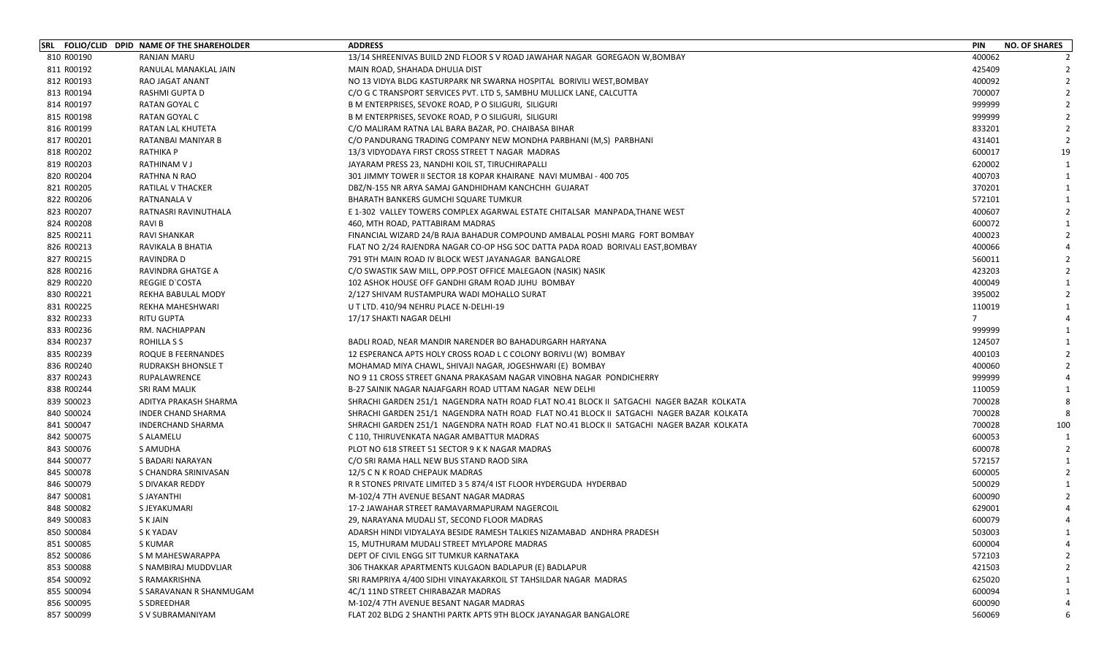|            | SRL FOLIO/CLID DPID NAME OF THE SHAREHOLDER | <b>ADDRESS</b>                                                                           | <b>PIN</b>     | <b>NO. OF SHARES</b> |
|------------|---------------------------------------------|------------------------------------------------------------------------------------------|----------------|----------------------|
| 810 R00190 | RANJAN MARU                                 | 13/14 SHREENIVAS BUILD 2ND FLOOR S V ROAD JAWAHAR NAGAR GOREGAON W, BOMBAY               | 400062         |                      |
| 811 R00192 | RANULAL MANAKLAL JAIN                       | MAIN ROAD, SHAHADA DHULIA DIST                                                           | 425409         |                      |
| 812 R00193 | RAO JAGAT ANANT                             | NO 13 VIDYA BLDG KASTURPARK NR SWARNA HOSPITAL BORIVILI WEST, BOMBAY                     | 400092         |                      |
| 813 R00194 | RASHMI GUPTA D                              | C/O G C TRANSPORT SERVICES PVT. LTD 5, SAMBHU MULLICK LANE, CALCUTTA                     | 700007         |                      |
| 814 R00197 | RATAN GOYAL C                               | B M ENTERPRISES, SEVOKE ROAD, P O SILIGURI, SILIGURI                                     | 999999         |                      |
| 815 R00198 | RATAN GOYAL C                               | B M ENTERPRISES, SEVOKE ROAD, P O SILIGURI, SILIGURI                                     | 999999         |                      |
| 816 R00199 | RATAN LAL KHUTETA                           | C/O MALIRAM RATNA LAL BARA BAZAR, PO. CHAIBASA BIHAR                                     | 833201         |                      |
| 817 R00201 | RATANBAI MANIYAR B                          | C/O PANDURANG TRADING COMPANY NEW MONDHA PARBHANI (M,S) PARBHANI                         | 431401         |                      |
| 818 R00202 | <b>RATHIKA P</b>                            | 13/3 VIDYODAYA FIRST CROSS STREET T NAGAR MADRAS                                         | 600017         | 19                   |
| 819 R00203 | RATHINAM V J                                | JAYARAM PRESS 23, NANDHI KOIL ST, TIRUCHIRAPALLI                                         | 620002         |                      |
| 820 R00204 | RATHNA N RAO                                | 301 JIMMY TOWER II SECTOR 18 KOPAR KHAIRANE NAVI MUMBAI - 400 705                        | 400703         |                      |
| 821 R00205 | RATILAL V THACKER                           | DBZ/N-155 NR ARYA SAMAJ GANDHIDHAM KANCHCHH GUJARAT                                      | 370201         |                      |
| 822 R00206 | RATNANALA V                                 | BHARATH BANKERS GUMCHI SQUARE TUMKUR                                                     | 572101         |                      |
| 823 R00207 | RATNASRI RAVINUTHALA                        | E 1-302 VALLEY TOWERS COMPLEX AGARWAL ESTATE CHITALSAR MANPADA, THANE WEST               | 400607         |                      |
| 824 R00208 | RAVI B                                      | 460, MTH ROAD, PATTABIRAM MADRAS                                                         | 600072         |                      |
| 825 R00211 | RAVI SHANKAR                                | FINANCIAL WIZARD 24/B RAJA BAHADUR COMPOUND AMBALAL POSHI MARG FORT BOMBAY               | 400023         |                      |
| 826 R00213 | RAVIKALA B BHATIA                           | FLAT NO 2/24 RAJENDRA NAGAR CO-OP HSG SOC DATTA PADA ROAD BORIVALI EAST, BOMBAY          | 400066         |                      |
| 827 R00215 | RAVINDRA D                                  | 791 9TH MAIN ROAD IV BLOCK WEST JAYANAGAR BANGALORE                                      | 560011         |                      |
| 828 R00216 | RAVINDRA GHATGE A                           | C/O SWASTIK SAW MILL, OPP.POST OFFICE MALEGAON (NASIK) NASIK                             | 423203         |                      |
| 829 R00220 | <b>REGGIE D'COSTA</b>                       | 102 ASHOK HOUSE OFF GANDHI GRAM ROAD JUHU BOMBAY                                         | 400049         |                      |
| 830 R00221 | REKHA BABULAL MODY                          | 2/127 SHIVAM RUSTAMPURA WADI MOHALLO SURAT                                               | 395002         |                      |
| 831 R00225 | REKHA MAHESHWARI                            | U T LTD. 410/94 NEHRU PLACE N-DELHI-19                                                   | 110019         |                      |
| 832 R00233 | RITU GUPTA                                  | 17/17 SHAKTI NAGAR DELHI                                                                 | $\overline{7}$ |                      |
| 833 R00236 | RM. NACHIAPPAN                              |                                                                                          | 999999         |                      |
| 834 R00237 | <b>ROHILLA S S</b>                          | BADLI ROAD, NEAR MANDIR NARENDER BO BAHADURGARH HARYANA                                  | 124507         |                      |
| 835 R00239 | ROQUE B FEERNANDES                          | 12 ESPERANCA APTS HOLY CROSS ROAD L C COLONY BORIVLI (W) BOMBAY                          | 400103         |                      |
| 836 R00240 | <b>RUDRAKSH BHONSLE T</b>                   | MOHAMAD MIYA CHAWL, SHIVAJI NAGAR, JOGESHWARI (E) BOMBAY                                 | 400060         |                      |
| 837 R00243 | RUPALAWRENCE                                | NO 9 11 CROSS STREET GNANA PRAKASAM NAGAR VINOBHA NAGAR PONDICHERRY                      | 999999         |                      |
| 838 R00244 | <b>SRI RAM MALIK</b>                        | B-27 SAINIK NAGAR NAJAFGARH ROAD UTTAM NAGAR NEW DELHI                                   | 110059         |                      |
| 839 S00023 | ADITYA PRAKASH SHARMA                       | SHRACHI GARDEN 251/1 NAGENDRA NATH ROAD FLAT NO.41 BLOCK II SATGACHI NAGER BAZAR KOLKATA | 700028         |                      |
| 840 S00024 | <b>INDER CHAND SHARMA</b>                   | SHRACHI GARDEN 251/1 NAGENDRA NATH ROAD FLAT NO.41 BLOCK II SATGACHI NAGER BAZAR KOLKATA | 700028         |                      |
| 841 S00047 | <b>INDERCHAND SHARMA</b>                    | SHRACHI GARDEN 251/1 NAGENDRA NATH ROAD FLAT NO.41 BLOCK II SATGACHI NAGER BAZAR KOLKATA | 700028         | 100                  |
| 842 S00075 | S ALAMELU                                   | C 110, THIRUVENKATA NAGAR AMBATTUR MADRAS                                                | 600053         |                      |
| 843 S00076 | S AMUDHA                                    | PLOT NO 618 STREET 51 SECTOR 9 K K NAGAR MADRAS                                          | 600078         |                      |
| 844 S00077 | S BADARI NARAYAN                            | C/O SRI RAMA HALL NEW BUS STAND RAOD SIRA                                                | 572157         |                      |
| 845 S00078 | S CHANDRA SRINIVASAN                        | 12/5 C N K ROAD CHEPAUK MADRAS                                                           | 600005         |                      |
| 846 S00079 | S DIVAKAR REDDY                             | R R STONES PRIVATE LIMITED 3 5 874/4 IST FLOOR HYDERGUDA HYDERBAD                        | 500029         |                      |
| 847 S00081 | S JAYANTHI                                  | M-102/4 7TH AVENUE BESANT NAGAR MADRAS                                                   | 600090         |                      |
| 848 S00082 | S JEYAKUMARI                                | 17-2 JAWAHAR STREET RAMAVARMAPURAM NAGERCOIL                                             | 629001         |                      |
| 849 S00083 | S K JAIN                                    | 29, NARAYANA MUDALI ST, SECOND FLOOR MADRAS                                              | 600079         |                      |
| 850 S00084 | S K YADAV                                   | ADARSH HINDI VIDYALAYA BESIDE RAMESH TALKIES NIZAMABAD ANDHRA PRADESH                    | 503003         |                      |
| 851 S00085 | S KUMAR                                     | 15, MUTHURAM MUDALI STREET MYLAPORE MADRAS                                               | 600004         |                      |
| 852 S00086 | S M MAHESWARAPPA                            | DEPT OF CIVIL ENGG SIT TUMKUR KARNATAKA                                                  | 572103         |                      |
| 853 S00088 | S NAMBIRAJ MUDDVLIAR                        | 306 THAKKAR APARTMENTS KULGAON BADLAPUR (E) BADLAPUR                                     | 421503         |                      |
| 854 S00092 | S RAMAKRISHNA                               | SRI RAMPRIYA 4/400 SIDHI VINAYAKARKOIL ST TAHSILDAR NAGAR MADRAS                         | 625020         |                      |
| 855 S00094 | S SARAVANAN R SHANMUGAM                     | 4C/1 11ND STREET CHIRABAZAR MADRAS                                                       | 600094         |                      |
| 856 S00095 | S SDREEDHAR                                 | M-102/4 7TH AVENUE BESANT NAGAR MADRAS                                                   | 600090         |                      |
| 857 S00099 | S V SUBRAMANIYAM                            | FLAT 202 BLDG 2 SHANTHI PARTK APTS 9TH BLOCK JAYANAGAR BANGALORE                         | 560069         |                      |
|            |                                             |                                                                                          |                |                      |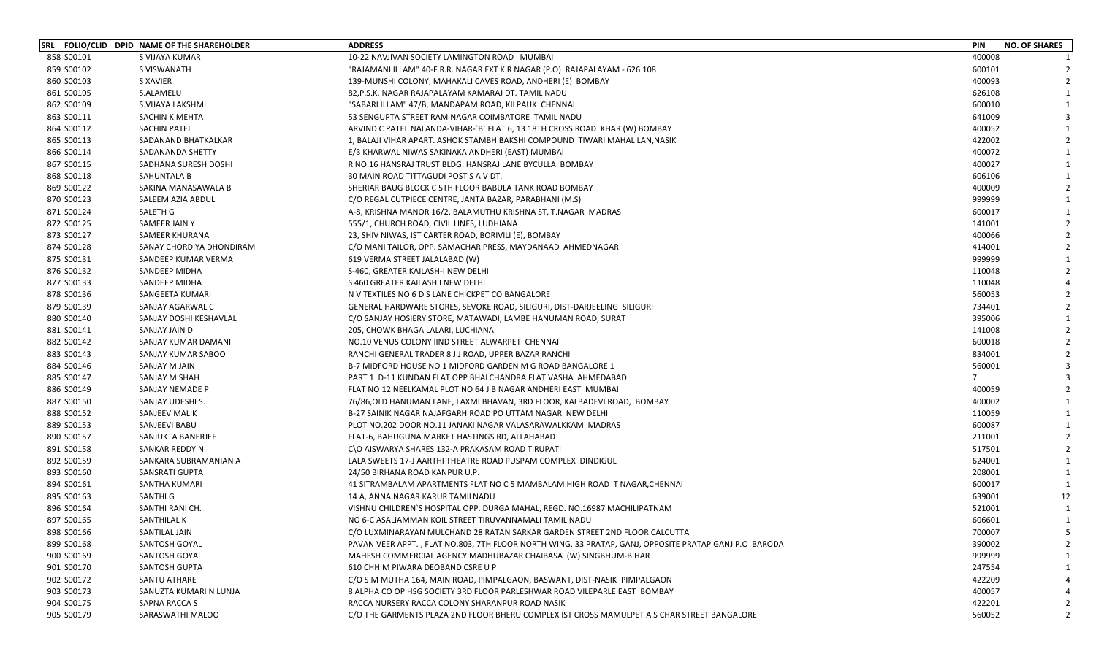|            | SRL FOLIO/CLID DPID NAME OF THE SHAREHOLDER | <b>ADDRESS</b>                                                                                        | <b>PIN</b> | <b>NO. OF SHARES</b> |
|------------|---------------------------------------------|-------------------------------------------------------------------------------------------------------|------------|----------------------|
| 858 S00101 | S VIJAYA KUMAR                              | 10-22 NAVJIVAN SOCIETY LAMINGTON ROAD MUMBAI                                                          | 400008     |                      |
| 859 S00102 | S VISWANATH                                 | "RAJAMANI ILLAM" 40-F R.R. NAGAR EXT K R NAGAR (P.O) RAJAPALAYAM - 626 108                            | 600101     |                      |
| 860 S00103 | S XAVIER                                    | 139-MUNSHI COLONY, MAHAKALI CAVES ROAD, ANDHERI (E) BOMBAY                                            | 400093     |                      |
| 861 S00105 | S.ALAMELU                                   | 82, P.S.K. NAGAR RAJAPALAYAM KAMARAJ DT. TAMIL NADU                                                   | 626108     |                      |
| 862 S00109 | S.VIJAYA LAKSHMI                            | "SABARI ILLAM" 47/B, MANDAPAM ROAD, KILPAUK CHENNAI                                                   | 600010     |                      |
| 863 S00111 | SACHIN K MEHTA                              | 53 SENGUPTA STREET RAM NAGAR COIMBATORE TAMIL NADU                                                    | 641009     |                      |
| 864 S00112 | SACHIN PATEL                                | ARVIND C PATEL NALANDA-VIHAR-`B` FLAT 6, 13 18TH CROSS ROAD KHAR (W) BOMBAY                           | 400052     |                      |
| 865 S00113 | SADANAND BHATKALKAR                         | 1, BALAJI VIHAR APART. ASHOK STAMBH BAKSHI COMPOUND TIWARI MAHAL LAN, NASIK                           | 422002     |                      |
| 866 S00114 | SADANANDA SHETTY                            | E/3 KHARWAL NIWAS SAKINAKA ANDHERI (EAST) MUMBAI                                                      | 400072     |                      |
| 867 S00115 | SADHANA SURESH DOSHI                        | R NO.16 HANSRAJ TRUST BLDG. HANSRAJ LANE BYCULLA BOMBAY                                               | 400027     |                      |
| 868 S00118 | SAHUNTALA B                                 | 30 MAIN ROAD TITTAGUDI POST S A V DT.                                                                 | 606106     |                      |
| 869 S00122 | SAKINA MANASAWALA B                         | SHERIAR BAUG BLOCK C 5TH FLOOR BABULA TANK ROAD BOMBAY                                                | 400009     |                      |
| 870 S00123 | SALEEM AZIA ABDUL                           | C/O REGAL CUTPIECE CENTRE, JANTA BAZAR, PARABHANI (M.S)                                               | 999999     |                      |
| 871 S00124 | SALETH G                                    | A-8, KRISHNA MANOR 16/2, BALAMUTHU KRISHNA ST, T.NAGAR MADRAS                                         | 600017     |                      |
| 872 S00125 | SAMEER JAIN Y                               | 555/1, CHURCH ROAD, CIVIL LINES, LUDHIANA                                                             | 141001     |                      |
| 873 S00127 | SAMEER KHURANA                              | 23, SHIV NIWAS, IST CARTER ROAD, BORIVILI (E), BOMBAY                                                 | 400066     |                      |
| 874 S00128 | SANAY CHORDIYA DHONDIRAM                    | C/O MANI TAILOR, OPP. SAMACHAR PRESS, MAYDANAAD AHMEDNAGAR                                            | 414001     |                      |
| 875 S00131 | SANDEEP KUMAR VERMA                         | 619 VERMA STREET JALALABAD (W)                                                                        | 999999     |                      |
| 876 S00132 | SANDEEP MIDHA                               | S-460, GREATER KAILASH-I NEW DELHI                                                                    | 110048     |                      |
| 877 S00133 | SANDEEP MIDHA                               | S 460 GREATER KAILASH I NEW DELHI                                                                     | 110048     |                      |
| 878 S00136 | SANGEETA KUMARI                             | N V TEXTILES NO 6 D S LANE CHICKPET CO BANGALORE                                                      | 560053     |                      |
| 879 S00139 | SANJAY AGARWAL C                            | GENERAL HARDWARE STORES, SEVOKE ROAD, SILIGURI, DIST-DARJEELING SILIGURI                              | 734401     |                      |
| 880 S00140 | SANJAY DOSHI KESHAVLAL                      | C/O SANJAY HOSIERY STORE, MATAWADI, LAMBE HANUMAN ROAD, SURAT                                         | 395006     |                      |
| 881 S00141 | SANJAY JAIN D                               | 205, CHOWK BHAGA LALARI, LUCHIANA                                                                     | 141008     |                      |
| 882 S00142 | SANJAY KUMAR DAMANI                         | NO.10 VENUS COLONY IIND STREET ALWARPET CHENNAI                                                       | 600018     |                      |
| 883 S00143 | SANJAY KUMAR SABOO                          | RANCHI GENERAL TRADER 8 J J ROAD, UPPER BAZAR RANCHI                                                  | 834001     |                      |
| 884 S00146 | SANJAY M JAIN                               | B-7 MIDFORD HOUSE NO 1 MIDFORD GARDEN M G ROAD BANGALORE 1                                            | 560001     |                      |
| 885 S00147 | SANJAY M SHAH                               | PART 1 D-11 KUNDAN FLAT OPP BHALCHANDRA FLAT VASHA AHMEDABAD                                          | -7         |                      |
| 886 S00149 | SANJAY NEMADE P                             | FLAT NO 12 NEELKAMAL PLOT NO 64 J B NAGAR ANDHERI EAST MUMBAI                                         | 400059     |                      |
| 887 S00150 | SANJAY UDESHI S.                            | 76/86,OLD HANUMAN LANE, LAXMI BHAVAN, 3RD FLOOR, KALBADEVI ROAD, BOMBAY                               | 400002     |                      |
| 888 S00152 | <b>SANJEEV MALIK</b>                        | B-27 SAINIK NAGAR NAJAFGARH ROAD PO UTTAM NAGAR NEW DELHI                                             | 110059     |                      |
| 889 S00153 | SANJEEVI BABU                               | PLOT NO.202 DOOR NO.11 JANAKI NAGAR VALASARAWALKKAM MADRAS                                            | 600087     |                      |
| 890 S00157 | SANJUKTA BANERJEE                           | FLAT-6, BAHUGUNA MARKET HASTINGS RD, ALLAHABAD                                                        | 211001     |                      |
| 891 S00158 | SANKAR REDDY N                              | C\O AISWARYA SHARES 132-A PRAKASAM ROAD TIRUPATI                                                      | 517501     |                      |
| 892 S00159 | SANKARA SUBRAMANIAN A                       | LALA SWEETS 17-J AARTHI THEATRE ROAD PUSPAM COMPLEX DINDIGUL                                          | 624001     |                      |
| 893 S00160 | <b>SANSRATI GUPTA</b>                       | 24/50 BIRHANA ROAD KANPUR U.P.                                                                        | 208001     |                      |
| 894 S00161 | SANTHA KUMARI                               | 41 SITRAMBALAM APARTMENTS FLAT NO C 5 MAMBALAM HIGH ROAD T NAGAR, CHENNAI                             | 600017     |                      |
| 895 S00163 | SANTHI G                                    | 14 A. ANNA NAGAR KARUR TAMILNADU                                                                      | 639001     | 12                   |
| 896 S00164 | SANTHI RANI CH.                             | VISHNU CHILDREN'S HOSPITAL OPP. DURGA MAHAL, REGD. NO.16987 MACHILIPATNAM                             | 521001     |                      |
| 897 S00165 | SANTHILAL K                                 | NO 6-C ASALIAMMAN KOIL STREET TIRUVANNAMALI TAMIL NADU                                                | 606601     | 1                    |
| 898 S00166 | SANTILAL JAIN                               | C/O LUXMINARAYAN MULCHAND 28 RATAN SARKAR GARDEN STREET 2ND FLOOR CALCUTTA                            | 700007     |                      |
| 899 S00168 | SANTOSH GOYAL                               | PAVAN VEER APPT., FLAT NO.803, 7TH FLOOR NORTH WING, 33 PRATAP, GANJ, OPPOSITE PRATAP GANJ P.O BARODA | 390002     |                      |
| 900 S00169 | SANTOSH GOYAL                               | MAHESH COMMERCIAL AGENCY MADHUBAZAR CHAIBASA (W) SINGBHUM-BIHAR                                       | 999999     |                      |
| 901 S00170 | SANTOSH GUPTA                               | 610 CHHIM PIWARA DEOBAND CSRE U P                                                                     | 247554     |                      |
| 902 S00172 | SANTU ATHARE                                | C/O S M MUTHA 164, MAIN ROAD, PIMPALGAON, BASWANT, DIST-NASIK PIMPALGAON                              | 422209     |                      |
| 903 S00173 | SANUZTA KUMARI N LUNJA                      | 8 ALPHA CO OP HSG SOCIETY 3RD FLOOR PARLESHWAR ROAD VILEPARLE EAST BOMBAY                             | 400057     |                      |
| 904 S00175 | SAPNA RACCA S                               | RACCA NURSERY RACCA COLONY SHARANPUR ROAD NASIK                                                       | 422201     |                      |
| 905 S00179 | SARASWATHI MALOO                            | C/O THE GARMENTS PLAZA 2ND FLOOR BHERU COMPLEX IST CROSS MAMULPET A S CHAR STREET BANGALORE           | 560052     |                      |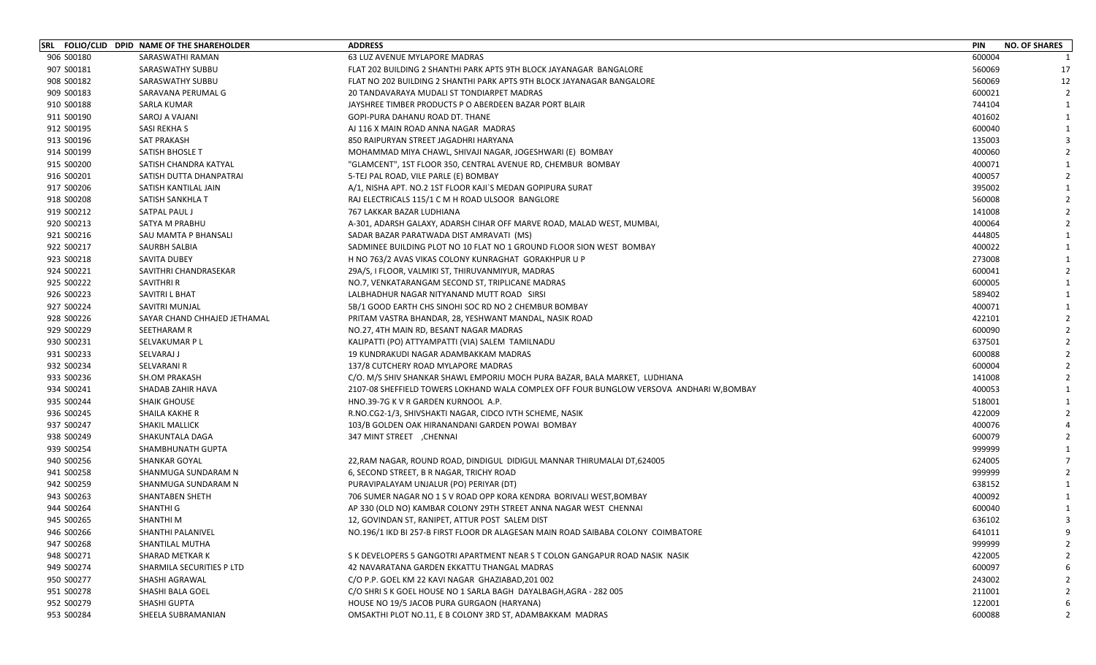|            | SRL FOLIO/CLID DPID NAME OF THE SHAREHOLDER | <b>ADDRESS</b>                                                                           | <b>PIN</b> | <b>NO. OF SHARES</b> |
|------------|---------------------------------------------|------------------------------------------------------------------------------------------|------------|----------------------|
| 906 S00180 | SARASWATHI RAMAN                            | <b>63 LUZ AVENUE MYLAPORE MADRAS</b>                                                     | 600004     |                      |
| 907 S00181 | SARASWATHY SUBBU                            | FLAT 202 BUILDING 2 SHANTHI PARK APTS 9TH BLOCK JAYANAGAR BANGALORE                      | 560069     | 17                   |
| 908 S00182 | SARASWATHY SUBBU                            | FLAT NO 202 BUILDING 2 SHANTHI PARK APTS 9TH BLOCK JAYANAGAR BANGALORE                   | 560069     | 12                   |
| 909 S00183 | SARAVANA PERUMAL G                          | 20 TANDAVARAYA MUDALI ST TONDIARPET MADRAS                                               | 600021     | 2                    |
| 910 S00188 | SARLA KUMAR                                 | JAYSHREE TIMBER PRODUCTS P O ABERDEEN BAZAR PORT BLAIR                                   | 744104     | $\mathbf{1}$         |
| 911 S00190 | SAROJ A VAJANI                              | GOPI-PURA DAHANU ROAD DT. THANE                                                          | 401602     |                      |
| 912 S00195 | SASI REKHA S                                | AJ 116 X MAIN ROAD ANNA NAGAR MADRAS                                                     | 600040     |                      |
| 913 S00196 | <b>SAT PRAKASH</b>                          | 850 RAIPURYAN STREET JAGADHRI HARYANA                                                    | 135003     |                      |
| 914 S00199 | SATISH BHOSLE T                             | MOHAMMAD MIYA CHAWL, SHIVAJI NAGAR, JOGESHWARI (E) BOMBAY                                | 400060     |                      |
| 915 S00200 | SATISH CHANDRA KATYAL                       | "GLAMCENT", 1ST FLOOR 350, CENTRAL AVENUE RD, CHEMBUR BOMBAY                             | 400071     |                      |
| 916 S00201 | SATISH DUTTA DHANPATRAI                     | 5-TEJ PAL ROAD, VILE PARLE (E) BOMBAY                                                    | 400057     |                      |
| 917 S00206 | SATISH KANTILAL JAIN                        | A/1, NISHA APT. NO.2 1ST FLOOR KAJI`S MEDAN GOPIPURA SURAT                               | 395002     |                      |
| 918 S00208 | SATISH SANKHLA T                            | RAJ ELECTRICALS 115/1 C M H ROAD ULSOOR BANGLORE                                         | 560008     |                      |
| 919 S00212 | SATPAL PAUL J                               | 767 LAKKAR BAZAR LUDHIANA                                                                | 141008     |                      |
| 920 S00213 | SATYA M PRABHU                              | A-301, ADARSH GALAXY, ADARSH CIHAR OFF MARVE ROAD, MALAD WEST, MUMBAI,                   | 400064     |                      |
| 921 S00216 | SAU MAMTA P BHANSALI                        | SADAR BAZAR PARATWADA DIST AMRAVATI (MS)                                                 | 444805     |                      |
| 922 S00217 | SAURBH SALBIA                               | SADMINEE BUILDING PLOT NO 10 FLAT NO 1 GROUND FLOOR SION WEST BOMBAY                     | 400022     |                      |
| 923 S00218 | SAVITA DUBEY                                | H NO 763/2 AVAS VIKAS COLONY KUNRAGHAT GORAKHPUR U P                                     | 273008     |                      |
| 924 S00221 | SAVITHRI CHANDRASEKAR                       | 29A/S, I FLOOR, VALMIKI ST, THIRUVANMIYUR, MADRAS                                        | 600041     | $\overline{2}$       |
| 925 S00222 | SAVITHRI R                                  | NO.7, VENKATARANGAM SECOND ST, TRIPLICANE MADRAS                                         | 600005     |                      |
| 926 S00223 | SAVITRI L BHAT                              | LALBHADHUR NAGAR NITYANAND MUTT ROAD SIRSI                                               | 589402     |                      |
| 927 S00224 | SAVITRI MUNJAL                              | 5B/1 GOOD EARTH CHS SINOHI SOC RD NO 2 CHEMBUR BOMBAY                                    | 400071     |                      |
| 928 S00226 | SAYAR CHAND CHHAJED JETHAMAL                | PRITAM VASTRA BHANDAR, 28, YESHWANT MANDAL, NASIK ROAD                                   | 422101     |                      |
| 929 S00229 | SEETHARAM R                                 | NO.27, 4TH MAIN RD, BESANT NAGAR MADRAS                                                  | 600090     |                      |
| 930 S00231 | SELVAKUMAR P L                              | KALIPATTI (PO) ATTYAMPATTI (VIA) SALEM TAMILNADU                                         | 637501     |                      |
| 931 S00233 | SELVARAJ J                                  | 19 KUNDRAKUDI NAGAR ADAMBAKKAM MADRAS                                                    | 600088     |                      |
| 932 S00234 | SELVARANI R                                 | 137/8 CUTCHERY ROAD MYLAPORE MADRAS                                                      | 600004     |                      |
| 933 S00236 | <b>SH.OM PRAKASH</b>                        | C/O. M/S SHIV SHANKAR SHAWL EMPORIU MOCH PURA BAZAR, BALA MARKET, LUDHIANA               | 141008     |                      |
| 934 S00241 | SHADAB ZAHIR HAVA                           | 2107-08 SHEFFIELD TOWERS LOKHAND WALA COMPLEX OFF FOUR BUNGLOW VERSOVA ANDHARI W, BOMBAY | 400053     |                      |
| 935 S00244 | <b>SHAIK GHOUSE</b>                         | HNO.39-7G K V R GARDEN KURNOOL A.P.                                                      | 518001     |                      |
| 936 S00245 | SHAILA KAKHE R                              | R.NO.CG2-1/3, SHIVSHAKTI NAGAR, CIDCO IVTH SCHEME, NASIK                                 | 422009     |                      |
| 937 S00247 | <b>SHAKIL MALLICK</b>                       | 103/B GOLDEN OAK HIRANANDANI GARDEN POWAI BOMBAY                                         | 400076     |                      |
| 938 S00249 | SHAKUNTALA DAGA                             | 347 MINT STREET , CHENNAI                                                                | 600079     |                      |
| 939 S00254 | SHAMBHUNATH GUPTA                           |                                                                                          | 999999     |                      |
| 940 S00256 | <b>SHANKAR GOYAL</b>                        | 22, RAM NAGAR, ROUND ROAD, DINDIGUL DIDIGUL MANNAR THIRUMALAI DT, 624005                 | 624005     |                      |
| 941 S00258 | SHANMUGA SUNDARAM N                         | 6, SECOND STREET, B R NAGAR, TRICHY ROAD                                                 | 999999     |                      |
| 942 S00259 | SHANMUGA SUNDARAM N                         | PURAVIPALAYAM UNJALUR (PO) PERIYAR (DT)                                                  | 638152     |                      |
| 943 S00263 | SHANTABEN SHETH                             | 706 SUMER NAGAR NO 1 S V ROAD OPP KORA KENDRA BORIVALI WEST, BOMBAY                      | 400092     |                      |
| 944 S00264 | SHANTHI G                                   | AP 330 (OLD NO) KAMBAR COLONY 29TH STREET ANNA NAGAR WEST CHENNAI                        | 600040     |                      |
| 945 S00265 | <b>SHANTHIM</b>                             | 12, GOVINDAN ST, RANIPET, ATTUR POST SALEM DIST                                          | 636102     | 3                    |
| 946 S00266 | SHANTHI PALANIVEL                           | NO.196/1 IKD BI 257-B FIRST FLOOR DR ALAGESAN MAIN ROAD SAIBABA COLONY COIMBATORE        | 641011     |                      |
| 947 S00268 | SHANTILAL MUTHA                             |                                                                                          | 999999     |                      |
| 948 S00271 | SHARAD METKAR K                             | S K DEVELOPERS 5 GANGOTRI APARTMENT NEAR S T COLON GANGAPUR ROAD NASIK NASIK             | 422005     |                      |
| 949 S00274 | SHARMILA SECURITIES P LTD                   | 42 NAVARATANA GARDEN EKKATTU THANGAL MADRAS                                              | 600097     |                      |
| 950 S00277 | SHASHI AGRAWAL                              | C/O P.P. GOEL KM 22 KAVI NAGAR GHAZIABAD, 201 002                                        | 243002     |                      |
| 951 S00278 | SHASHI BALA GOEL                            | C/O SHRI S K GOEL HOUSE NO 1 SARLA BAGH DAYALBAGH, AGRA - 282 005                        | 211001     |                      |
| 952 S00279 | SHASHI GUPTA                                | HOUSE NO 19/5 JACOB PURA GURGAON (HARYANA)                                               | 122001     |                      |
| 953 S00284 | SHEELA SUBRAMANIAN                          | OMSAKTHI PLOT NO.11, E B COLONY 3RD ST, ADAMBAKKAM MADRAS                                | 600088     |                      |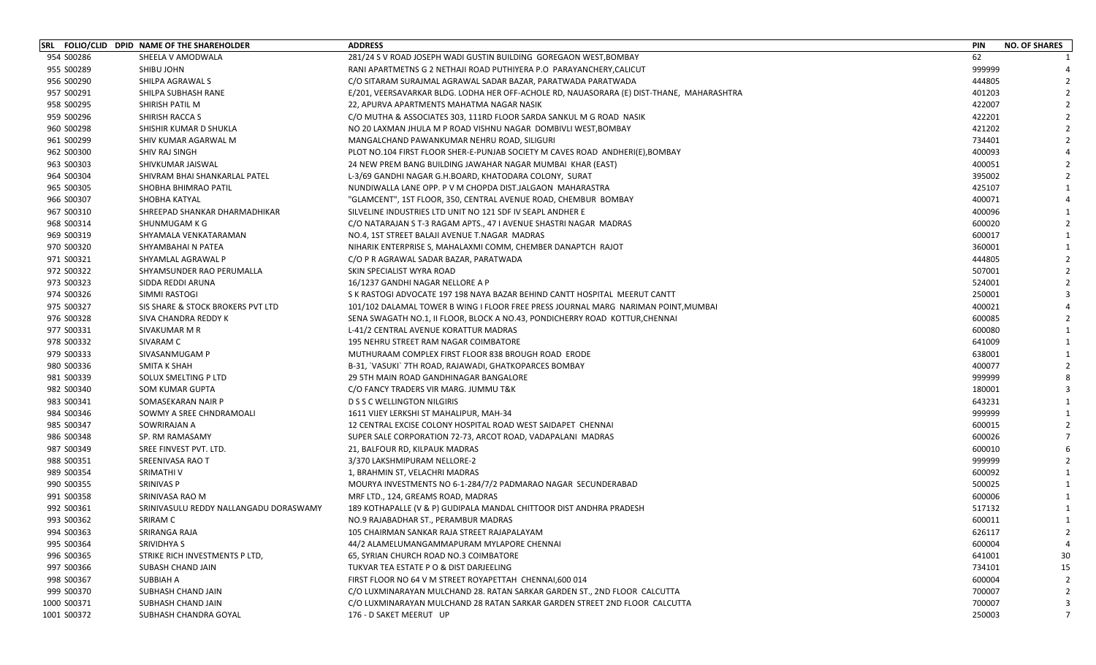|             | SRL FOLIO/CLID DPID NAME OF THE SHAREHOLDER | <b>ADDRESS</b>                                                                            | <b>PIN</b> | <b>NO. OF SHARES</b> |
|-------------|---------------------------------------------|-------------------------------------------------------------------------------------------|------------|----------------------|
| 954 S00286  | SHEELA V AMODWALA                           | 281/24 S V ROAD JOSEPH WADI GUSTIN BUILDING GOREGAON WEST, BOMBAY                         | 62         |                      |
| 955 S00289  | SHIBU JOHN                                  | RANI APARTMETNS G 2 NETHAJI ROAD PUTHIYERA P.O PARAYANCHERY, CALICUT                      | 999999     |                      |
| 956 S00290  | SHILPA AGRAWAL S                            | C/O SITARAM SURAJMAL AGRAWAL SADAR BAZAR, PARATWADA PARATWADA                             | 444805     |                      |
| 957 S00291  | SHILPA SUBHASH RANE                         | E/201, VEERSAVARKAR BLDG. LODHA HER OFF-ACHOLE RD, NAUASORARA (E) DIST-THANE, MAHARASHTRA | 401203     |                      |
| 958 S00295  | SHIRISH PATIL M                             | 22, APURVA APARTMENTS MAHATMA NAGAR NASIK                                                 | 422007     |                      |
| 959 S00296  | SHIRISH RACCA S                             | C/O MUTHA & ASSOCIATES 303, 111RD FLOOR SARDA SANKUL M G ROAD NASIK                       | 422201     |                      |
| 960 S00298  | SHISHIR KUMAR D SHUKLA                      | NO 20 LAXMAN JHULA M P ROAD VISHNU NAGAR DOMBIVLI WEST, BOMBAY                            | 421202     |                      |
| 961 S00299  | SHIV KUMAR AGARWAL M                        | MANGALCHAND PAWANKUMAR NEHRU ROAD, SILIGURI                                               | 734401     |                      |
| 962 S00300  | SHIV RAJ SINGH                              | PLOT NO.104 FIRST FLOOR SHER-E-PUNJAB SOCIETY M CAVES ROAD ANDHERI(E), BOMBAY             | 400093     |                      |
| 963 S00303  | SHIVKUMAR JAISWAL                           | 24 NEW PREM BANG BUILDING JAWAHAR NAGAR MUMBAI KHAR (EAST)                                | 400051     |                      |
| 964 S00304  | SHIVRAM BHAI SHANKARLAL PATEL               | L-3/69 GANDHI NAGAR G.H.BOARD, KHATODARA COLONY, SURAT                                    | 395002     |                      |
| 965 S00305  | SHOBHA BHIMRAO PATIL                        | NUNDIWALLA LANE OPP. P V M CHOPDA DIST.JALGAON MAHARASTRA                                 | 425107     |                      |
| 966 S00307  | SHOBHA KATYAL                               | "GLAMCENT", 1ST FLOOR, 350, CENTRAL AVENUE ROAD, CHEMBUR  BOMBAY                          | 400071     |                      |
| 967 S00310  | SHREEPAD SHANKAR DHARMADHIKAR               | SILVELINE INDUSTRIES LTD UNIT NO 121 SDF IV SEAPL ANDHER E                                | 400096     |                      |
| 968 S00314  | SHUNMUGAM K G                               | C/O NATARAJAN S T-3 RAGAM APTS., 47 I AVENUE SHASTRI NAGAR MADRAS                         | 600020     |                      |
| 969 S00319  | SHYAMALA VENKATARAMAN                       | NO.4, 1ST STREET BALAJI AVENUE T.NAGAR MADRAS                                             | 600017     |                      |
| 970 S00320  | SHYAMBAHAI N PATEA                          | NIHARIK ENTERPRISE S, MAHALAXMI COMM, CHEMBER DANAPTCH RAJOT                              | 360001     |                      |
| 971 S00321  | SHYAMLAL AGRAWAL P                          | C/O P R AGRAWAL SADAR BAZAR, PARATWADA                                                    | 444805     |                      |
| 972 S00322  | SHYAMSUNDER RAO PERUMALLA                   | SKIN SPECIALIST WYRA ROAD                                                                 | 507001     |                      |
| 973 S00323  | SIDDA REDDI ARUNA                           | 16/1237 GANDHI NAGAR NELLORE A P                                                          | 524001     |                      |
| 974 S00326  | SIMMI RASTOGI                               | S K RASTOGI ADVOCATE 197 198 NAYA BAZAR BEHIND CANTT HOSPITAL MEERUT CANTT                | 250001     |                      |
| 975 S00327  | SIS SHARE & STOCK BROKERS PVT LTD           | 101/102 DALAMAL TOWER B WING I FLOOR FREE PRESS JOURNAL MARG NARIMAN POINT, MUMBAI        | 400021     |                      |
| 976 S00328  | SIVA CHANDRA REDDY K                        | SENA SWAGATH NO.1, II FLOOR, BLOCK A NO.43, PONDICHERRY ROAD KOTTUR, CHENNAI              | 600085     |                      |
| 977 S00331  | SIVAKUMAR M R                               | L-41/2 CENTRAL AVENUE KORATTUR MADRAS                                                     | 600080     |                      |
| 978 S00332  | SIVARAM C                                   | 195 NEHRU STREET RAM NAGAR COIMBATORE                                                     | 641009     |                      |
| 979 S00333  | SIVASANMUGAM P                              | MUTHURAAM COMPLEX FIRST FLOOR 838 BROUGH ROAD ERODE                                       | 638001     |                      |
| 980 S00336  | SMITA K SHAH                                | B-31, `VASUKI` 7TH ROAD, RAJAWADI, GHATKOPARCES BOMBAY                                    | 400077     |                      |
| 981 S00339  | SOLUX SMELTING P LTD                        | 29 5TH MAIN ROAD GANDHINAGAR BANGALORE                                                    | 999999     |                      |
| 982 S00340  | SOM KUMAR GUPTA                             | C/O FANCY TRADERS VIR MARG. JUMMU T&K                                                     | 180001     |                      |
| 983 S00341  | SOMASEKARAN NAIR P                          | D S S C WELLINGTON NILGIRIS                                                               | 643231     |                      |
| 984 S00346  | SOWMY A SREE CHNDRAMOALI                    | 1611 VIJEY LERKSHI ST MAHALIPUR, MAH-34                                                   | 999999     |                      |
| 985 S00347  | SOWRIRAJAN A                                | 12 CENTRAL EXCISE COLONY HOSPITAL ROAD WEST SAIDAPET CHENNAI                              | 600015     |                      |
| 986 S00348  | SP. RM RAMASAMY                             | SUPER SALE CORPORATION 72-73, ARCOT ROAD, VADAPALANI MADRAS                               | 600026     |                      |
| 987 S00349  | SREE FINVEST PVT. LTD.                      | 21, BALFOUR RD, KILPAUK MADRAS                                                            | 600010     |                      |
| 988 S00351  | SREENIVASA RAO T                            | 3/370 LAKSHMIPURAM NELLORE-2                                                              | 999999     |                      |
| 989 S00354  | SRIMATHI V                                  | 1, BRAHMIN ST, VELACHRI MADRAS                                                            | 600092     |                      |
| 990 S00355  | <b>SRINIVAS P</b>                           | MOURYA INVESTMENTS NO 6-1-284/7/2 PADMARAO NAGAR SECUNDERABAD                             | 500025     |                      |
| 991 S00358  | SRINIVASA RAO M                             | MRF LTD., 124, GREAMS ROAD, MADRAS                                                        | 600006     |                      |
| 992 S00361  | SRINIVASULU REDDY NALLANGADU DORASWAMY      | 189 KOTHAPALLE (V & P) GUDIPALA MANDAL CHITTOOR DIST ANDHRA PRADESH                       | 517132     |                      |
| 993 S00362  | SRIRAM C                                    | NO.9 RAJABADHAR ST., PERAMBUR MADRAS                                                      | 600011     | $\mathbf{1}$         |
| 994 S00363  | SRIRANGA RAJA                               | 105 CHAIRMAN SANKAR RAJA STREET RAJAPALAYAM                                               | 626117     |                      |
| 995 S00364  | SRIVIDHYA S                                 | 44/2 ALAMELUMANGAMMAPURAM MYLAPORE CHENNAI                                                | 600004     |                      |
| 996 S00365  | STRIKE RICH INVESTMENTS P LTD,              | 65, SYRIAN CHURCH ROAD NO.3 COIMBATORE                                                    | 641001     | 30                   |
| 997 S00366  | SUBASH CHAND JAIN                           | TUKVAR TEA ESTATE P O & DIST DARJEELING                                                   | 734101     | 15                   |
| 998 S00367  | <b>SUBBIAH A</b>                            | FIRST FLOOR NO 64 V M STREET ROYAPETTAH CHENNAI,600 014                                   | 600004     |                      |
| 999 S00370  | SUBHASH CHAND JAIN                          | C/O LUXMINARAYAN MULCHAND 28. RATAN SARKAR GARDEN ST., 2ND FLOOR CALCUTTA                 | 700007     |                      |
| 1000 S00371 | SUBHASH CHAND JAIN                          | C/O LUXMINARAYAN MULCHAND 28 RATAN SARKAR GARDEN STREET 2ND FLOOR CALCUTTA                | 700007     |                      |
| 1001 S00372 | SUBHASH CHANDRA GOYAL                       | 176 - D SAKET MEERUT UP                                                                   | 250003     |                      |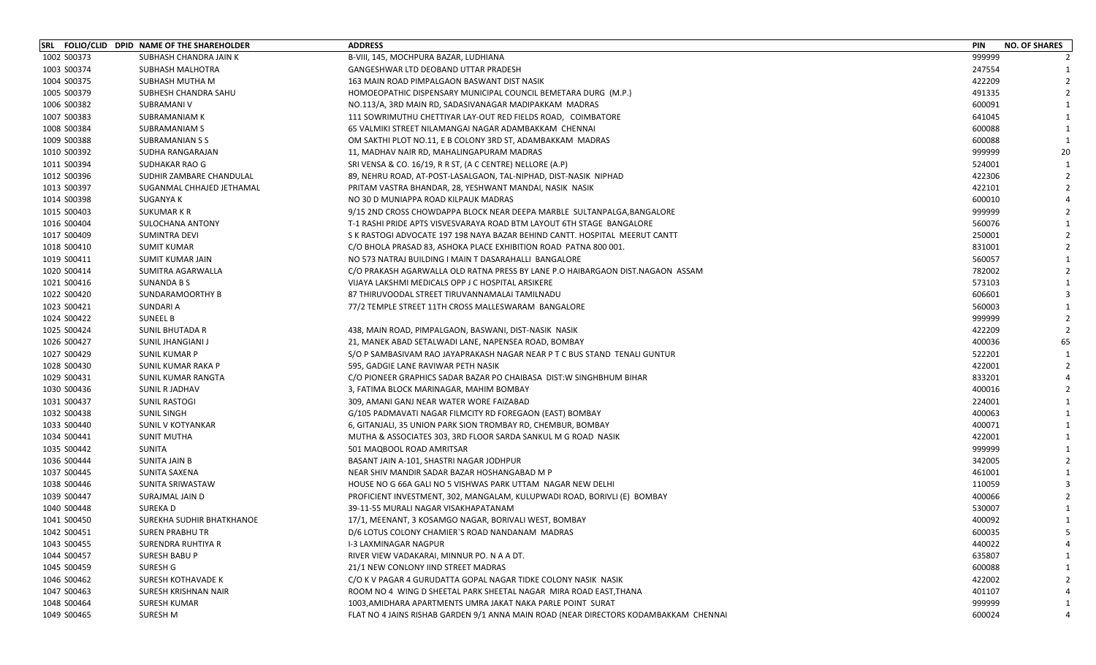|             | SRL FOLIO/CLID DPID NAME OF THE SHAREHOLDER | <b>ADDRESS</b>                                                                       | PIN    | <b>NO. OF SHARES</b> |
|-------------|---------------------------------------------|--------------------------------------------------------------------------------------|--------|----------------------|
| 1002 S00373 | SUBHASH CHANDRA JAIN K                      | B-VIII, 145, MOCHPURA BAZAR, LUDHIANA                                                | 999999 |                      |
| 1003 S00374 | SUBHASH MALHOTRA                            | GANGESHWAR LTD DEOBAND UTTAR PRADESH                                                 | 247554 | - 1                  |
| 1004 S00375 | SUBHASH MUTHA M                             | 163 MAIN ROAD PIMPALGAON BASWANT DIST NASIK                                          | 422209 |                      |
| 1005 S00379 | SUBHESH CHANDRA SAHU                        | HOMOEOPATHIC DISPENSARY MUNICIPAL COUNCIL BEMETARA DURG (M.P.)                       | 491335 | $\mathcal{P}$        |
| 1006 S00382 | SUBRAMANI V                                 | NO.113/A, 3RD MAIN RD, SADASIVANAGAR MADIPAKKAM MADRAS                               | 600091 |                      |
| 1007 S00383 | SUBRAMANIAM K                               | 111 SOWRIMUTHU CHETTIYAR LAY-OUT RED FIELDS ROAD, COIMBATORE                         | 641045 |                      |
| 1008 S00384 | SUBRAMANIAM S                               | 65 VALMIKI STREET NILAMANGAI NAGAR ADAMBAKKAM CHENNAI                                | 600088 | $\mathbf{1}$         |
| 1009 S00388 | SUBRAMANIAN S S                             | OM SAKTHI PLOT NO.11, E B COLONY 3RD ST, ADAMBAKKAM MADRAS                           | 600088 | $\mathbf{1}$         |
| 1010 S00392 | SUDHA RANGARAJAN                            | 11, MADHAV NAIR RD, MAHALINGAPURAM MADRAS                                            | 999999 | 20                   |
| 1011 S00394 | SUDHAKAR RAO G                              | SRI VENSA & CO. 16/19, R R ST, (A C CENTRE) NELLORE (A.P)                            | 524001 | - 1                  |
| 1012 S00396 | SUDHIR ZAMBARE CHANDULAL                    | 89, NEHRU ROAD, AT-POST-LASALGAON, TAL-NIPHAD, DIST-NASIK NIPHAD                     | 422306 |                      |
| 1013 S00397 | SUGANMAL CHHAJED JETHAMAL                   | PRITAM VASTRA BHANDAR, 28, YESHWANT MANDAI, NASIK NASIK                              | 422101 |                      |
| 1014 S00398 | SUGANYA K                                   | NO 30 D MUNIAPPA ROAD KILPAUK MADRAS                                                 | 600010 |                      |
| 1015 S00403 | SUKUMAR K R                                 | 9/15 2ND CROSS CHOWDAPPA BLOCK NEAR DEEPA MARBLE SULTANPALGA, BANGALORE              | 999999 |                      |
| 1016 S00404 | SULOCHANA ANTONY                            | T-1 RASHI PRIDE APTS VISVESVARAYA ROAD BTM LAYOUT 6TH STAGE BANGALORE                | 560076 |                      |
| 1017 S00409 | SUMINTRA DEVI                               | S K RASTOGI ADVOCATE 197 198 NAYA BAZAR BEHIND CANTT. HOSPITAL MEERUT CANTT          | 250001 |                      |
| 1018 S00410 | <b>SUMIT KUMAR</b>                          | C/O BHOLA PRASAD 83, ASHOKA PLACE EXHIBITION ROAD PATNA 800 001.                     | 831001 |                      |
| 1019 S00411 | <b>SUMIT KUMAR JAIN</b>                     | NO 573 NATRAJ BUILDING I MAIN T DASARAHALLI BANGALORE                                | 560057 |                      |
| 1020 S00414 | SUMITRA AGARWALLA                           | C/O PRAKASH AGARWALLA OLD RATNA PRESS BY LANE P.O HAIBARGAON DIST.NAGAON ASSAM       | 782002 |                      |
| 1021 S00416 | SUNANDA B S                                 | VIJAYA LAKSHMI MEDICALS OPP J C HOSPITAL ARSIKERE                                    | 573103 |                      |
| 1022 S00420 | SUNDARAMOORTHY B                            | 87 THIRUVOODAL STREET TIRUVANNAMALAI TAMILNADU                                       | 606601 |                      |
| 1023 S00421 | SUNDARI A                                   | 77/2 TEMPLE STREET 11TH CROSS MALLESWARAM BANGALORE                                  | 560003 |                      |
| 1024 S00422 | <b>SUNEEL B</b>                             |                                                                                      | 999999 |                      |
| 1025 S00424 | SUNIL BHUTADA R                             | 438, MAIN ROAD, PIMPALGAON, BASWANI, DIST-NASIK NASIK                                | 422209 |                      |
| 1026 S00427 | SUNIL JHANGIANI J                           | 21, MANEK ABAD SETALWADI LANE, NAPENSEA ROAD, BOMBAY                                 | 400036 | 65                   |
| 1027 S00429 | <b>SUNIL KUMAR P</b>                        | S/O P SAMBASIVAM RAO JAYAPRAKASH NAGAR NEAR P T C BUS STAND TENALI GUNTUR            | 522201 |                      |
| 1028 S00430 | SUNIL KUMAR RAKA P                          | 595, GADGIE LANE RAVIWAR PETH NASIK                                                  | 422001 |                      |
| 1029 S00431 | SUNIL KUMAR RANGTA                          | C/O PIONEER GRAPHICS SADAR BAZAR PO CHAIBASA DIST:W SINGHBHUM BIHAR                  | 833201 |                      |
| 1030 S00436 | SUNIL R JADHAV                              | 3, FATIMA BLOCK MARINAGAR, MAHIM BOMBAY                                              | 400016 |                      |
| 1031 S00437 | <b>SUNIL RASTOGI</b>                        | 309, AMANI GANJ NEAR WATER WORE FAIZABAD                                             | 224001 | -1                   |
| 1032 S00438 | <b>SUNIL SINGH</b>                          | G/105 PADMAVATI NAGAR FILMCITY RD FOREGAON (EAST) BOMBAY                             | 400063 |                      |
| 1033 S00440 | SUNIL V KOTYANKAR                           | 6, GITANJALI, 35 UNION PARK SION TROMBAY RD, CHEMBUR, BOMBAY                         | 400071 |                      |
| 1034 S00441 | <b>SUNIT MUTHA</b>                          | MUTHA & ASSOCIATES 303, 3RD FLOOR SARDA SANKUL M G ROAD NASIK                        | 422001 |                      |
| 1035 S00442 | SUNITA                                      | 501 MAQBOOL ROAD AMRITSAR                                                            | 999999 |                      |
| 1036 S00444 | SUNITA JAIN B                               | BASANT JAIN A-101, SHASTRI NAGAR JODHPUR                                             | 342005 | $\mathcal{P}$        |
| 1037 S00445 | SUNITA SAXENA                               | NEAR SHIV MANDIR SADAR BAZAR HOSHANGABAD M P                                         | 461001 | -1                   |
| 1038 S00446 | SUNITA SRIWASTAW                            | HOUSE NO G 66A GALI NO 5 VISHWAS PARK UTTAM NAGAR NEW DELHI                          | 110059 |                      |
| 1039 S00447 | SURAJMAL JAIN D                             | PROFICIENT INVESTMENT, 302, MANGALAM, KULUPWADI ROAD, BORIVLI (E) BOMBAY             | 400066 |                      |
| 1040 S00448 | SUREKA D                                    | 39-11-55 MURALI NAGAR VISAKHAPATANAM                                                 | 530007 |                      |
| 1041 S00450 | SUREKHA SUDHIR BHATKHANOE                   | 17/1, MEENANT, 3 KOSAMGO NAGAR, BORIVALI WEST, BOMBAY                                | 400092 | $\mathbf{1}$         |
| 1042 S00451 | <b>SUREN PRABHU TR</b>                      | D/6 LOTUS COLONY CHAMIER'S ROAD NANDANAM MADRAS                                      | 600035 | 5                    |
| 1043 S00455 | SURENDRA RUHTIYA R                          | I-3 LAXMINAGAR NAGPUR                                                                | 440022 |                      |
| 1044 S00457 | SURESH BABU P                               | RIVER VIEW VADAKARAI, MINNUR PO. N A A DT.                                           | 635807 |                      |
| 1045 S00459 | SURESH G                                    | 21/1 NEW CONLONY IIND STREET MADRAS                                                  | 600088 |                      |
| 1046 S00462 | <b>SURESH KOTHAVADE K</b>                   | C/O K V PAGAR 4 GURUDATTA GOPAL NAGAR TIDKE COLONY NASIK NASIK                       | 422002 |                      |
| 1047 S00463 | SURESH KRISHNAN NAIR                        | ROOM NO 4 WING D SHEETAL PARK SHEETAL NAGAR MIRA ROAD EAST, THANA                    | 401107 |                      |
| 1048 S00464 | <b>SURESH KUMAR</b>                         | 1003, AMIDHARA APARTMENTS UMRA JAKAT NAKA PARLE POINT SURAT                          | 999999 | -1                   |
| 1049 S00465 | <b>SURESH M</b>                             | FLAT NO 4 JAINS RISHAB GARDEN 9/1 ANNA MAIN ROAD (NEAR DIRECTORS KODAMBAKKAM CHENNAI | 600024 | 4                    |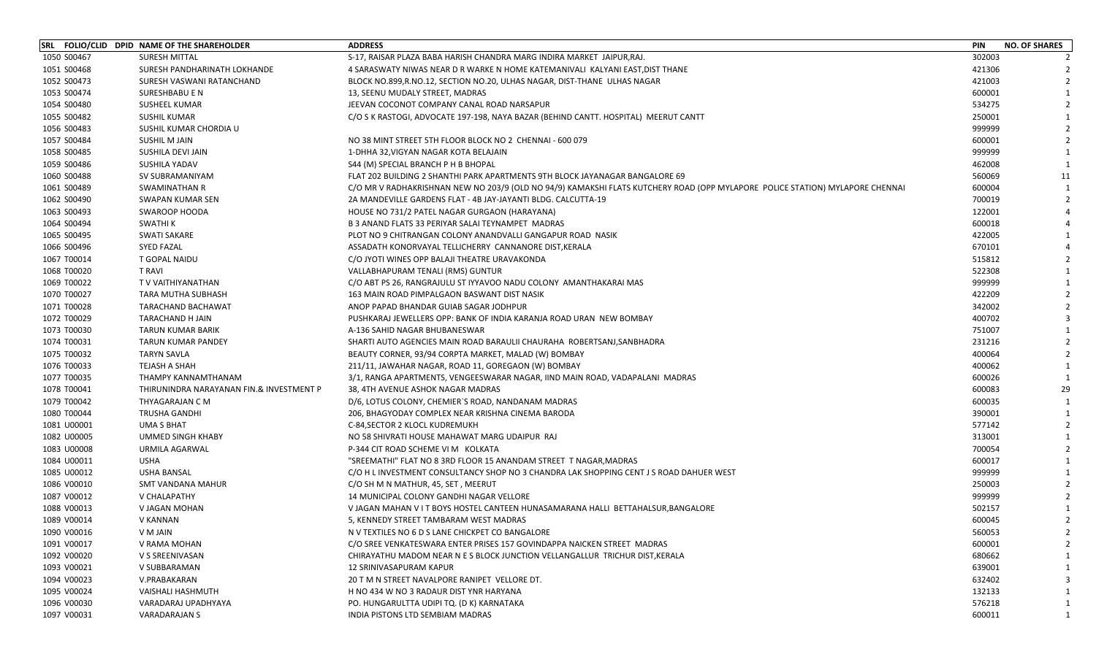|             | SRL FOLIO/CLID DPID NAME OF THE SHAREHOLDER | <b>ADDRESS</b>                                                                                                                | PIN    | <b>NO. OF SHARES</b> |
|-------------|---------------------------------------------|-------------------------------------------------------------------------------------------------------------------------------|--------|----------------------|
| 1050 S00467 | <b>SURESH MITTAL</b>                        | S-17, RAISAR PLAZA BABA HARISH CHANDRA MARG INDIRA MARKET JAIPUR, RAJ.                                                        | 302003 |                      |
| 1051 S00468 | SURESH PANDHARINATH LOKHANDE                | 4 SARASWATY NIWAS NEAR D R WARKE N HOME KATEMANIVALI KALYANI EAST, DIST THANE                                                 | 421306 |                      |
| 1052 S00473 | SURESH VASWANI RATANCHAND                   | BLOCK NO.899,R.NO.12, SECTION NO.20, ULHAS NAGAR, DIST-THANE ULHAS NAGAR                                                      | 421003 | $\mathcal{L}$        |
| 1053 S00474 | SURESHBABU E N                              | 13, SEENU MUDALY STREET, MADRAS                                                                                               | 600001 |                      |
| 1054 S00480 | <b>SUSHEEL KUMAR</b>                        | JEEVAN COCONOT COMPANY CANAL ROAD NARSAPUR                                                                                    | 534275 |                      |
| 1055 S00482 | SUSHIL KUMAR                                | C/O S K RASTOGI, ADVOCATE 197-198, NAYA BAZAR (BEHIND CANTT. HOSPITAL) MEERUT CANTT                                           | 250001 |                      |
| 1056 S00483 | SUSHIL KUMAR CHORDIA U                      |                                                                                                                               | 999999 |                      |
| 1057 S00484 | SUSHIL M JAIN                               | NO 38 MINT STREET 5TH FLOOR BLOCK NO 2 CHENNAI - 600 079                                                                      | 600001 | $\mathcal{L}$        |
| 1058 S00485 | SUSHILA DEVI JAIN                           | 1-DHHA 32, VIGYAN NAGAR KOTA BELAJAIN                                                                                         | 999999 | 1                    |
| 1059 S00486 | SUSHILA YADAV                               | S44 (M) SPECIAL BRANCH P H B BHOPAL                                                                                           | 462008 |                      |
| 1060 S00488 | SV SUBRAMANIYAM                             | FLAT 202 BUILDING 2 SHANTHI PARK APARTMENTS 9TH BLOCK JAYANAGAR BANGALORE 69                                                  | 560069 | 11                   |
| 1061 S00489 | <b>SWAMINATHAN R</b>                        | C/O MR V RADHAKRISHNAN NEW NO 203/9 (OLD NO 94/9) KAMAKSHI FLATS KUTCHERY ROAD (OPP MYLAPORE POLICE STATION) MYLAPORE CHENNAI | 600004 |                      |
| 1062 S00490 | <b>SWAPAN KUMAR SEN</b>                     | 2A MANDEVILLE GARDENS FLAT - 4B JAY-JAYANTI BLDG. CALCUTTA-19                                                                 | 700019 | $\mathcal{P}$        |
| 1063 S00493 | <b>SWAROOP HOODA</b>                        | HOUSE NO 731/2 PATEL NAGAR GURGAON (HARAYANA)                                                                                 | 122001 |                      |
| 1064 S00494 | <b>SWATHI K</b>                             | B 3 ANAND FLATS 33 PERIYAR SALAI TEYNAMPET MADRAS                                                                             | 600018 |                      |
| 1065 S00495 | <b>SWATI SAKARE</b>                         | PLOT NO 9 CHITRANGAN COLONY ANANDVALLI GANGAPUR ROAD NASIK                                                                    | 422005 |                      |
| 1066 S00496 | <b>SYED FAZAL</b>                           | ASSADATH KONORVAYAL TELLICHERRY CANNANORE DIST, KERALA                                                                        | 670101 |                      |
| 1067 T00014 | T GOPAL NAIDU                               | C/O JYOTI WINES OPP BALAJI THEATRE URAVAKONDA                                                                                 | 515812 |                      |
| 1068 T00020 | <b>T RAVI</b>                               | VALLABHAPURAM TENALI (RMS) GUNTUR                                                                                             | 522308 |                      |
| 1069 T00022 | T V VAITHIYANATHAN                          | C/O ABT PS 26, RANGRAJULU ST IYYAVOO NADU COLONY AMANTHAKARAI MAS                                                             | 999999 |                      |
| 1070 T00027 | <b>TARA MUTHA SUBHASH</b>                   | 163 MAIN ROAD PIMPALGAON BASWANT DIST NASIK                                                                                   | 422209 |                      |
| 1071 T00028 | TARACHAND BACHAWAT                          | ANOP PAPAD BHANDAR GUIAB SAGAR JODHPUR                                                                                        | 342002 |                      |
| 1072 T00029 | TARACHAND H JAIN                            | PUSHKARAJ JEWELLERS OPP: BANK OF INDIA KARANJA ROAD URAN NEW BOMBAY                                                           | 400702 |                      |
| 1073 T00030 | <b>TARUN KUMAR BARIK</b>                    | A-136 SAHID NAGAR BHUBANESWAR                                                                                                 | 751007 |                      |
| 1074 T00031 | <b>TARUN KUMAR PANDEY</b>                   | SHARTI AUTO AGENCIES MAIN ROAD BARAULII CHAURAHA ROBERTSANJ, SANBHADRA                                                        | 231216 |                      |
| 1075 T00032 | <b>TARYN SAVLA</b>                          | BEAUTY CORNER, 93/94 CORPTA MARKET, MALAD (W) BOMBAY                                                                          | 400064 |                      |
| 1076 T00033 | TEJASH A SHAH                               | 211/11, JAWAHAR NAGAR, ROAD 11, GOREGAON (W) BOMBAY                                                                           | 400062 |                      |
| 1077 T00035 | THAMPY KANNAMTHANAM                         | 3/1, RANGA APARTMENTS, VENGEESWARAR NAGAR, IIND MAIN ROAD, VADAPALANI MADRAS                                                  | 600026 |                      |
| 1078 T00041 | THIRUNINDRA NARAYANAN FIN.& INVESTMENT P    | 38, 4TH AVENUE ASHOK NAGAR MADRAS                                                                                             | 600083 | 29                   |
| 1079 T00042 | THYAGARAJAN C M                             | D/6, LOTUS COLONY, CHEMIER'S ROAD, NANDANAM MADRAS                                                                            | 600035 | $\mathbf{1}$         |
| 1080 T00044 | <b>TRUSHA GANDHI</b>                        | 206, BHAGYODAY COMPLEX NEAR KRISHNA CINEMA BARODA                                                                             | 390001 | $\mathbf{1}$         |
| 1081 U00001 | UMA S BHAT                                  | C-84, SECTOR 2 KLOCL KUDREMUKH                                                                                                | 577142 | $\mathcal{P}$        |
| 1082 U00005 | UMMED SINGH KHABY                           | NO 58 SHIVRATI HOUSE MAHAWAT MARG UDAIPUR RAJ                                                                                 | 313001 |                      |
| 1083 U00008 | URMILA AGARWAL                              | P-344 CIT ROAD SCHEME VI M KOLKATA                                                                                            | 700054 |                      |
| 1084 U00011 | <b>USHA</b>                                 | "SREEMATHI" FLAT NO 8 3RD FLOOR 15 ANANDAM STREET T NAGAR,MADRAS                                                              | 600017 |                      |
| 1085 U00012 | <b>USHA BANSAL</b>                          | C/O H L INVESTMENT CONSULTANCY SHOP NO 3 CHANDRA LAK SHOPPING CENT J S ROAD DAHUER WEST                                       | 999999 |                      |
| 1086 V00010 | SMT VANDANA MAHUR                           | C/O SH M N MATHUR, 45, SET, MEERUT                                                                                            | 250003 |                      |
| 1087 V00012 | V CHALAPATHY                                | 14 MUNICIPAL COLONY GANDHI NAGAR VELLORE                                                                                      | 999999 |                      |
| 1088 V00013 | V JAGAN MOHAN                               | V JAGAN MAHAN V I T BOYS HOSTEL CANTEEN HUNASAMARANA HALLI BETTAHALSUR, BANGALORE                                             | 502157 |                      |
| 1089 V00014 | V KANNAN                                    | 5. KENNEDY STREET TAMBARAM WEST MADRAS                                                                                        | 600045 | $\overline{2}$       |
| 1090 V00016 | V M JAIN                                    | N V TEXTILES NO 6 D S LANE CHICKPET CO BANGALORE                                                                              | 560053 | $\mathcal{I}$        |
| 1091 V00017 | V RAMA MOHAN                                | C/O SREE VENKATESWARA ENTER PRISES 157 GOVINDAPPA NAICKEN STREET MADRAS                                                       | 600001 |                      |
| 1092 V00020 | V S SREENIVASAN                             | CHIRAYATHU MADOM NEAR N E S BLOCK JUNCTION VELLANGALLUR TRICHUR DIST, KERALA                                                  | 680662 |                      |
| 1093 V00021 | V SUBBARAMAN                                | 12 SRINIVASAPURAM KAPUR                                                                                                       | 639001 |                      |
| 1094 V00023 | V.PRABAKARAN                                | 20 T M N STREET NAVALPORE RANIPET VELLORE DT.                                                                                 | 632402 |                      |
| 1095 V00024 | VAISHALI HASHMUTH                           | H NO 434 W NO 3 RADAUR DIST YNR HARYANA                                                                                       | 132133 |                      |
| 1096 V00030 | VARADARAJ UPADHYAYA                         | PO. HUNGARULTTA UDIPI TQ. (D K) KARNATAKA                                                                                     | 576218 | 1                    |
| 1097 V00031 | VARADARAJAN S                               | INDIA PISTONS LTD SEMBIAM MADRAS                                                                                              | 600011 | 1                    |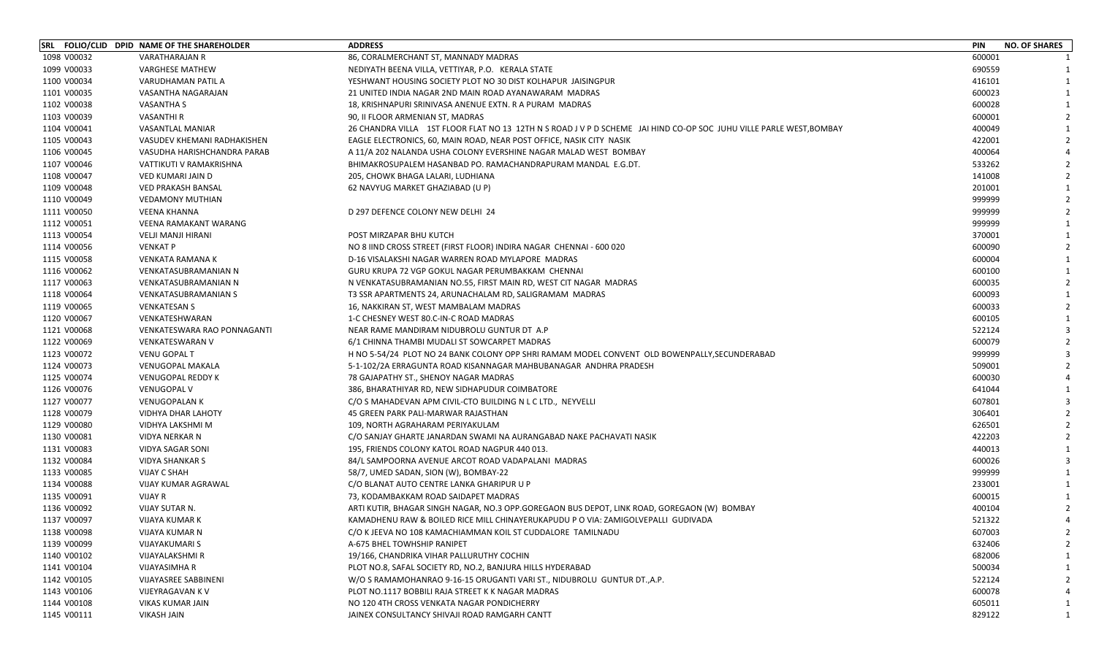|             | SRL FOLIO/CLID DPID NAME OF THE SHAREHOLDER | <b>ADDRESS</b>                                                                                                     | <b>PIN</b> | <b>NO. OF SHARES</b> |
|-------------|---------------------------------------------|--------------------------------------------------------------------------------------------------------------------|------------|----------------------|
| 1098 V00032 | <b>VARATHARAJAN R</b>                       | 86, CORALMERCHANT ST, MANNADY MADRAS                                                                               | 600001     |                      |
| 1099 V00033 | <b>VARGHESE MATHEW</b>                      | NEDIYATH BEENA VILLA, VETTIYAR, P.O. KERALA STATE                                                                  | 690559     | $\mathbf{1}$         |
| 1100 V00034 | VARUDHAMAN PATIL A                          | YESHWANT HOUSING SOCIETY PLOT NO 30 DIST KOLHAPUR JAISINGPUR                                                       | 416101     |                      |
| 1101 V00035 | VASANTHA NAGARAJAN                          | 21 UNITED INDIA NAGAR 2ND MAIN ROAD AYANAWARAM MADRAS                                                              | 600023     |                      |
| 1102 V00038 | VASANTHA S                                  | 18, KRISHNAPURI SRINIVASA ANENUE EXTN. R A PURAM MADRAS                                                            | 600028     |                      |
| 1103 V00039 | <b>VASANTHI R</b>                           | 90, II FLOOR ARMENIAN ST, MADRAS                                                                                   | 600001     |                      |
| 1104 V00041 | VASANTLAL MANIAR                            | 26 CHANDRA VILLA 1ST FLOOR FLAT NO 13 12TH N S ROAD J V P D SCHEME JAI HIND CO-OP SOC JUHU VILLE PARLE WEST,BOMBAY | 400049     |                      |
| 1105 V00043 | VASUDEV KHEMANI RADHAKISHEN                 | EAGLE ELECTRONICS, 60, MAIN ROAD, NEAR POST OFFICE, NASIK CITY NASIK                                               | 422001     |                      |
| 1106 V00045 | VASUDHA HARISHCHANDRA PARAB                 | A 11/A 202 NALANDA USHA COLONY EVERSHINE NAGAR MALAD WEST BOMBAY                                                   | 400064     |                      |
| 1107 V00046 | VATTIKUTI V RAMAKRISHNA                     | BHIMAKROSUPALEM HASANBAD PO. RAMACHANDRAPURAM MANDAL E.G.DT.                                                       | 533262     |                      |
| 1108 V00047 | <b>VED KUMARI JAIN D</b>                    | 205, CHOWK BHAGA LALARI, LUDHIANA                                                                                  | 141008     |                      |
| 1109 V00048 | <b>VED PRAKASH BANSAL</b>                   | 62 NAVYUG MARKET GHAZIABAD (U P)                                                                                   | 201001     |                      |
| 1110 V00049 | <b>VEDAMONY MUTHIAN</b>                     |                                                                                                                    | 999999     |                      |
| 1111 V00050 | <b>VEENA KHANNA</b>                         | D 297 DEFENCE COLONY NEW DELHI 24                                                                                  | 999999     |                      |
| 1112 V00051 | <b>VEENA RAMAKANT WARANG</b>                |                                                                                                                    | 999999     |                      |
| 1113 V00054 | <b>VELJI MANJI HIRANI</b>                   | POST MIRZAPAR BHU KUTCH                                                                                            | 370001     |                      |
| 1114 V00056 | <b>VENKAT P</b>                             | NO 8 IIND CROSS STREET (FIRST FLOOR) INDIRA NAGAR CHENNAI - 600 020                                                | 600090     |                      |
| 1115 V00058 | <b>VENKATA RAMANA K</b>                     | D-16 VISALAKSHI NAGAR WARREN ROAD MYLAPORE MADRAS                                                                  | 600004     |                      |
| 1116 V00062 | VENKATASUBRAMANIAN N                        | GURU KRUPA 72 VGP GOKUL NAGAR PERUMBAKKAM CHENNAI                                                                  | 600100     |                      |
| 1117 V00063 | <b>VENKATASUBRAMANIAN N</b>                 | N VENKATASUBRAMANIAN NO.55, FIRST MAIN RD, WEST CIT NAGAR MADRAS                                                   | 600035     |                      |
| 1118 V00064 | <b>VENKATASUBRAMANIAN S</b>                 | T3 SSR APARTMENTS 24, ARUNACHALAM RD, SALIGRAMAM MADRAS                                                            | 600093     |                      |
| 1119 V00065 | <b>VENKATESAN S</b>                         | 16, NAKKIRAN ST, WEST MAMBALAM MADRAS                                                                              | 600033     |                      |
| 1120 V00067 | VENKATESHWARAN                              | 1-C CHESNEY WEST 80.C-IN-C ROAD MADRAS                                                                             | 600105     |                      |
| 1121 V00068 | VENKATESWARA RAO PONNAGANTI                 | NEAR RAME MANDIRAM NIDUBROLU GUNTUR DT A.P                                                                         | 522124     |                      |
| 1122 V00069 | <b>VENKATESWARAN V</b>                      | 6/1 CHINNA THAMBI MUDALI ST SOWCARPET MADRAS                                                                       | 600079     |                      |
| 1123 V00072 | <b>VENU GOPAL T</b>                         | H NO 5-54/24 PLOT NO 24 BANK COLONY OPP SHRI RAMAM MODEL CONVENT OLD BOWENPALLY, SECUNDERABAD                      | 999999     |                      |
| 1124 V00073 | <b>VENUGOPAL MAKALA</b>                     | 5-1-102/2A ERRAGUNTA ROAD KISANNAGAR MAHBUBANAGAR ANDHRA PRADESH                                                   | 509001     |                      |
| 1125 V00074 | <b>VENUGOPAL REDDY K</b>                    | 78 GAJAPATHY ST., SHENOY NAGAR MADRAS                                                                              | 600030     |                      |
| 1126 V00076 | <b>VENUGOPAL V</b>                          | 386, BHARATHIYAR RD, NEW SIDHAPUDUR COIMBATORE                                                                     | 641044     |                      |
| 1127 V00077 | <b>VENUGOPALAN K</b>                        | C/O S MAHADEVAN APM CIVIL-CTO BUILDING N L C LTD., NEYVELLI                                                        | 607801     |                      |
| 1128 V00079 | <b>VIDHYA DHAR LAHOTY</b>                   | 45 GREEN PARK PALI-MARWAR RAJASTHAN                                                                                | 306401     |                      |
| 1129 V00080 | VIDHYA LAKSHMI M                            | 109, NORTH AGRAHARAM PERIYAKULAM                                                                                   | 626501     |                      |
| 1130 V00081 | VIDYA NERKAR N                              | C/O SANJAY GHARTE JANARDAN SWAMI NA AURANGABAD NAKE PACHAVATI NASIK                                                | 422203     |                      |
| 1131 V00083 | VIDYA SAGAR SONI                            | 195, FRIENDS COLONY KATOL ROAD NAGPUR 440 013.                                                                     | 440013     |                      |
| 1132 V00084 | <b>VIDYA SHANKAR S</b>                      | 84/L SAMPOORNA AVENUE ARCOT ROAD VADAPALANI MADRAS                                                                 | 600026     |                      |
| 1133 V00085 | <b>VIJAY C SHAH</b>                         | 58/7, UMED SADAN, SION (W), BOMBAY-22                                                                              | 999999     |                      |
| 1134 V00088 | VIJAY KUMAR AGRAWAL                         | C/O BLANAT AUTO CENTRE LANKA GHARIPUR U P                                                                          | 233001     |                      |
| 1135 V00091 | VIJAY R                                     | 73, KODAMBAKKAM ROAD SAIDAPET MADRAS                                                                               | 600015     |                      |
| 1136 V00092 | VIJAY SUTAR N.                              | ARTI KUTIR, BHAGAR SINGH NAGAR, NO.3 OPP.GOREGAON BUS DEPOT, LINK ROAD, GOREGAON (W) BOMBAY                        | 400104     |                      |
| 1137 V00097 | VIJAYA KUMAR K                              | KAMADHENU RAW & BOILED RICE MILL CHINAYERUKAPUDU P O VIA: ZAMIGOLVEPALLI GUDIVADA                                  | 521322     | $\Delta$             |
| 1138 V00098 | VIJAYA KUMAR N                              | C/O K JEEVA NO 108 KAMACHIAMMAN KOIL ST CUDDALORE TAMILNADU                                                        | 607003     |                      |
| 1139 V00099 | VIJAYAKUMARI S                              | A-675 BHEL TOWHSHIP RANIPET                                                                                        | 632406     |                      |
| 1140 V00102 | VIJAYALAKSHMI R                             | 19/166, CHANDRIKA VIHAR PALLURUTHY COCHIN                                                                          | 682006     |                      |
| 1141 V00104 | VIJAYASIMHA R                               | PLOT NO.8, SAFAL SOCIETY RD, NO.2, BANJURA HILLS HYDERABAD                                                         | 500034     |                      |
| 1142 V00105 | <b>VIJAYASREE SABBINENI</b>                 | W/O S RAMAMOHANRAO 9-16-15 ORUGANTI VARI ST., NIDUBROLU GUNTUR DT.,A.P.                                            | 522124     |                      |
| 1143 V00106 | VIJEYRAGAVAN K V                            | PLOT NO.1117 BOBBILI RAJA STREET K K NAGAR MADRAS                                                                  | 600078     |                      |
| 1144 V00108 | VIKAS KUMAR JAIN                            | NO 120 4TH CROSS VENKATA NAGAR PONDICHERRY                                                                         | 605011     |                      |
| 1145 V00111 | <b>VIKASH JAIN</b>                          | JAINEX CONSULTANCY SHIVAJI ROAD RAMGARH CANTT                                                                      | 829122     | 1                    |